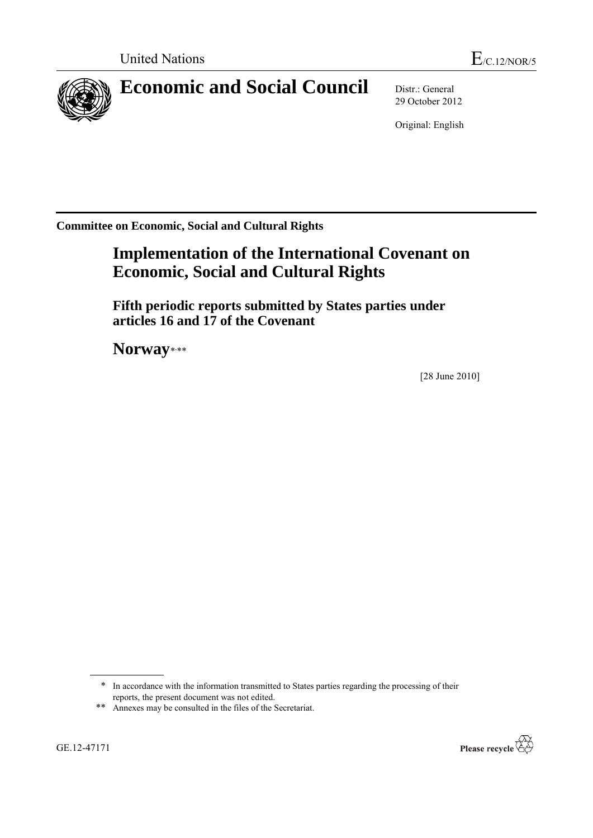

# **Economic and Social Council** Distr.: General

29 October 2012

Original: English

**Committee on Economic, Social and Cultural Rights**

## **Implementation of the International Covenant on Economic, Social and Cultural Rights**

**Fifth periodic reports submitted by States parties under articles 16 and 17 of the Covenant**

Norway\*\*\*

[28 June 2010]



<sup>\*</sup> In accordance with the information transmitted to States parties regarding the processing of their reports, the present document was not edited.

<sup>\*\*</sup> Annexes may be consulted in the files of the Secretariat.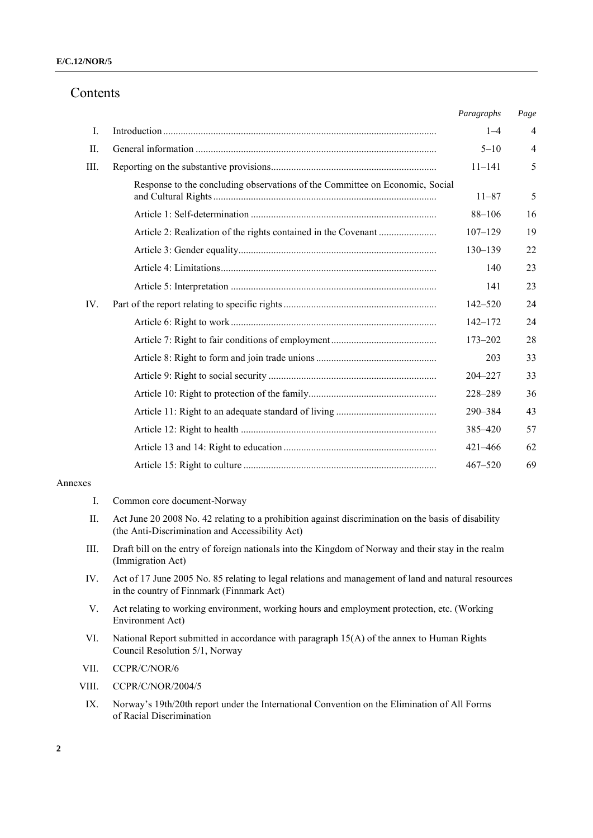## Contents

|         |                                                                              | Paragraphs  | Page           |
|---------|------------------------------------------------------------------------------|-------------|----------------|
| Ι.      |                                                                              | $1 - 4$     | $\overline{4}$ |
| $\Pi$ . |                                                                              | $5 - 10$    | $\overline{4}$ |
| III.    |                                                                              | $11 - 141$  | 5              |
|         | Response to the concluding observations of the Committee on Economic, Social | $11 - 87$   | 5              |
|         |                                                                              | $88 - 106$  | 16             |
|         |                                                                              | $107 - 129$ | 19             |
|         |                                                                              | $130 - 139$ | 22             |
|         |                                                                              | 140         | 23             |
|         |                                                                              | 141         | 23             |
| IV.     |                                                                              | $142 - 520$ | 24             |
|         |                                                                              | $142 - 172$ | 24             |
|         |                                                                              | $173 - 202$ | 28             |
|         |                                                                              | 203         | 33             |
|         |                                                                              | $204 - 227$ | 33             |
|         |                                                                              | 228-289     | 36             |
|         |                                                                              | 290-384     | 43             |
|         |                                                                              | 385-420     | 57             |
|         |                                                                              | $421 - 466$ | 62             |
|         |                                                                              | $467 - 520$ | 69             |
|         |                                                                              |             |                |

#### Annexes

- I. Common core document-Norway
- II. Act June 20 2008 No. 42 relating to a prohibition against discrimination on the basis of disability (the Anti-Discrimination and Accessibility Act)
- III. Draft bill on the entry of foreign nationals into the Kingdom of Norway and their stay in the realm (Immigration Act)
- IV. Act of 17 June 2005 No. 85 relating to legal relations and management of land and natural resources in the country of Finnmark (Finnmark Act)
- V. Act relating to working environment, working hours and employment protection, etc. (Working Environment Act)
- VI. National Report submitted in accordance with paragraph 15(A) of the annex to Human Rights Council Resolution 5/1, Norway
- VII. CCPR/C/NOR/6
- VIII. CCPR/C/NOR/2004/5
	- IX. Norway's 19th/20th report under the International Convention on the Elimination of All Forms of Racial Discrimination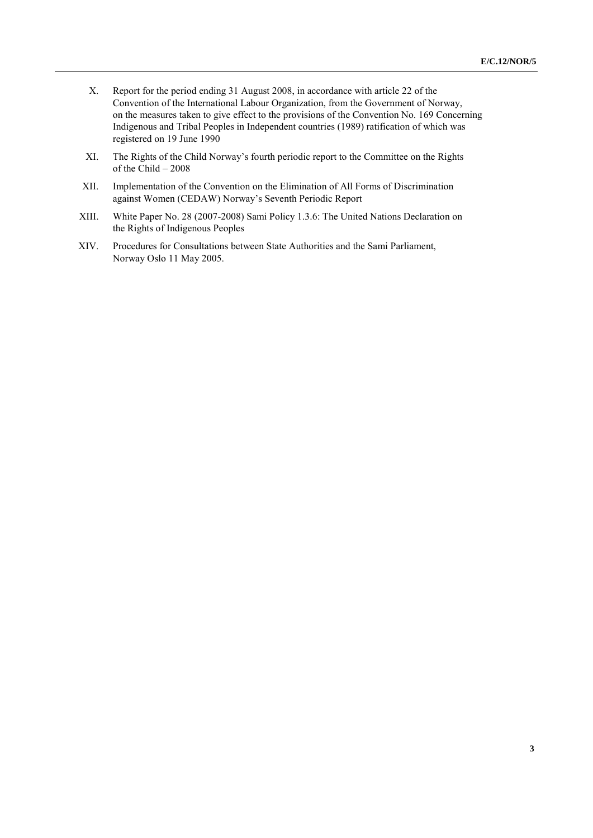- X. Report for the period ending 31 August 2008, in accordance with article 22 of the Convention of the International Labour Organization, from the Government of Norway, on the measures taken to give effect to the provisions of the Convention No. 169 Concerning Indigenous and Tribal Peoples in Independent countries (1989) ratification of which was registered on 19 June 1990
- XI. The Rights of the Child Norway's fourth periodic report to the Committee on the Rights of the Child – 2008
- XII. Implementation of the Convention on the Elimination of All Forms of Discrimination against Women (CEDAW) Norway's Seventh Periodic Report
- XIII. White Paper No. 28 (2007-2008) Sami Policy 1.3.6: The United Nations Declaration on the Rights of Indigenous Peoples
- XIV. Procedures for Consultations between State Authorities and the Sami Parliament, Norway Oslo 11 May 2005.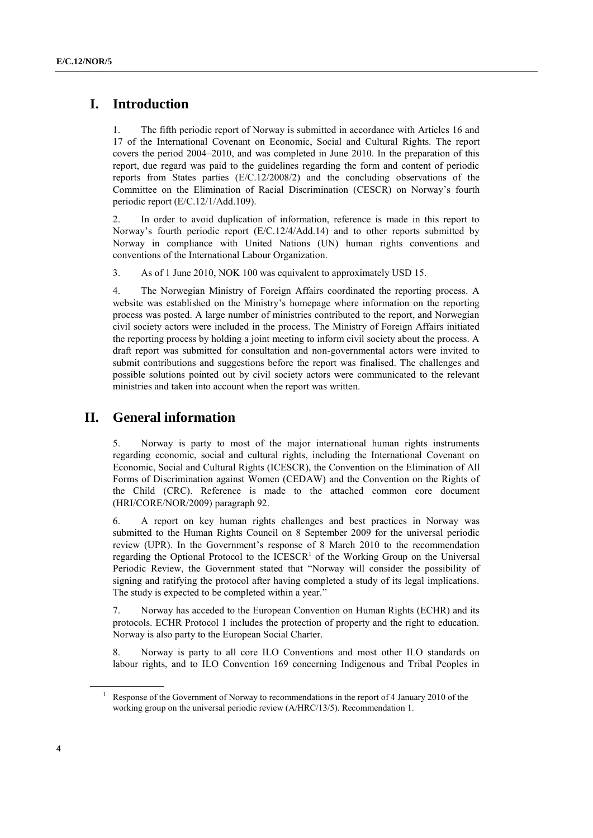## **I. Introduction**

1. The fifth periodic report of Norway is submitted in accordance with Articles 16 and 17 of the International Covenant on Economic, Social and Cultural Rights. The report covers the period 2004–2010, and was completed in June 2010. In the preparation of this report, due regard was paid to the guidelines regarding the form and content of periodic reports from States parties (E/C.12/2008/2) and the concluding observations of the Committee on the Elimination of Racial Discrimination (CESCR) on Norway's fourth periodic report (E/C.12/1/Add.109).

2. In order to avoid duplication of information, reference is made in this report to Norway's fourth periodic report (E/C.12/4/Add.14) and to other reports submitted by Norway in compliance with United Nations (UN) human rights conventions and conventions of the International Labour Organization.

3. As of 1 June 2010, NOK 100 was equivalent to approximately USD 15.

4. The Norwegian Ministry of Foreign Affairs coordinated the reporting process. A website was established on the Ministry's homepage where information on the reporting process was posted. A large number of ministries contributed to the report, and Norwegian civil society actors were included in the process. The Ministry of Foreign Affairs initiated the reporting process by holding a joint meeting to inform civil society about the process. A draft report was submitted for consultation and non-governmental actors were invited to submit contributions and suggestions before the report was finalised. The challenges and possible solutions pointed out by civil society actors were communicated to the relevant ministries and taken into account when the report was written.

## **II. General information**

5. Norway is party to most of the major international human rights instruments regarding economic, social and cultural rights, including the International Covenant on Economic, Social and Cultural Rights (ICESCR), the Convention on the Elimination of All Forms of Discrimination against Women (CEDAW) and the Convention on the Rights of the Child (CRC). Reference is made to the attached common core document (HRI/CORE/NOR/2009) paragraph 92.

6. A report on key human rights challenges and best practices in Norway was submitted to the Human Rights Council on 8 September 2009 for the universal periodic review (UPR). In the Government's response of 8 March 2010 to the recommendation regarding the Optional Protocol to the  $ICESCR<sup>1</sup>$  of the Working Group on the Universal Periodic Review, the Government stated that "Norway will consider the possibility of signing and ratifying the protocol after having completed a study of its legal implications. The study is expected to be completed within a year."

7. Norway has acceded to the European Convention on Human Rights (ECHR) and its protocols. ECHR Protocol 1 includes the protection of property and the right to education. Norway is also party to the European Social Charter.

8. Norway is party to all core ILO Conventions and most other ILO standards on labour rights, and to ILO Convention 169 concerning Indigenous and Tribal Peoples in

Response of the Government of Norway to recommendations in the report of 4 January 2010 of the working group on the universal periodic review (A/HRC/13/5). Recommendation 1.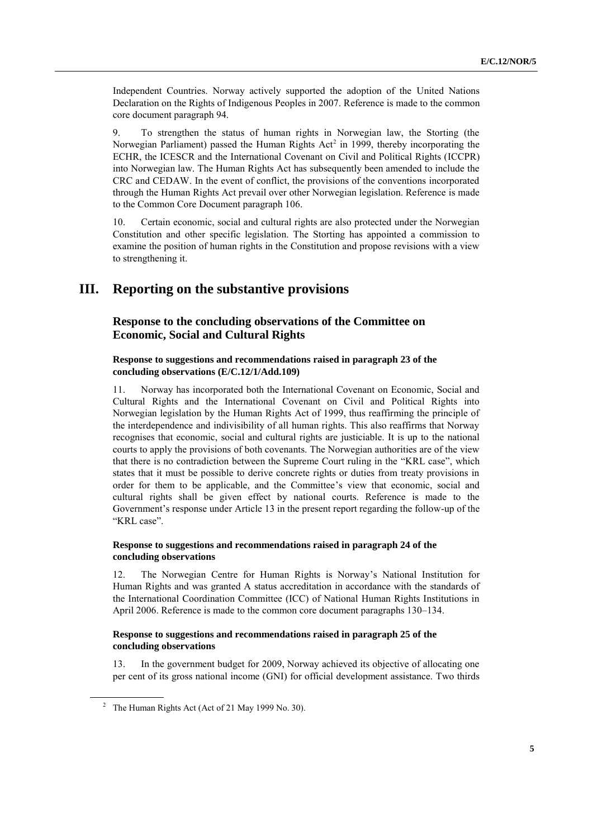Independent Countries. Norway actively supported the adoption of the United Nations Declaration on the Rights of Indigenous Peoples in 2007. Reference is made to the common core document paragraph 94.

9. To strengthen the status of human rights in Norwegian law, the Storting (the Norwegian Parliament) passed the Human Rights  $Act^2$  in 1999, thereby incorporating the ECHR, the ICESCR and the International Covenant on Civil and Political Rights (ICCPR) into Norwegian law. The Human Rights Act has subsequently been amended to include the CRC and CEDAW. In the event of conflict, the provisions of the conventions incorporated through the Human Rights Act prevail over other Norwegian legislation. Reference is made to the Common Core Document paragraph 106.

10. Certain economic, social and cultural rights are also protected under the Norwegian Constitution and other specific legislation. The Storting has appointed a commission to examine the position of human rights in the Constitution and propose revisions with a view to strengthening it.

## **III. Reporting on the substantive provisions**

### **Response to the concluding observations of the Committee on Economic, Social and Cultural Rights**

#### **Response to suggestions and recommendations raised in paragraph 23 of the concluding observations (E/C.12/1/Add.109)**

11. Norway has incorporated both the International Covenant on Economic, Social and Cultural Rights and the International Covenant on Civil and Political Rights into Norwegian legislation by the Human Rights Act of 1999, thus reaffirming the principle of the interdependence and indivisibility of all human rights. This also reaffirms that Norway recognises that economic, social and cultural rights are justiciable. It is up to the national courts to apply the provisions of both covenants. The Norwegian authorities are of the view that there is no contradiction between the Supreme Court ruling in the "KRL case", which states that it must be possible to derive concrete rights or duties from treaty provisions in order for them to be applicable, and the Committee's view that economic, social and cultural rights shall be given effect by national courts. Reference is made to the Government's response under Article 13 in the present report regarding the follow-up of the "KRL case".

#### **Response to suggestions and recommendations raised in paragraph 24 of the concluding observations**

12. The Norwegian Centre for Human Rights is Norway's National Institution for Human Rights and was granted A status accreditation in accordance with the standards of the International Coordination Committee (ICC) of National Human Rights Institutions in April 2006. Reference is made to the common core document paragraphs 130–134.

#### **Response to suggestions and recommendations raised in paragraph 25 of the concluding observations**

13. In the government budget for 2009, Norway achieved its objective of allocating one per cent of its gross national income (GNI) for official development assistance. Two thirds

<sup>&</sup>lt;sup>2</sup> The Human Rights Act (Act of 21 May 1999 No. 30).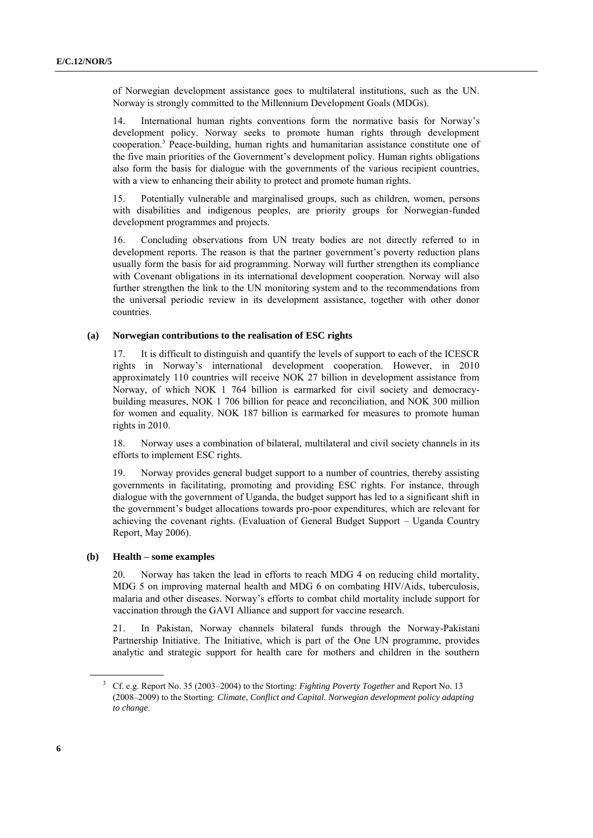of Norwegian development assistance goes to multilateral institutions, such as the UN. Norway is strongly committed to the Millennium Development Goals (MDGs).

14. International human rights conventions form the normative basis for Norway's development policy. Norway seeks to promote human rights through development cooperation.<sup>3</sup> Peace-building, human rights and humanitarian assistance constitute one of the five main priorities of the Government's development policy. Human rights obligations also form the basis for dialogue with the governments of the various recipient countries, with a view to enhancing their ability to protect and promote human rights.

15. Potentially vulnerable and marginalised groups, such as children, women, persons with disabilities and indigenous peoples, are priority groups for Norwegian-funded development programmes and projects.

16. Concluding observations from UN treaty bodies are not directly referred to in development reports. The reason is that the partner government's poverty reduction plans usually form the basis for aid programming. Norway will further strengthen its compliance with Covenant obligations in its international development cooperation. Norway will also further strengthen the link to the UN monitoring system and to the recommendations from the universal periodic review in its development assistance, together with other donor countries.

#### **(a) Norwegian contributions to the realisation of ESC rights**

17. It is difficult to distinguish and quantify the levels of support to each of the ICESCR rights in Norway's international development cooperation. However, in 2010 approximately 110 countries will receive NOK 27 billion in development assistance from Norway, of which NOK 1 764 billion is earmarked for civil society and democracybuilding measures, NOK 1 706 billion for peace and reconciliation, and NOK 300 million for women and equality. NOK 187 billion is earmarked for measures to promote human rights in 2010.

18. Norway uses a combination of bilateral, multilateral and civil society channels in its efforts to implement ESC rights.

19. Norway provides general budget support to a number of countries, thereby assisting governments in facilitating, promoting and providing ESC rights. For instance, through dialogue with the government of Uganda, the budget support has led to a significant shift in the government's budget allocations towards pro-poor expenditures, which are relevant for achieving the covenant rights. (Evaluation of General Budget Support – Uganda Country Report, May 2006).

#### **(b) Health – some examples**

20. Norway has taken the lead in efforts to reach MDG 4 on reducing child mortality, MDG 5 on improving maternal health and MDG 6 on combating HIV/Aids, tuberculosis, malaria and other diseases. Norway's efforts to combat child mortality include support for vaccination through the GAVI Alliance and support for vaccine research.

21. In Pakistan, Norway channels bilateral funds through the Norway-Pakistani Partnership Initiative. The Initiative, which is part of the One UN programme, provides analytic and strategic support for health care for mothers and children in the southern

<sup>3</sup> Cf. e.g. Report No. 35 (2003–2004) to the Storting: *Fighting Poverty Together* and Report No. 13 (2008–2009) to the Storting: *Climate, Conflict and Capital. Norwegian development policy adapting to change*.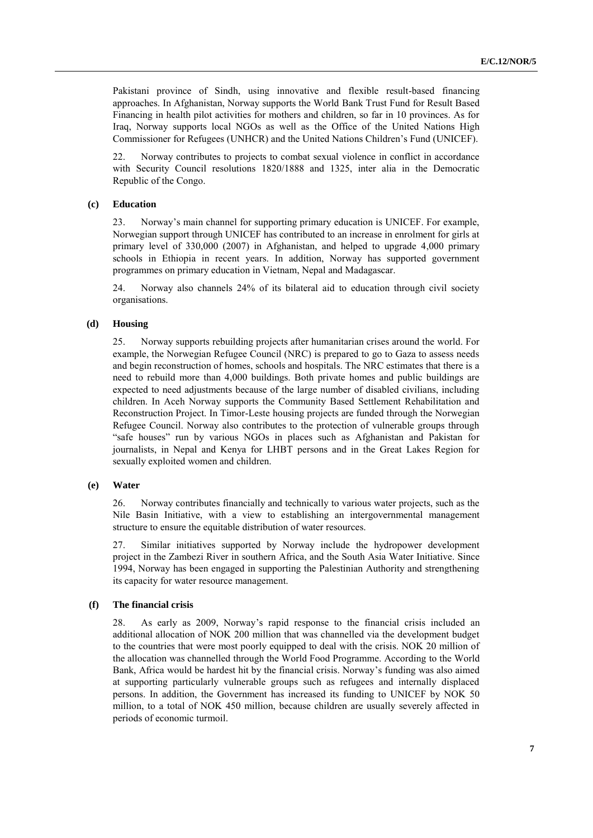Pakistani province of Sindh, using innovative and flexible result-based financing approaches. In Afghanistan, Norway supports the World Bank Trust Fund for Result Based Financing in health pilot activities for mothers and children, so far in 10 provinces. As for Iraq, Norway supports local NGOs as well as the Office of the United Nations High Commissioner for Refugees (UNHCR) and the United Nations Children's Fund (UNICEF).

22. Norway contributes to projects to combat sexual violence in conflict in accordance with Security Council resolutions 1820/1888 and 1325, inter alia in the Democratic Republic of the Congo.

#### **(c) Education**

23. Norway's main channel for supporting primary education is UNICEF. For example, Norwegian support through UNICEF has contributed to an increase in enrolment for girls at primary level of 330,000 (2007) in Afghanistan, and helped to upgrade 4,000 primary schools in Ethiopia in recent years. In addition, Norway has supported government programmes on primary education in Vietnam, Nepal and Madagascar.

24. Norway also channels 24% of its bilateral aid to education through civil society organisations.

#### **(d) Housing**

25. Norway supports rebuilding projects after humanitarian crises around the world. For example, the Norwegian Refugee Council (NRC) is prepared to go to Gaza to assess needs and begin reconstruction of homes, schools and hospitals. The NRC estimates that there is a need to rebuild more than 4,000 buildings. Both private homes and public buildings are expected to need adjustments because of the large number of disabled civilians, including children. In Aceh Norway supports the Community Based Settlement Rehabilitation and Reconstruction Project. In Timor-Leste housing projects are funded through the Norwegian Refugee Council. Norway also contributes to the protection of vulnerable groups through "safe houses" run by various NGOs in places such as Afghanistan and Pakistan for journalists, in Nepal and Kenya for LHBT persons and in the Great Lakes Region for sexually exploited women and children.

#### **(e) Water**

26. Norway contributes financially and technically to various water projects, such as the Nile Basin Initiative, with a view to establishing an intergovernmental management structure to ensure the equitable distribution of water resources.

27. Similar initiatives supported by Norway include the hydropower development project in the Zambezi River in southern Africa, and the South Asia Water Initiative. Since 1994, Norway has been engaged in supporting the Palestinian Authority and strengthening its capacity for water resource management.

#### **(f) The financial crisis**

28. As early as 2009, Norway's rapid response to the financial crisis included an additional allocation of NOK 200 million that was channelled via the development budget to the countries that were most poorly equipped to deal with the crisis. NOK 20 million of the allocation was channelled through the World Food Programme. According to the World Bank, Africa would be hardest hit by the financial crisis. Norway's funding was also aimed at supporting particularly vulnerable groups such as refugees and internally displaced persons. In addition, the Government has increased its funding to UNICEF by NOK 50 million, to a total of NOK 450 million, because children are usually severely affected in periods of economic turmoil.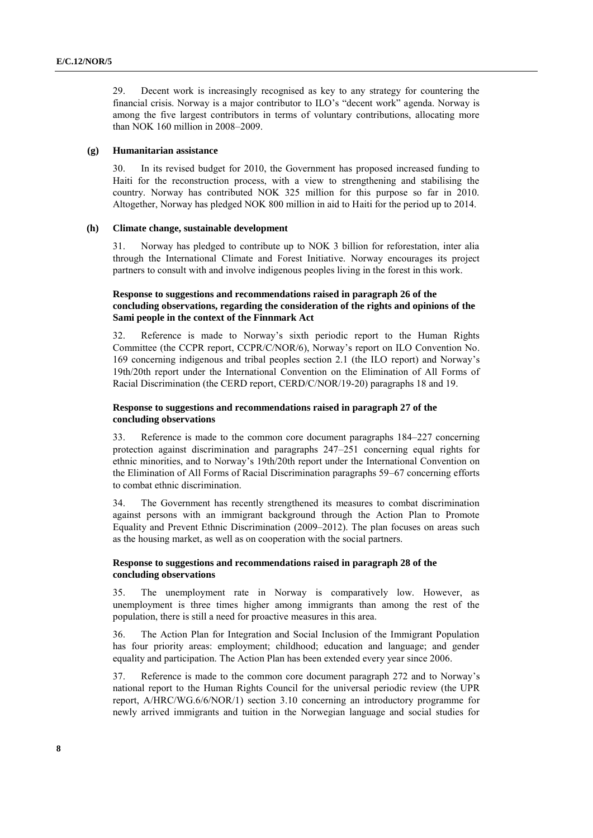29. Decent work is increasingly recognised as key to any strategy for countering the financial crisis. Norway is a major contributor to ILO's "decent work" agenda. Norway is among the five largest contributors in terms of voluntary contributions, allocating more than NOK 160 million in 2008–2009.

#### **(g) Humanitarian assistance**

30. In its revised budget for 2010, the Government has proposed increased funding to Haiti for the reconstruction process, with a view to strengthening and stabilising the country. Norway has contributed NOK 325 million for this purpose so far in 2010. Altogether, Norway has pledged NOK 800 million in aid to Haiti for the period up to 2014.

#### **(h) Climate change, sustainable development**

31. Norway has pledged to contribute up to NOK 3 billion for reforestation, inter alia through the International Climate and Forest Initiative. Norway encourages its project partners to consult with and involve indigenous peoples living in the forest in this work.

#### **Response to suggestions and recommendations raised in paragraph 26 of the concluding observations, regarding the consideration of the rights and opinions of the Sami people in the context of the Finnmark Act**

32. Reference is made to Norway's sixth periodic report to the Human Rights Committee (the CCPR report, CCPR/C/NOR/6), Norway's report on ILO Convention No. 169 concerning indigenous and tribal peoples section 2.1 (the ILO report) and Norway's 19th/20th report under the International Convention on the Elimination of All Forms of Racial Discrimination (the CERD report, CERD/C/NOR/19-20) paragraphs 18 and 19.

#### **Response to suggestions and recommendations raised in paragraph 27 of the concluding observations**

33. Reference is made to the common core document paragraphs 184–227 concerning protection against discrimination and paragraphs 247–251 concerning equal rights for ethnic minorities, and to Norway's 19th/20th report under the International Convention on the Elimination of All Forms of Racial Discrimination paragraphs 59–67 concerning efforts to combat ethnic discrimination.

34. The Government has recently strengthened its measures to combat discrimination against persons with an immigrant background through the Action Plan to Promote Equality and Prevent Ethnic Discrimination (2009–2012). The plan focuses on areas such as the housing market, as well as on cooperation with the social partners.

#### **Response to suggestions and recommendations raised in paragraph 28 of the concluding observations**

35. The unemployment rate in Norway is comparatively low. However, as unemployment is three times higher among immigrants than among the rest of the population, there is still a need for proactive measures in this area.

36. The Action Plan for Integration and Social Inclusion of the Immigrant Population has four priority areas: employment; childhood; education and language; and gender equality and participation. The Action Plan has been extended every year since 2006.

37. Reference is made to the common core document paragraph 272 and to Norway's national report to the Human Rights Council for the universal periodic review (the UPR report, A/HRC/WG.6/6/NOR/1) section 3.10 concerning an introductory programme for newly arrived immigrants and tuition in the Norwegian language and social studies for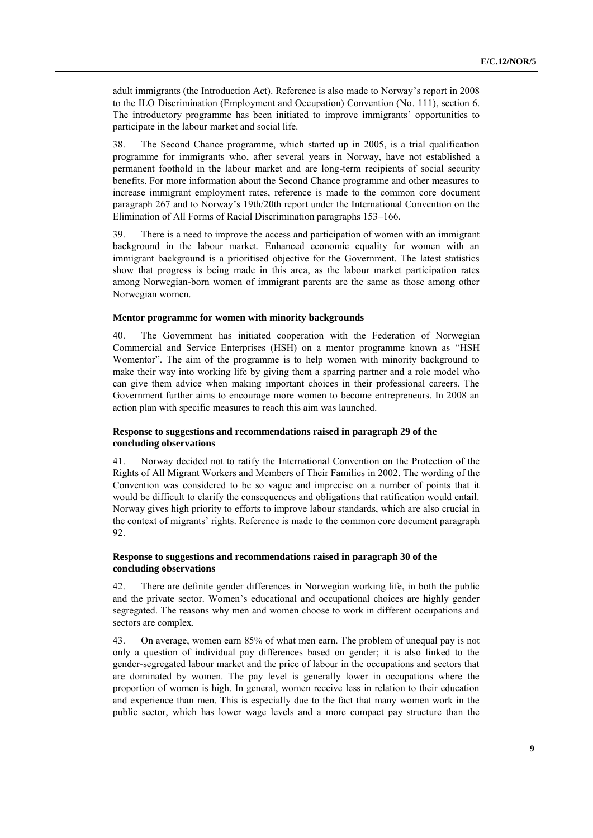adult immigrants (the Introduction Act). Reference is also made to Norway's report in 2008 to the ILO Discrimination (Employment and Occupation) Convention (No. 111), section 6. The introductory programme has been initiated to improve immigrants' opportunities to participate in the labour market and social life.

38. The Second Chance programme, which started up in 2005, is a trial qualification programme for immigrants who, after several years in Norway, have not established a permanent foothold in the labour market and are long-term recipients of social security benefits. For more information about the Second Chance programme and other measures to increase immigrant employment rates, reference is made to the common core document paragraph 267 and to Norway's 19th/20th report under the International Convention on the Elimination of All Forms of Racial Discrimination paragraphs 153–166.

39. There is a need to improve the access and participation of women with an immigrant background in the labour market. Enhanced economic equality for women with an immigrant background is a prioritised objective for the Government. The latest statistics show that progress is being made in this area, as the labour market participation rates among Norwegian-born women of immigrant parents are the same as those among other Norwegian women.

#### **Mentor programme for women with minority backgrounds**

40. The Government has initiated cooperation with the Federation of Norwegian Commercial and Service Enterprises (HSH) on a mentor programme known as "HSH Womentor". The aim of the programme is to help women with minority background to make their way into working life by giving them a sparring partner and a role model who can give them advice when making important choices in their professional careers. The Government further aims to encourage more women to become entrepreneurs. In 2008 an action plan with specific measures to reach this aim was launched.

#### **Response to suggestions and recommendations raised in paragraph 29 of the concluding observations**

41. Norway decided not to ratify the International Convention on the Protection of the Rights of All Migrant Workers and Members of Their Families in 2002. The wording of the Convention was considered to be so vague and imprecise on a number of points that it would be difficult to clarify the consequences and obligations that ratification would entail. Norway gives high priority to efforts to improve labour standards, which are also crucial in the context of migrants' rights. Reference is made to the common core document paragraph 92.

#### **Response to suggestions and recommendations raised in paragraph 30 of the concluding observations**

42. There are definite gender differences in Norwegian working life, in both the public and the private sector. Women's educational and occupational choices are highly gender segregated. The reasons why men and women choose to work in different occupations and sectors are complex.

43. On average, women earn 85% of what men earn. The problem of unequal pay is not only a question of individual pay differences based on gender; it is also linked to the gender-segregated labour market and the price of labour in the occupations and sectors that are dominated by women. The pay level is generally lower in occupations where the proportion of women is high. In general, women receive less in relation to their education and experience than men. This is especially due to the fact that many women work in the public sector, which has lower wage levels and a more compact pay structure than the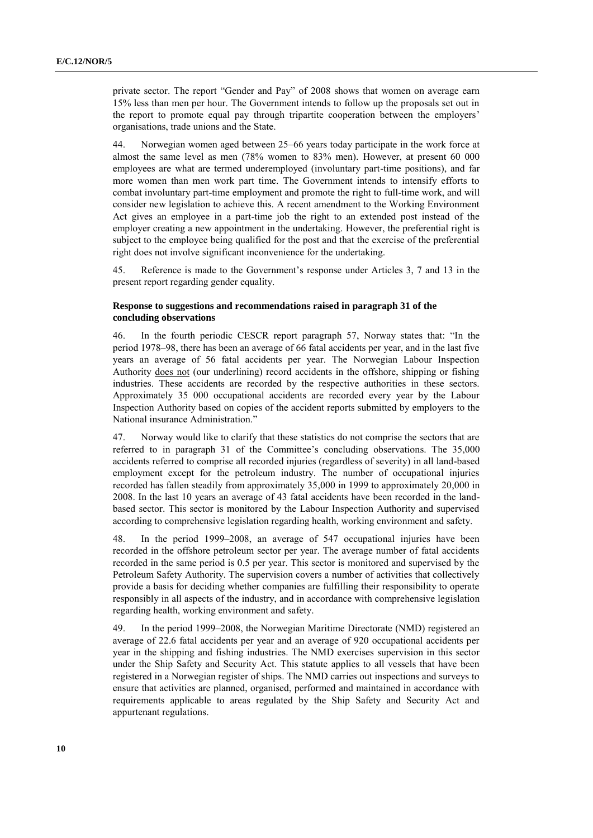private sector. The report "Gender and Pay" of 2008 shows that women on average earn 15% less than men per hour. The Government intends to follow up the proposals set out in the report to promote equal pay through tripartite cooperation between the employers' organisations, trade unions and the State.

44. Norwegian women aged between 25–66 years today participate in the work force at almost the same level as men (78% women to 83% men). However, at present 60 000 employees are what are termed underemployed (involuntary part-time positions), and far more women than men work part time. The Government intends to intensify efforts to combat involuntary part-time employment and promote the right to full-time work, and will consider new legislation to achieve this. A recent amendment to the Working Environment Act gives an employee in a part-time job the right to an extended post instead of the employer creating a new appointment in the undertaking. However, the preferential right is subject to the employee being qualified for the post and that the exercise of the preferential right does not involve significant inconvenience for the undertaking.

45. Reference is made to the Government's response under Articles 3, 7 and 13 in the present report regarding gender equality.

#### **Response to suggestions and recommendations raised in paragraph 31 of the concluding observations**

46. In the fourth periodic CESCR report paragraph 57, Norway states that: "In the period 1978–98, there has been an average of 66 fatal accidents per year, and in the last five years an average of 56 fatal accidents per year. The Norwegian Labour Inspection Authority does not (our underlining) record accidents in the offshore, shipping or fishing industries. These accidents are recorded by the respective authorities in these sectors. Approximately 35 000 occupational accidents are recorded every year by the Labour Inspection Authority based on copies of the accident reports submitted by employers to the National insurance Administration."

47. Norway would like to clarify that these statistics do not comprise the sectors that are referred to in paragraph 31 of the Committee's concluding observations. The 35,000 accidents referred to comprise all recorded injuries (regardless of severity) in all land-based employment except for the petroleum industry. The number of occupational injuries recorded has fallen steadily from approximately 35,000 in 1999 to approximately 20,000 in 2008. In the last 10 years an average of 43 fatal accidents have been recorded in the landbased sector. This sector is monitored by the Labour Inspection Authority and supervised according to comprehensive legislation regarding health, working environment and safety.

48. In the period 1999–2008, an average of 547 occupational injuries have been recorded in the offshore petroleum sector per year. The average number of fatal accidents recorded in the same period is 0.5 per year. This sector is monitored and supervised by the Petroleum Safety Authority. The supervision covers a number of activities that collectively provide a basis for deciding whether companies are fulfilling their responsibility to operate responsibly in all aspects of the industry, and in accordance with comprehensive legislation regarding health, working environment and safety.

49. In the period 1999–2008, the Norwegian Maritime Directorate (NMD) registered an average of 22.6 fatal accidents per year and an average of 920 occupational accidents per year in the shipping and fishing industries. The NMD exercises supervision in this sector under the Ship Safety and Security Act. This statute applies to all vessels that have been registered in a Norwegian register of ships. The NMD carries out inspections and surveys to ensure that activities are planned, organised, performed and maintained in accordance with requirements applicable to areas regulated by the Ship Safety and Security Act and appurtenant regulations.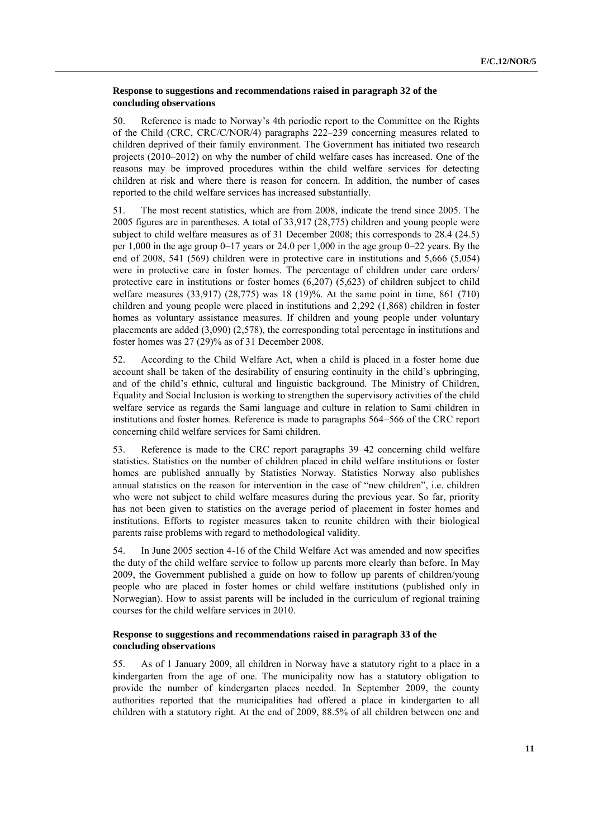#### **Response to suggestions and recommendations raised in paragraph 32 of the concluding observations**

50. Reference is made to Norway's 4th periodic report to the Committee on the Rights of the Child (CRC, CRC/C/NOR/4) paragraphs 222–239 concerning measures related to children deprived of their family environment. The Government has initiated two research projects (2010–2012) on why the number of child welfare cases has increased. One of the reasons may be improved procedures within the child welfare services for detecting children at risk and where there is reason for concern. In addition, the number of cases reported to the child welfare services has increased substantially.

51. The most recent statistics, which are from 2008, indicate the trend since 2005. The 2005 figures are in parentheses. A total of 33,917 (28,775) children and young people were subject to child welfare measures as of 31 December 2008; this corresponds to 28.4 (24.5) per  $1,000$  in the age group  $0-17$  years or  $24.0$  per  $1,000$  in the age group  $0-22$  years. By the end of 2008, 541 (569) children were in protective care in institutions and 5,666 (5,054) were in protective care in foster homes. The percentage of children under care orders/ protective care in institutions or foster homes (6,207) (5,623) of children subject to child welfare measures (33,917) (28,775) was 18 (19)%. At the same point in time, 861 (710) children and young people were placed in institutions and 2,292 (1,868) children in foster homes as voluntary assistance measures. If children and young people under voluntary placements are added (3,090) (2,578), the corresponding total percentage in institutions and foster homes was 27 (29)% as of 31 December 2008.

52. According to the Child Welfare Act, when a child is placed in a foster home due account shall be taken of the desirability of ensuring continuity in the child's upbringing, and of the child's ethnic, cultural and linguistic background. The Ministry of Children, Equality and Social Inclusion is working to strengthen the supervisory activities of the child welfare service as regards the Sami language and culture in relation to Sami children in institutions and foster homes. Reference is made to paragraphs 564–566 of the CRC report concerning child welfare services for Sami children.

53. Reference is made to the CRC report paragraphs 39–42 concerning child welfare statistics. Statistics on the number of children placed in child welfare institutions or foster homes are published annually by Statistics Norway. Statistics Norway also publishes annual statistics on the reason for intervention in the case of "new children", i.e. children who were not subject to child welfare measures during the previous year. So far, priority has not been given to statistics on the average period of placement in foster homes and institutions. Efforts to register measures taken to reunite children with their biological parents raise problems with regard to methodological validity.

54. In June 2005 section 4-16 of the Child Welfare Act was amended and now specifies the duty of the child welfare service to follow up parents more clearly than before. In May 2009, the Government published a guide on how to follow up parents of children/young people who are placed in foster homes or child welfare institutions (published only in Norwegian). How to assist parents will be included in the curriculum of regional training courses for the child welfare services in 2010.

#### **Response to suggestions and recommendations raised in paragraph 33 of the concluding observations**

55. As of 1 January 2009, all children in Norway have a statutory right to a place in a kindergarten from the age of one. The municipality now has a statutory obligation to provide the number of kindergarten places needed. In September 2009, the county authorities reported that the municipalities had offered a place in kindergarten to all children with a statutory right. At the end of 2009, 88.5% of all children between one and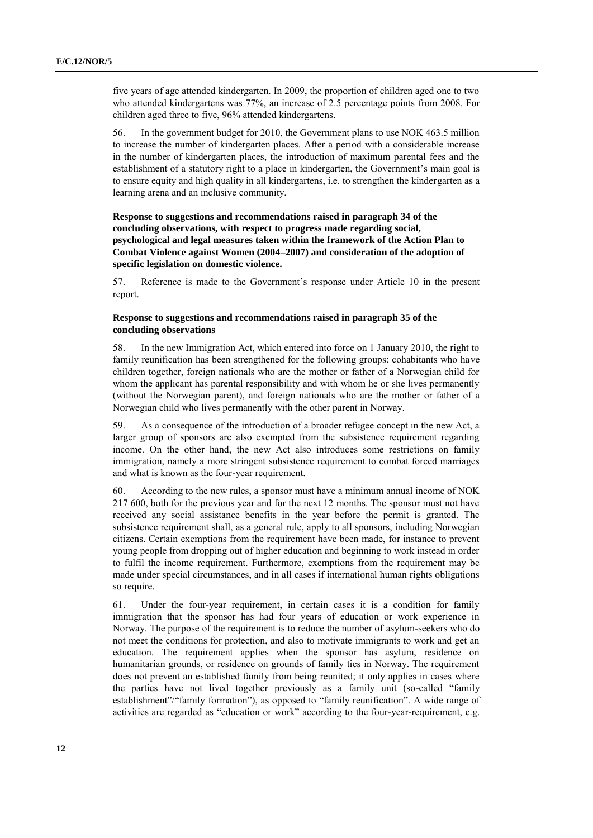five years of age attended kindergarten. In 2009, the proportion of children aged one to two who attended kindergartens was 77%, an increase of 2.5 percentage points from 2008. For children aged three to five, 96% attended kindergartens.

56. In the government budget for 2010, the Government plans to use NOK 463.5 million to increase the number of kindergarten places. After a period with a considerable increase in the number of kindergarten places, the introduction of maximum parental fees and the establishment of a statutory right to a place in kindergarten, the Government's main goal is to ensure equity and high quality in all kindergartens, i.e. to strengthen the kindergarten as a learning arena and an inclusive community.

**Response to suggestions and recommendations raised in paragraph 34 of the concluding observations, with respect to progress made regarding social, psychological and legal measures taken within the framework of the Action Plan to Combat Violence against Women (2004–2007) and consideration of the adoption of specific legislation on domestic violence.**

57. Reference is made to the Government's response under Article 10 in the present report.

#### **Response to suggestions and recommendations raised in paragraph 35 of the concluding observations**

58. In the new Immigration Act, which entered into force on 1 January 2010, the right to family reunification has been strengthened for the following groups: cohabitants who have children together, foreign nationals who are the mother or father of a Norwegian child for whom the applicant has parental responsibility and with whom he or she lives permanently (without the Norwegian parent), and foreign nationals who are the mother or father of a Norwegian child who lives permanently with the other parent in Norway.

59. As a consequence of the introduction of a broader refugee concept in the new Act, a larger group of sponsors are also exempted from the subsistence requirement regarding income. On the other hand, the new Act also introduces some restrictions on family immigration, namely a more stringent subsistence requirement to combat forced marriages and what is known as the four-year requirement.

60. According to the new rules, a sponsor must have a minimum annual income of NOK 217 600, both for the previous year and for the next 12 months. The sponsor must not have received any social assistance benefits in the year before the permit is granted. The subsistence requirement shall, as a general rule, apply to all sponsors, including Norwegian citizens. Certain exemptions from the requirement have been made, for instance to prevent young people from dropping out of higher education and beginning to work instead in order to fulfil the income requirement. Furthermore, exemptions from the requirement may be made under special circumstances, and in all cases if international human rights obligations so require.

61. Under the four-year requirement, in certain cases it is a condition for family immigration that the sponsor has had four years of education or work experience in Norway. The purpose of the requirement is to reduce the number of asylum-seekers who do not meet the conditions for protection, and also to motivate immigrants to work and get an education. The requirement applies when the sponsor has asylum, residence on humanitarian grounds, or residence on grounds of family ties in Norway. The requirement does not prevent an established family from being reunited; it only applies in cases where the parties have not lived together previously as a family unit (so-called "family establishment"/"family formation"), as opposed to "family reunification". A wide range of activities are regarded as "education or work" according to the four-year-requirement, e.g.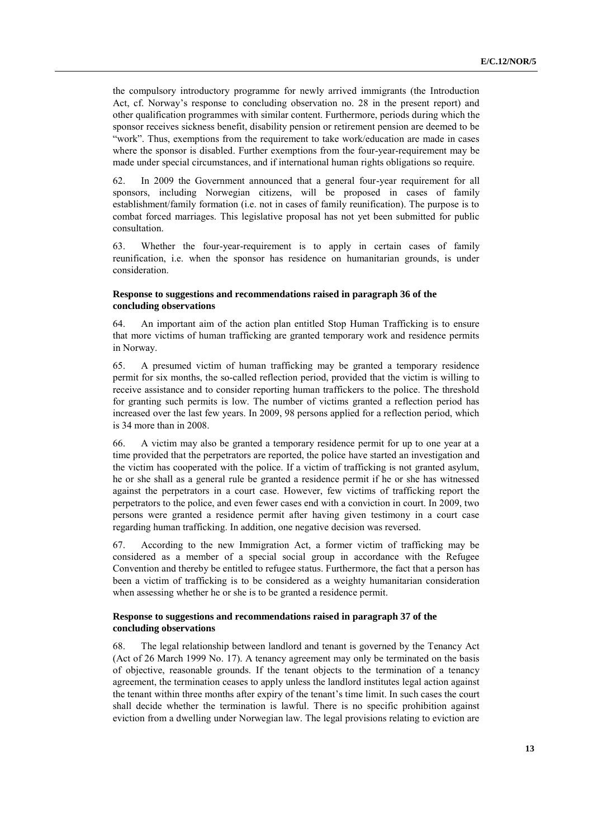the compulsory introductory programme for newly arrived immigrants (the Introduction Act, cf. Norway's response to concluding observation no. 28 in the present report) and other qualification programmes with similar content. Furthermore, periods during which the sponsor receives sickness benefit, disability pension or retirement pension are deemed to be "work". Thus, exemptions from the requirement to take work/education are made in cases where the sponsor is disabled. Further exemptions from the four-year-requirement may be made under special circumstances, and if international human rights obligations so require.

62. In 2009 the Government announced that a general four-year requirement for all sponsors, including Norwegian citizens, will be proposed in cases of family establishment/family formation (i.e. not in cases of family reunification). The purpose is to combat forced marriages. This legislative proposal has not yet been submitted for public consultation.

63. Whether the four-year-requirement is to apply in certain cases of family reunification, i.e. when the sponsor has residence on humanitarian grounds, is under consideration.

#### **Response to suggestions and recommendations raised in paragraph 36 of the concluding observations**

64. An important aim of the action plan entitled Stop Human Trafficking is to ensure that more victims of human trafficking are granted temporary work and residence permits in Norway.

65. A presumed victim of human trafficking may be granted a temporary residence permit for six months, the so-called reflection period, provided that the victim is willing to receive assistance and to consider reporting human traffickers to the police. The threshold for granting such permits is low. The number of victims granted a reflection period has increased over the last few years. In 2009, 98 persons applied for a reflection period, which is 34 more than in 2008.

66. A victim may also be granted a temporary residence permit for up to one year at a time provided that the perpetrators are reported, the police have started an investigation and the victim has cooperated with the police. If a victim of trafficking is not granted asylum, he or she shall as a general rule be granted a residence permit if he or she has witnessed against the perpetrators in a court case. However, few victims of trafficking report the perpetrators to the police, and even fewer cases end with a conviction in court. In 2009, two persons were granted a residence permit after having given testimony in a court case regarding human trafficking. In addition, one negative decision was reversed.

67. According to the new Immigration Act, a former victim of trafficking may be considered as a member of a special social group in accordance with the Refugee Convention and thereby be entitled to refugee status. Furthermore, the fact that a person has been a victim of trafficking is to be considered as a weighty humanitarian consideration when assessing whether he or she is to be granted a residence permit.

#### **Response to suggestions and recommendations raised in paragraph 37 of the concluding observations**

68. The legal relationship between landlord and tenant is governed by the Tenancy Act (Act of 26 March 1999 No. 17). A tenancy agreement may only be terminated on the basis of objective, reasonable grounds. If the tenant objects to the termination of a tenancy agreement, the termination ceases to apply unless the landlord institutes legal action against the tenant within three months after expiry of the tenant's time limit. In such cases the court shall decide whether the termination is lawful. There is no specific prohibition against eviction from a dwelling under Norwegian law. The legal provisions relating to eviction are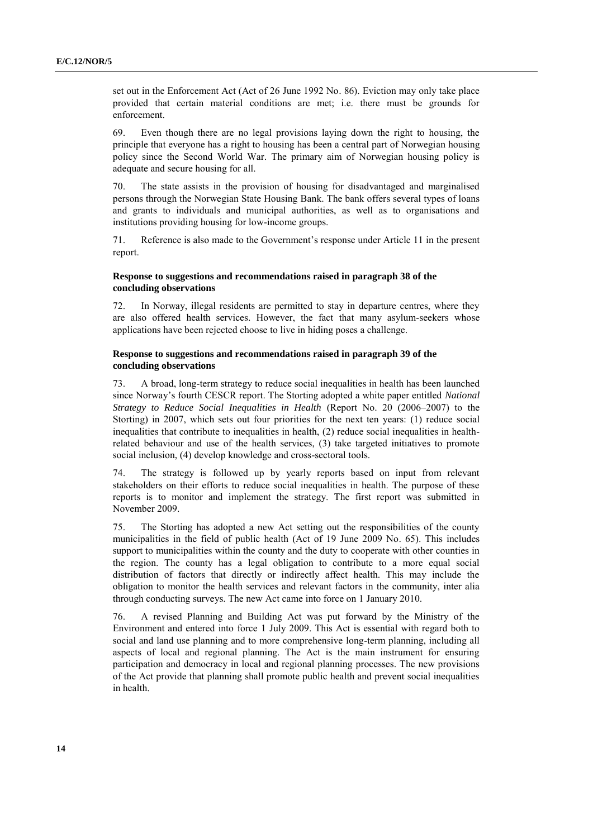set out in the Enforcement Act (Act of 26 June 1992 No. 86). Eviction may only take place provided that certain material conditions are met; i.e. there must be grounds for enforcement.

69. Even though there are no legal provisions laying down the right to housing, the principle that everyone has a right to housing has been a central part of Norwegian housing policy since the Second World War. The primary aim of Norwegian housing policy is adequate and secure housing for all.

70. The state assists in the provision of housing for disadvantaged and marginalised persons through the Norwegian State Housing Bank. The bank offers several types of loans and grants to individuals and municipal authorities, as well as to organisations and institutions providing housing for low-income groups.

71. Reference is also made to the Government's response under Article 11 in the present report.

#### **Response to suggestions and recommendations raised in paragraph 38 of the concluding observations**

72. In Norway, illegal residents are permitted to stay in departure centres, where they are also offered health services. However, the fact that many asylum-seekers whose applications have been rejected choose to live in hiding poses a challenge.

#### **Response to suggestions and recommendations raised in paragraph 39 of the concluding observations**

73. A broad, long-term strategy to reduce social inequalities in health has been launched since Norway's fourth CESCR report. The Storting adopted a white paper entitled *National Strategy to Reduce Social Inequalities in Health* (Report No. 20 (2006–2007) to the Storting) in 2007, which sets out four priorities for the next ten years: (1) reduce social inequalities that contribute to inequalities in health, (2) reduce social inequalities in healthrelated behaviour and use of the health services, (3) take targeted initiatives to promote social inclusion, (4) develop knowledge and cross-sectoral tools.

74. The strategy is followed up by yearly reports based on input from relevant stakeholders on their efforts to reduce social inequalities in health. The purpose of these reports is to monitor and implement the strategy. The first report was submitted in November 2009.

75. The Storting has adopted a new Act setting out the responsibilities of the county municipalities in the field of public health (Act of 19 June 2009 No. 65). This includes support to municipalities within the county and the duty to cooperate with other counties in the region. The county has a legal obligation to contribute to a more equal social distribution of factors that directly or indirectly affect health. This may include the obligation to monitor the health services and relevant factors in the community, inter alia through conducting surveys. The new Act came into force on 1 January 2010.

76. A revised Planning and Building Act was put forward by the Ministry of the Environment and entered into force 1 July 2009. This Act is essential with regard both to social and land use planning and to more comprehensive long-term planning, including all aspects of local and regional planning. The Act is the main instrument for ensuring participation and democracy in local and regional planning processes. The new provisions of the Act provide that planning shall promote public health and prevent social inequalities in health.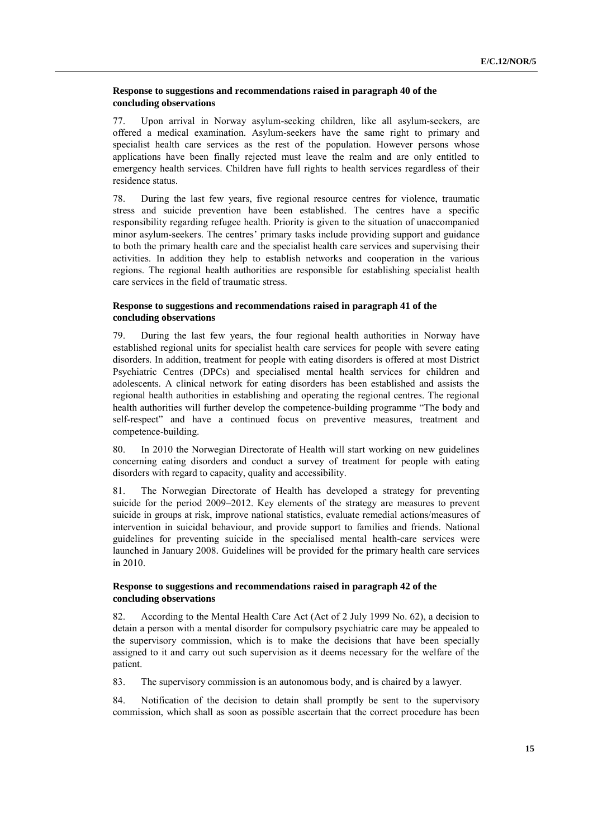#### **Response to suggestions and recommendations raised in paragraph 40 of the concluding observations**

77. Upon arrival in Norway asylum-seeking children, like all asylum-seekers, are offered a medical examination. Asylum-seekers have the same right to primary and specialist health care services as the rest of the population. However persons whose applications have been finally rejected must leave the realm and are only entitled to emergency health services. Children have full rights to health services regardless of their residence status.

78. During the last few years, five regional resource centres for violence, traumatic stress and suicide prevention have been established. The centres have a specific responsibility regarding refugee health. Priority is given to the situation of unaccompanied minor asylum-seekers. The centres' primary tasks include providing support and guidance to both the primary health care and the specialist health care services and supervising their activities. In addition they help to establish networks and cooperation in the various regions. The regional health authorities are responsible for establishing specialist health care services in the field of traumatic stress.

#### **Response to suggestions and recommendations raised in paragraph 41 of the concluding observations**

79. During the last few years, the four regional health authorities in Norway have established regional units for specialist health care services for people with severe eating disorders. In addition, treatment for people with eating disorders is offered at most District Psychiatric Centres (DPCs) and specialised mental health services for children and adolescents. A clinical network for eating disorders has been established and assists the regional health authorities in establishing and operating the regional centres. The regional health authorities will further develop the competence-building programme "The body and self-respect" and have a continued focus on preventive measures, treatment and competence-building.

80. In 2010 the Norwegian Directorate of Health will start working on new guidelines concerning eating disorders and conduct a survey of treatment for people with eating disorders with regard to capacity, quality and accessibility.

81. The Norwegian Directorate of Health has developed a strategy for preventing suicide for the period 2009–2012. Key elements of the strategy are measures to prevent suicide in groups at risk, improve national statistics, evaluate remedial actions/measures of intervention in suicidal behaviour, and provide support to families and friends. National guidelines for preventing suicide in the specialised mental health-care services were launched in January 2008*.* Guidelines will be provided for the primary health care services in 2010.

#### **Response to suggestions and recommendations raised in paragraph 42 of the concluding observations**

82. According to the Mental Health Care Act (Act of 2 July 1999 No. 62), a decision to detain a person with a mental disorder for compulsory psychiatric care may be appealed to the supervisory commission, which is to make the decisions that have been specially assigned to it and carry out such supervision as it deems necessary for the welfare of the patient.

83. The supervisory commission is an autonomous body, and is chaired by a lawyer.

84. Notification of the decision to detain shall promptly be sent to the supervisory commission, which shall as soon as possible ascertain that the correct procedure has been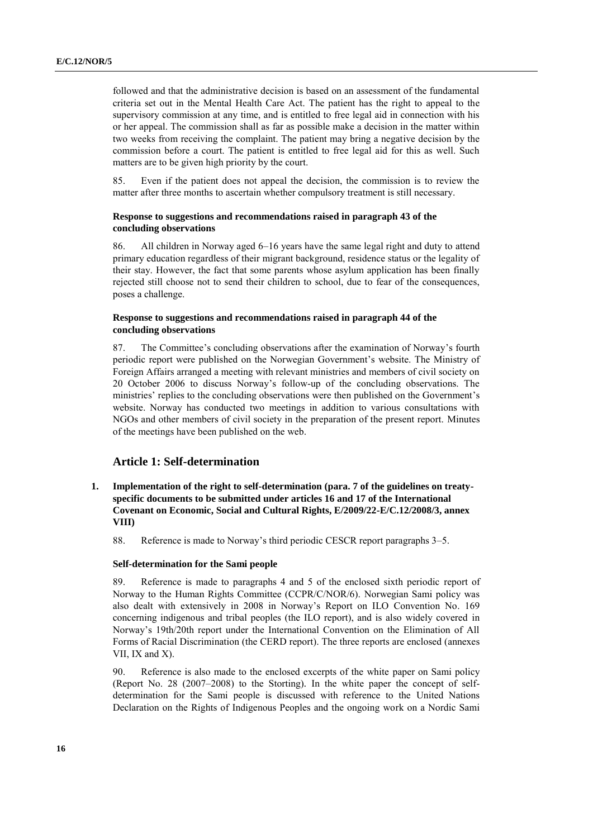followed and that the administrative decision is based on an assessment of the fundamental criteria set out in the Mental Health Care Act. The patient has the right to appeal to the supervisory commission at any time, and is entitled to free legal aid in connection with his or her appeal. The commission shall as far as possible make a decision in the matter within two weeks from receiving the complaint. The patient may bring a negative decision by the commission before a court. The patient is entitled to free legal aid for this as well. Such matters are to be given high priority by the court.

85. Even if the patient does not appeal the decision, the commission is to review the matter after three months to ascertain whether compulsory treatment is still necessary.

#### **Response to suggestions and recommendations raised in paragraph 43 of the concluding observations**

86. All children in Norway aged 6–16 years have the same legal right and duty to attend primary education regardless of their migrant background, residence status or the legality of their stay. However, the fact that some parents whose asylum application has been finally rejected still choose not to send their children to school, due to fear of the consequences, poses a challenge.

#### **Response to suggestions and recommendations raised in paragraph 44 of the concluding observations**

87. The Committee's concluding observations after the examination of Norway's fourth periodic report were published on the Norwegian Government's website. The Ministry of Foreign Affairs arranged a meeting with relevant ministries and members of civil society on 20 October 2006 to discuss Norway's follow-up of the concluding observations. The ministries' replies to the concluding observations were then published on the Government's website. Norway has conducted two meetings in addition to various consultations with NGOs and other members of civil society in the preparation of the present report. Minutes of the meetings have been published on the web.

#### **Article 1: Self-determination**

- **1. Implementation of the right to self-determination (para. 7 of the guidelines on treatyspecific documents to be submitted under articles 16 and 17 of the International Covenant on Economic, Social and Cultural Rights, E/2009/22-E/C.12/2008/3, annex VIII)**
	- 88. Reference is made to Norway's third periodic CESCR report paragraphs 3–5.

#### **Self-determination for the Sami people**

89. Reference is made to paragraphs 4 and 5 of the enclosed sixth periodic report of Norway to the Human Rights Committee (CCPR/C/NOR/6). Norwegian Sami policy was also dealt with extensively in 2008 in Norway's Report on ILO Convention No. 169 concerning indigenous and tribal peoples (the ILO report), and is also widely covered in Norway's 19th/20th report under the International Convention on the Elimination of All Forms of Racial Discrimination (the CERD report). The three reports are enclosed (annexes VII, IX and X).

90. Reference is also made to the enclosed excerpts of the white paper on Sami policy (Report No. 28 (2007–2008) to the Storting)*.* In the white paper the concept of selfdetermination for the Sami people is discussed with reference to the United Nations Declaration on the Rights of Indigenous Peoples and the ongoing work on a Nordic Sami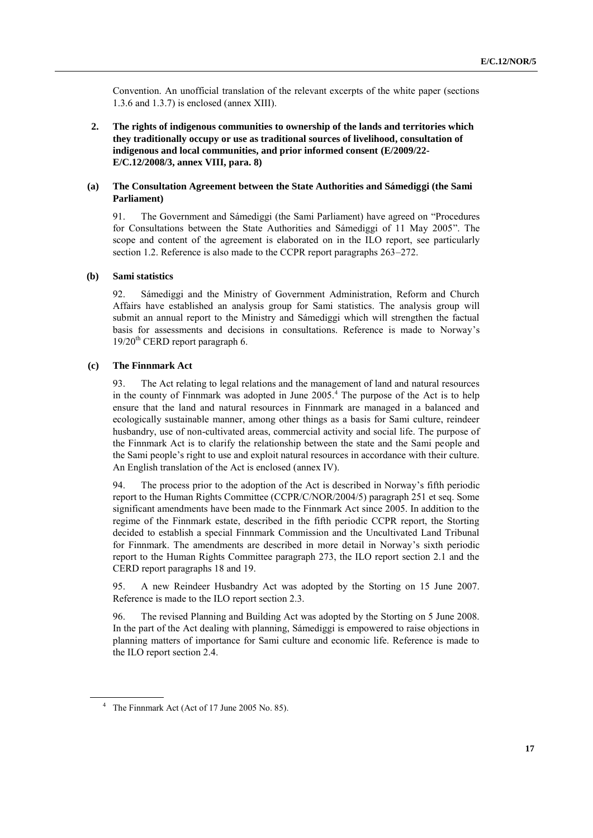Convention. An unofficial translation of the relevant excerpts of the white paper (sections 1.3.6 and 1.3.7) is enclosed (annex XIII).

**2. The rights of indigenous communities to ownership of the lands and territories which they traditionally occupy or use as traditional sources of livelihood, consultation of indigenous and local communities, and prior informed consent (E/2009/22- E/C.12/2008/3, annex VIII, para. 8)**

#### **(a) The Consultation Agreement between the State Authorities and Sámediggi (the Sami Parliament)**

91. The Government and Sámediggi (the Sami Parliament) have agreed on "Procedures" for Consultations between the State Authorities and Sámediggi of 11 May 2005". The scope and content of the agreement is elaborated on in the ILO report, see particularly section 1.2. Reference is also made to the CCPR report paragraphs 263–272.

#### **(b) Sami statistics**

92. Sámediggi and the Ministry of Government Administration, Reform and Church Affairs have established an analysis group for Sami statistics. The analysis group will submit an annual report to the Ministry and Sámediggi which will strengthen the factual basis for assessments and decisions in consultations. Reference is made to Norway's  $19/20<sup>th</sup>$  CERD report paragraph 6.

#### **(c) The Finnmark Act**

93. The Act relating to legal relations and the management of land and natural resources in the county of Finnmark was adopted in June 2005.<sup>4</sup> The purpose of the Act is to help ensure that the land and natural resources in Finnmark are managed in a balanced and ecologically sustainable manner, among other things as a basis for Sami culture, reindeer husbandry, use of non-cultivated areas, commercial activity and social life. The purpose of the Finnmark Act is to clarify the relationship between the state and the Sami people and the Sami people's right to use and exploit natural resources in accordance with their culture. An English translation of the Act is enclosed (annex IV).

94. The process prior to the adoption of the Act is described in Norway's fifth periodic report to the Human Rights Committee (CCPR/C/NOR/2004/5) paragraph 251 et seq. Some significant amendments have been made to the Finnmark Act since 2005. In addition to the regime of the Finnmark estate, described in the fifth periodic CCPR report, the Storting decided to establish a special Finnmark Commission and the Uncultivated Land Tribunal for Finnmark. The amendments are described in more detail in Norway's sixth periodic report to the Human Rights Committee paragraph 273, the ILO report section 2.1 and the CERD report paragraphs 18 and 19.

95. A new Reindeer Husbandry Act was adopted by the Storting on 15 June 2007. Reference is made to the ILO report section 2.3.

96. The revised Planning and Building Act was adopted by the Storting on 5 June 2008. In the part of the Act dealing with planning, Sámediggi is empowered to raise objections in planning matters of importance for Sami culture and economic life. Reference is made to the ILO report section 2.4.

<sup>&</sup>lt;sup>4</sup> The Finnmark Act (Act of 17 June 2005 No. 85).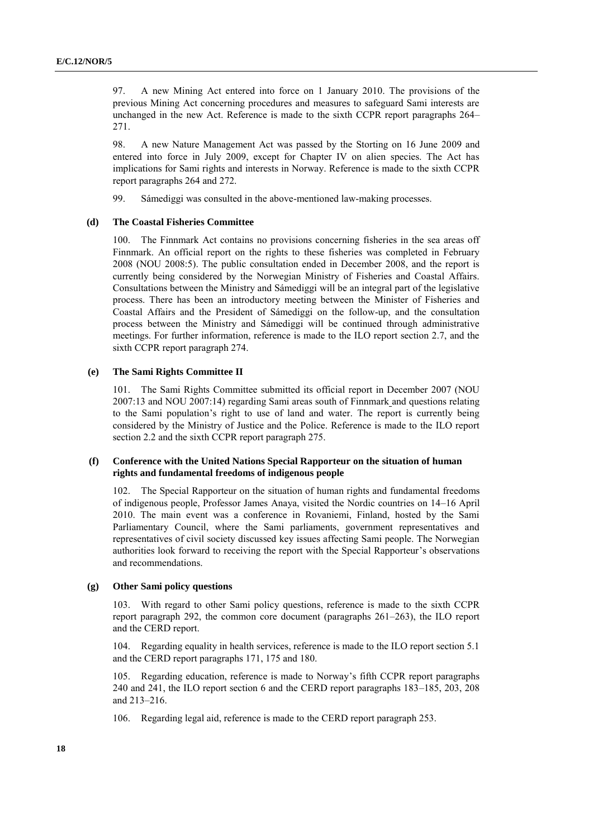97. A new Mining Act entered into force on 1 January 2010. The provisions of the previous Mining Act concerning procedures and measures to safeguard Sami interests are unchanged in the new Act. Reference is made to the sixth CCPR report paragraphs 264– 271.

98. A new Nature Management Act was passed by the Storting on 16 June 2009 and entered into force in July 2009, except for Chapter IV on alien species. The Act has implications for Sami rights and interests in Norway. Reference is made to the sixth CCPR report paragraphs 264 and 272.

99. Sámediggi was consulted in the above-mentioned law-making processes.

#### **(d) The Coastal Fisheries Committee**

100. The Finnmark Act contains no provisions concerning fisheries in the sea areas off Finnmark. An official report on the rights to these fisheries was completed in February 2008 (NOU 2008:5). The public consultation ended in December 2008, and the report is currently being considered by the Norwegian Ministry of Fisheries and Coastal Affairs. Consultations between the Ministry and Sámediggi will be an integral part of the legislative process. There has been an introductory meeting between the Minister of Fisheries and Coastal Affairs and the President of Sámediggi on the follow-up, and the consultation process between the Ministry and Sámediggi will be continued through administrative meetings. For further information, reference is made to the ILO report section 2.7, and the sixth CCPR report paragraph 274.

#### **(e) The Sami Rights Committee II**

101. The Sami Rights Committee submitted its official report in December 2007 (NOU 2007:13 and NOU 2007:14) regarding Sami areas south of Finnmark and questions relating to the Sami population's right to use of land and water. The report is currently being considered by the Ministry of Justice and the Police. Reference is made to the ILO report section 2.2 and the sixth CCPR report paragraph 275.

#### **(f) Conference with the United Nations Special Rapporteur on the situation of human rights and fundamental freedoms of indigenous people**

The Special Rapporteur on the situation of human rights and fundamental freedoms of indigenous people, Professor James Anaya, visited the Nordic countries on 14–16 April 2010. The main event was a conference in Rovaniemi, Finland, hosted by the Sami Parliamentary Council, where the Sami parliaments, government representatives and representatives of civil society discussed key issues affecting Sami people. The Norwegian authorities look forward to receiving the report with the Special Rapporteur's observations and recommendations.

#### **(g) Other Sami policy questions**

103. With regard to other Sami policy questions, reference is made to the sixth CCPR report paragraph 292, the common core document (paragraphs 261–263), the ILO report and the CERD report.

104. Regarding equality in health services, reference is made to the ILO report section 5.1 and the CERD report paragraphs 171, 175 and 180.

105. Regarding education, reference is made to Norway's fifth CCPR report paragraphs 240 and 241, the ILO report section 6 and the CERD report paragraphs 183–185, 203, 208 and 213–216.

106. Regarding legal aid, reference is made to the CERD report paragraph 253.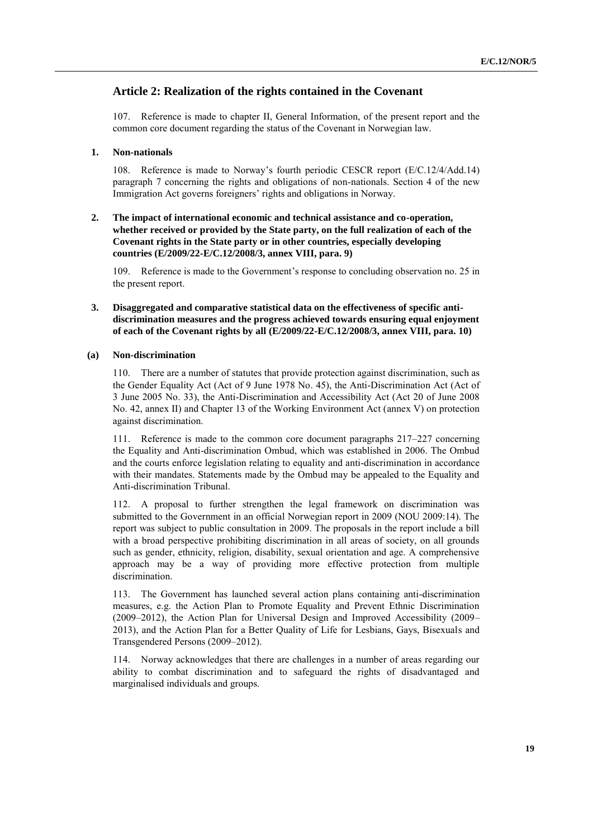#### **Article 2: Realization of the rights contained in the Covenant**

107. Reference is made to chapter II, General Information, of the present report and the common core document regarding the status of the Covenant in Norwegian law.

#### **1. Non-nationals**

108. Reference is made to Norway's fourth periodic CESCR report (E/C.12/4/Add.14) paragraph 7 concerning the rights and obligations of non-nationals. Section 4 of the new Immigration Act governs foreigners' rights and obligations in Norway.

#### **2. The impact of international economic and technical assistance and co-operation, whether received or provided by the State party, on the full realization of each of the Covenant rights in the State party or in other countries, especially developing countries (E/2009/22-E/C.12/2008/3, annex VIII, para. 9)**

109. Reference is made to the Government's response to concluding observation no. 25 in the present report.

**3. Disaggregated and comparative statistical data on the effectiveness of specific antidiscrimination measures and the progress achieved towards ensuring equal enjoyment of each of the Covenant rights by all (E/2009/22-E/C.12/2008/3, annex VIII, para. 10)**

#### **(a) Non-discrimination**

110. There are a number of statutes that provide protection against discrimination, such as the Gender Equality Act (Act of 9 June 1978 No. 45), the Anti-Discrimination Act (Act of 3 June 2005 No. 33), the Anti-Discrimination and Accessibility Act (Act 20 of June 2008 No. 42, annex II) and Chapter 13 of the Working Environment Act (annex V) on protection against discrimination.

111. Reference is made to the common core document paragraphs 217–227 concerning the Equality and Anti-discrimination Ombud, which was established in 2006. The Ombud and the courts enforce legislation relating to equality and anti-discrimination in accordance with their mandates. Statements made by the Ombud may be appealed to the Equality and Anti-discrimination Tribunal.

112. A proposal to further strengthen the legal framework on discrimination was submitted to the Government in an official Norwegian report in 2009 (NOU 2009:14). The report was subject to public consultation in 2009. The proposals in the report include a bill with a broad perspective prohibiting discrimination in all areas of society, on all grounds such as gender, ethnicity, religion, disability, sexual orientation and age. A comprehensive approach may be a way of providing more effective protection from multiple discrimination.

113. The Government has launched several action plans containing anti-discrimination measures, e.g. the Action Plan to Promote Equality and Prevent Ethnic Discrimination (2009–2012), the Action Plan for Universal Design and Improved Accessibility (2009– 2013), and the Action Plan for a Better Quality of Life for Lesbians, Gays, Bisexuals and Transgendered Persons (2009–2012).

114. Norway acknowledges that there are challenges in a number of areas regarding our ability to combat discrimination and to safeguard the rights of disadvantaged and marginalised individuals and groups.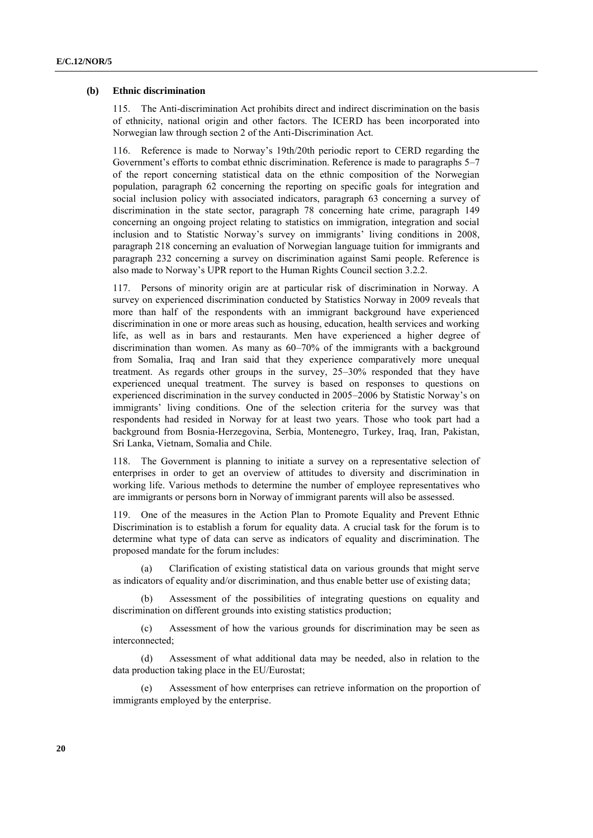#### **(b) Ethnic discrimination**

115. The Anti-discrimination Act prohibits direct and indirect discrimination on the basis of ethnicity, national origin and other factors. The ICERD has been incorporated into Norwegian law through section 2 of the Anti-Discrimination Act.

116. Reference is made to Norway's 19th/20th periodic report to CERD regarding the Government's efforts to combat ethnic discrimination. Reference is made to paragraphs 5–7 of the report concerning statistical data on the ethnic composition of the Norwegian population, paragraph 62 concerning the reporting on specific goals for integration and social inclusion policy with associated indicators, paragraph 63 concerning a survey of discrimination in the state sector, paragraph 78 concerning hate crime, paragraph 149 concerning an ongoing project relating to statistics on immigration, integration and social inclusion and to Statistic Norway's survey on immigrants' living conditions in 2008, paragraph 218 concerning an evaluation of Norwegian language tuition for immigrants and paragraph 232 concerning a survey on discrimination against Sami people. Reference is also made to Norway's UPR report to the Human Rights Council section 3.2.2.

117. Persons of minority origin are at particular risk of discrimination in Norway. A survey on experienced discrimination conducted by Statistics Norway in 2009 reveals that more than half of the respondents with an immigrant background have experienced discrimination in one or more areas such as housing, education, health services and working life, as well as in bars and restaurants. Men have experienced a higher degree of discrimination than women. As many as 60–70% of the immigrants with a background from Somalia, Iraq and Iran said that they experience comparatively more unequal treatment. As regards other groups in the survey, 25–30% responded that they have experienced unequal treatment. The survey is based on responses to questions on experienced discrimination in the survey conducted in 2005–2006 by Statistic Norway's on immigrants' living conditions. One of the selection criteria for the survey was that respondents had resided in Norway for at least two years. Those who took part had a background from Bosnia-Herzegovina, Serbia, Montenegro, Turkey, Iraq, Iran, Pakistan, Sri Lanka, Vietnam, Somalia and Chile.

118. The Government is planning to initiate a survey on a representative selection of enterprises in order to get an overview of attitudes to diversity and discrimination in working life. Various methods to determine the number of employee representatives who are immigrants or persons born in Norway of immigrant parents will also be assessed.

119. One of the measures in the Action Plan to Promote Equality and Prevent Ethnic Discrimination is to establish a forum for equality data. A crucial task for the forum is to determine what type of data can serve as indicators of equality and discrimination. The proposed mandate for the forum includes:

(a) Clarification of existing statistical data on various grounds that might serve as indicators of equality and/or discrimination, and thus enable better use of existing data;

Assessment of the possibilities of integrating questions on equality and discrimination on different grounds into existing statistics production;

(c) Assessment of how the various grounds for discrimination may be seen as interconnected;

(d) Assessment of what additional data may be needed, also in relation to the data production taking place in the EU/Eurostat;

Assessment of how enterprises can retrieve information on the proportion of immigrants employed by the enterprise.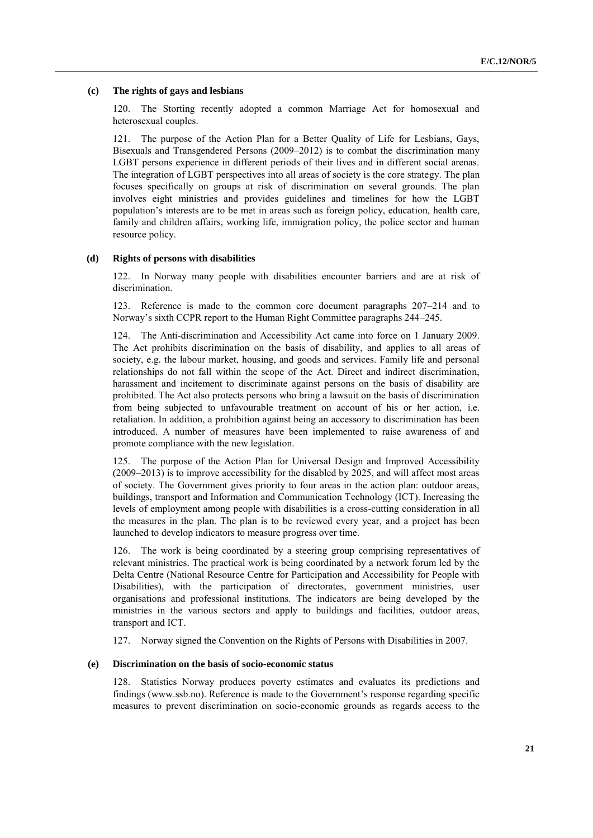#### **(c) The rights of gays and lesbians**

120. The Storting recently adopted a common Marriage Act for homosexual and heterosexual couples.

121. The purpose of the Action Plan for a Better Quality of Life for Lesbians, Gays, Bisexuals and Transgendered Persons (2009–2012) is to combat the discrimination many LGBT persons experience in different periods of their lives and in different social arenas. The integration of LGBT perspectives into all areas of society is the core strategy. The plan focuses specifically on groups at risk of discrimination on several grounds. The plan involves eight ministries and provides guidelines and timelines for how the LGBT population's interests are to be met in areas such as foreign policy, education, health care, family and children affairs, working life, immigration policy, the police sector and human resource policy.

#### **(d) Rights of persons with disabilities**

122. In Norway many people with disabilities encounter barriers and are at risk of discrimination.

123. Reference is made to the common core document paragraphs 207–214 and to Norway's sixth CCPR report to the Human Right Committee paragraphs 244–245.

124. The Anti-discrimination and Accessibility Act came into force on 1 January 2009. The Act prohibits discrimination on the basis of disability, and applies to all areas of society, e.g. the labour market, housing, and goods and services. Family life and personal relationships do not fall within the scope of the Act. Direct and indirect discrimination, harassment and incitement to discriminate against persons on the basis of disability are prohibited. The Act also protects persons who bring a lawsuit on the basis of discrimination from being subjected to unfavourable treatment on account of his or her action, i.e. retaliation. In addition, a prohibition against being an accessory to discrimination has been introduced. A number of measures have been implemented to raise awareness of and promote compliance with the new legislation.

125. The purpose of the Action Plan for Universal Design and Improved Accessibility (2009–2013) is to improve accessibility for the disabled by 2025, and will affect most areas of society. The Government gives priority to four areas in the action plan: outdoor areas, buildings, transport and Information and Communication Technology (ICT). Increasing the levels of employment among people with disabilities is a cross-cutting consideration in all the measures in the plan. The plan is to be reviewed every year, and a project has been launched to develop indicators to measure progress over time.

126. The work is being coordinated by a steering group comprising representatives of relevant ministries. The practical work is being coordinated by a network forum led by the Delta Centre (National Resource Centre for Participation and Accessibility for People with Disabilities), with the participation of directorates, government ministries, user organisations and professional institutions. The indicators are being developed by the ministries in the various sectors and apply to buildings and facilities, outdoor areas, transport and ICT.

127. Norway signed the Convention on the Rights of Persons with Disabilities in 2007.

#### **(e) Discrimination on the basis of socio-economic status**

128. Statistics Norway produces poverty estimates and evaluates its predictions and findings [\(www.ssb.no\)](http://www.ssb.no/). Reference is made to the Government's response regarding specific measures to prevent discrimination on socio-economic grounds as regards access to the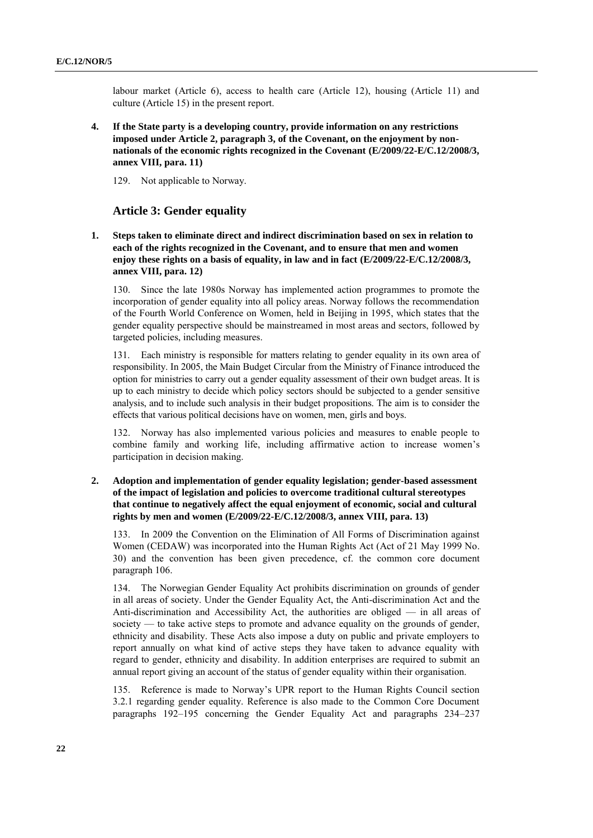labour market (Article 6), access to health care (Article 12), housing (Article 11) and culture (Article 15) in the present report.

**4. If the State party is a developing country, provide information on any restrictions imposed under Article 2, paragraph 3, of the Covenant, on the enjoyment by nonnationals of the economic rights recognized in the Covenant (E/2009/22-E/C.12/2008/3, annex VIII, para. 11)**

129. Not applicable to Norway.

#### **Article 3: Gender equality**

**1. Steps taken to eliminate direct and indirect discrimination based on sex in relation to each of the rights recognized in the Covenant, and to ensure that men and women enjoy these rights on a basis of equality, in law and in fact (E/2009/22-E/C.12/2008/3, annex VIII, para. 12)**

130. Since the late 1980s Norway has implemented action programmes to promote the incorporation of gender equality into all policy areas. Norway follows the recommendation of the Fourth World Conference on Women, held in Beijing in 1995, which states that the gender equality perspective should be mainstreamed in most areas and sectors, followed by targeted policies, including measures.

131. Each ministry is responsible for matters relating to gender equality in its own area of responsibility. In 2005, the Main Budget Circular from the Ministry of Finance introduced the option for ministries to carry out a gender equality assessment of their own budget areas. It is up to each ministry to decide which policy sectors should be subjected to a gender sensitive analysis, and to include such analysis in their budget propositions. The aim is to consider the effects that various political decisions have on women, men, girls and boys.

132. Norway has also implemented various policies and measures to enable people to combine family and working life, including affirmative action to increase women's participation in decision making.

**2. Adoption and implementation of gender equality legislation; gender-based assessment of the impact of legislation and policies to overcome traditional cultural stereotypes that continue to negatively affect the equal enjoyment of economic, social and cultural rights by men and women (E/2009/22-E/C.12/2008/3, annex VIII, para. 13)**

133. In 2009 the Convention on the Elimination of All Forms of Discrimination against Women (CEDAW) was incorporated into the Human Rights Act (Act of 21 May 1999 No. 30) and the convention has been given precedence, cf. the common core document paragraph 106.

134. The Norwegian Gender Equality Act prohibits discrimination on grounds of gender in all areas of society. Under the Gender Equality Act, the Anti-discrimination Act and the Anti-discrimination and Accessibility Act, the authorities are obliged — in all areas of society — to take active steps to promote and advance equality on the grounds of gender, ethnicity and disability. These Acts also impose a duty on public and private employers to report annually on what kind of active steps they have taken to advance equality with regard to gender, ethnicity and disability. In addition enterprises are required to submit an annual report giving an account of the status of gender equality within their organisation.

135. Reference is made to Norway's UPR report to the Human Rights Council section 3.2.1 regarding gender equality. Reference is also made to the Common Core Document paragraphs 192–195 concerning the Gender Equality Act and paragraphs 234–237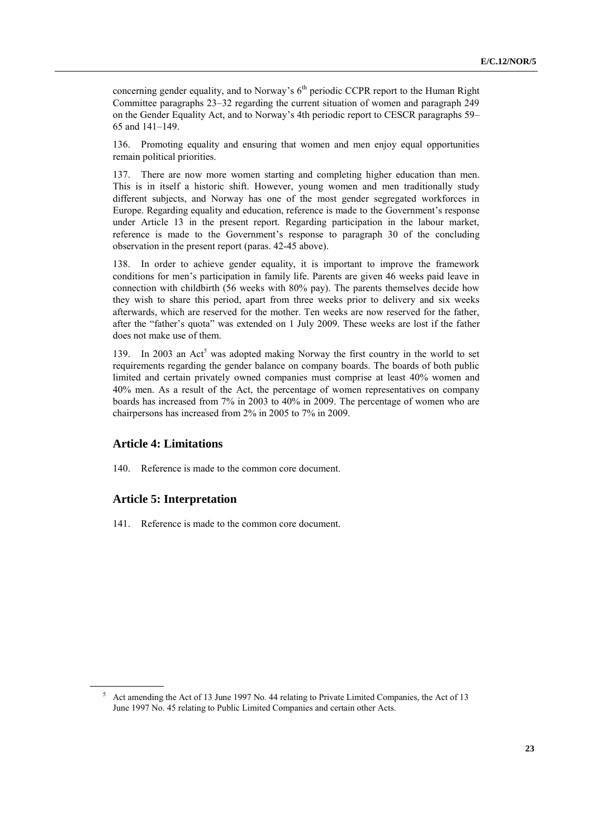concerning gender equality, and to Norway's  $6<sup>th</sup>$  periodic CCPR report to the Human Right Committee paragraphs 23–32 regarding the current situation of women and paragraph 249 on the Gender Equality Act, and to Norway's 4th periodic report to CESCR paragraphs 59– 65 and 141–149.

136. Promoting equality and ensuring that women and men enjoy equal opportunities remain political priorities.

137. There are now more women starting and completing higher education than men. This is in itself a historic shift. However, young women and men traditionally study different subjects, and Norway has one of the most gender segregated workforces in Europe. Regarding equality and education, reference is made to the Government's response under Article 13 in the present report. Regarding participation in the labour market, reference is made to the Government's response to paragraph 30 of the concluding observation in the present report (paras. 42-45 above).

138. In order to achieve gender equality, it is important to improve the framework conditions for men's participation in family life. Parents are given 46 weeks paid leave in connection with childbirth (56 weeks with 80% pay). The parents themselves decide how they wish to share this period, apart from three weeks prior to delivery and six weeks afterwards, which are reserved for the mother. Ten weeks are now reserved for the father, after the "father's quota" was extended on 1 July 2009. These weeks are lost if the father does not make use of them.

139. In 2003 an Act<sup>5</sup> was adopted making Norway the first country in the world to set requirements regarding the gender balance on company boards. The boards of both public limited and certain privately owned companies must comprise at least 40% women and 40% men. As a result of the Act, the percentage of women representatives on company boards has increased from 7% in 2003 to 40% in 2009. The percentage of women who are chairpersons has increased from 2% in 2005 to 7% in 2009.

#### **Article 4: Limitations**

140. Reference is made to the common core document.

#### **Article 5: Interpretation**

141. Reference is made to the common core document.

<sup>&</sup>lt;sup>5</sup> Act amending the Act of 13 June 1997 No. 44 relating to Private Limited Companies, the Act of 13 June 1997 No. 45 relating to Public Limited Companies and certain other Acts.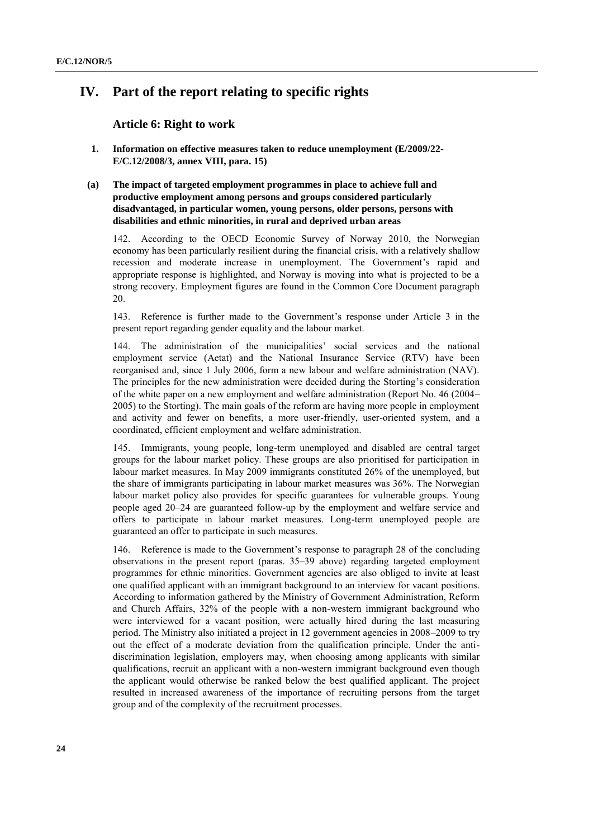## **IV. Part of the report relating to specific rights**

**Article 6: Right to work**

- **1. Information on effective measures taken to reduce unemployment (E/2009/22- E/C.12/2008/3, annex VIII, para. 15)**
- **(a) The impact of targeted employment programmes in place to achieve full and productive employment among persons and groups considered particularly disadvantaged, in particular women, young persons, older persons, persons with disabilities and ethnic minorities, in rural and deprived urban areas**

142. According to the OECD Economic Survey of Norway 2010, the Norwegian economy has been particularly resilient during the financial crisis, with a relatively shallow recession and moderate increase in unemployment. The Government's rapid and appropriate response is highlighted, and Norway is moving into what is projected to be a strong recovery. Employment figures are found in the Common Core Document paragraph 20.

143. Reference is further made to the Government's response under Article 3 in the present report regarding gender equality and the labour market.

The administration of the municipalities' social services and the national employment service (Aetat) and the National Insurance Service (RTV) have been reorganised and, since 1 July 2006, form a new labour and welfare administration (NAV). The principles for the new administration were decided during the Storting's consideration of the white paper on a new employment and welfare administration (Report No. 46 (2004– 2005) to the Storting). The main goals of the reform are having more people in employment and activity and fewer on benefits, a more user-friendly, user-oriented system, and a coordinated, efficient employment and welfare administration.

145. Immigrants, young people, long-term unemployed and disabled are central target groups for the labour market policy. These groups are also prioritised for participation in labour market measures. In May 2009 immigrants constituted 26% of the unemployed, but the share of immigrants participating in labour market measures was 36%. The Norwegian labour market policy also provides for specific guarantees for vulnerable groups. Young people aged 20–24 are guaranteed follow-up by the employment and welfare service and offers to participate in labour market measures. Long-term unemployed people are guaranteed an offer to participate in such measures.

146. Reference is made to the Government's response to paragraph 28 of the concluding observations in the present report (paras. 35–39 above) regarding targeted employment programmes for ethnic minorities. Government agencies are also obliged to invite at least one qualified applicant with an immigrant background to an interview for vacant positions. According to information gathered by the Ministry of Government Administration, Reform and Church Affairs, 32% of the people with a non-western immigrant background who were interviewed for a vacant position, were actually hired during the last measuring period. The Ministry also initiated a project in 12 government agencies in 2008–2009 to try out the effect of a moderate deviation from the qualification principle. Under the antidiscrimination legislation, employers may, when choosing among applicants with similar qualifications, recruit an applicant with a non-western immigrant background even though the applicant would otherwise be ranked below the best qualified applicant. The project resulted in increased awareness of the importance of recruiting persons from the target group and of the complexity of the recruitment processes.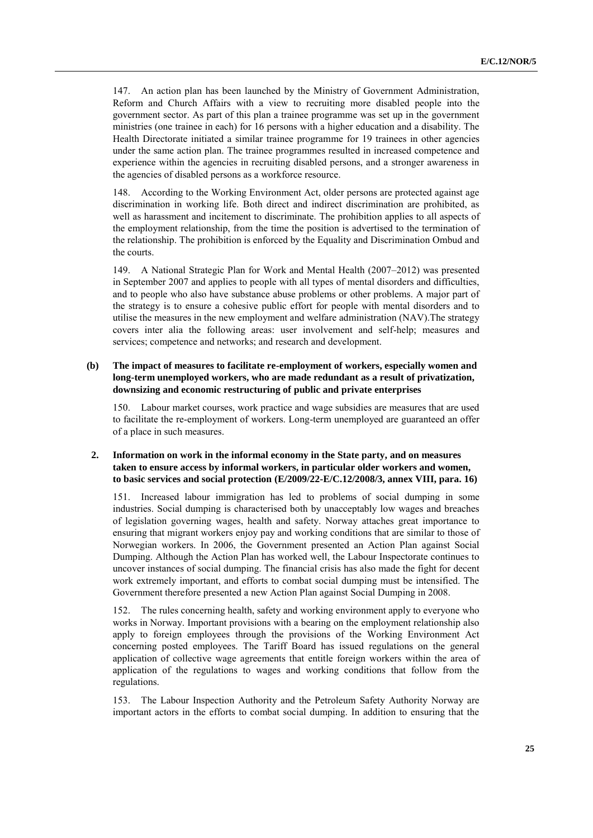147. An action plan has been launched by the Ministry of Government Administration, Reform and Church Affairs with a view to recruiting more disabled people into the government sector. As part of this plan a trainee programme was set up in the government ministries (one trainee in each) for 16 persons with a higher education and a disability. The Health Directorate initiated a similar trainee programme for 19 trainees in other agencies under the same action plan. The trainee programmes resulted in increased competence and experience within the agencies in recruiting disabled persons, and a stronger awareness in the agencies of disabled persons as a workforce resource.

148. According to the Working Environment Act, older persons are protected against age discrimination in working life. Both direct and indirect discrimination are prohibited, as well as harassment and incitement to discriminate. The prohibition applies to all aspects of the employment relationship, from the time the position is advertised to the termination of the relationship. The prohibition is enforced by the Equality and Discrimination Ombud and the courts.

149. A National Strategic Plan for Work and Mental Health (2007–2012) was presented in September 2007 and applies to people with all types of mental disorders and difficulties, and to people who also have substance abuse problems or other problems. A major part of the strategy is to ensure a cohesive public effort for people with mental disorders and to utilise the measures in the new employment and welfare administration (NAV).The strategy covers inter alia the following areas: user involvement and self-help; measures and services; competence and networks; and research and development.

#### **(b) The impact of measures to facilitate re-employment of workers, especially women and long-term unemployed workers, who are made redundant as a result of privatization, downsizing and economic restructuring of public and private enterprises**

150. Labour market courses, work practice and wage subsidies are measures that are used to facilitate the re-employment of workers. Long-term unemployed are guaranteed an offer of a place in such measures.

#### **2. Information on work in the informal economy in the State party, and on measures taken to ensure access by informal workers, in particular older workers and women, to basic services and social protection (E/2009/22-E/C.12/2008/3, annex VIII, para. 16)**

151. Increased labour immigration has led to problems of social dumping in some industries. Social dumping is characterised both by unacceptably low wages and breaches of legislation governing wages, health and safety. Norway attaches great importance to ensuring that migrant workers enjoy pay and working conditions that are similar to those of Norwegian workers. In 2006, the Government presented an Action Plan against Social Dumping. Although the Action Plan has worked well, the Labour Inspectorate continues to uncover instances of social dumping. The financial crisis has also made the fight for decent work extremely important, and efforts to combat social dumping must be intensified. The Government therefore presented a new Action Plan against Social Dumping in 2008.

152. The rules concerning health, safety and working environment apply to everyone who works in Norway. Important provisions with a bearing on the employment relationship also apply to foreign employees through the provisions of the Working Environment Act concerning posted employees. The Tariff Board has issued regulations on the general application of collective wage agreements that entitle foreign workers within the area of application of the regulations to wages and working conditions that follow from the regulations.

153. The Labour Inspection Authority and the Petroleum Safety Authority Norway are important actors in the efforts to combat social dumping. In addition to ensuring that the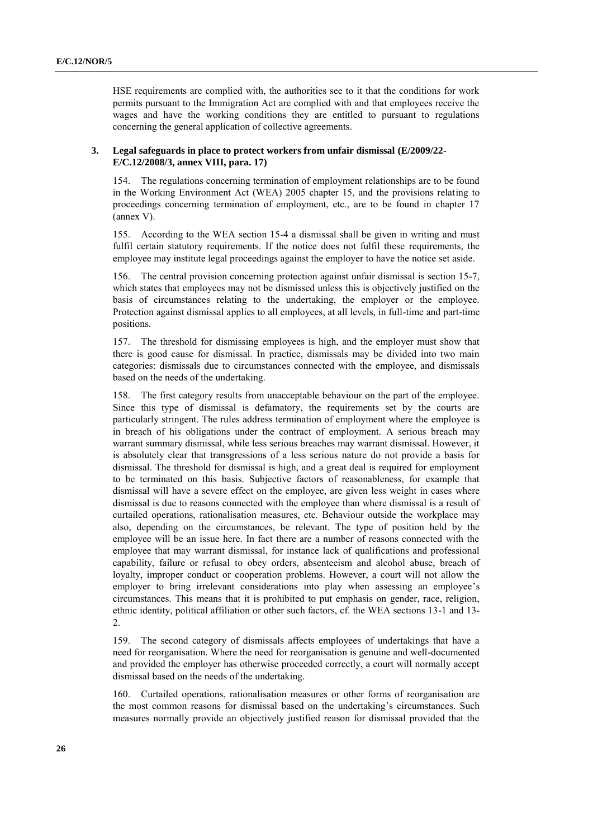HSE requirements are complied with, the authorities see to it that the conditions for work permits pursuant to the Immigration Act are complied with and that employees receive the wages and have the working conditions they are entitled to pursuant to regulations concerning the general application of collective agreements.

#### **3. Legal safeguards in place to protect workers from unfair dismissal (E/2009/22- E/C.12/2008/3, annex VIII, para. 17)**

154. The regulations concerning termination of employment relationships are to be found in the Working Environment Act (WEA) 2005 chapter 15, and the provisions relating to proceedings concerning termination of employment, etc., are to be found in chapter 17 (annex V).

155. According to the WEA section 15-4 a dismissal shall be given in writing and must fulfil certain statutory requirements. If the notice does not fulfil these requirements, the employee may institute legal proceedings against the employer to have the notice set aside.

156. The central provision concerning protection against unfair dismissal is section 15-7, which states that employees may not be dismissed unless this is objectively justified on the basis of circumstances relating to the undertaking, the employer or the employee. Protection against dismissal applies to all employees, at all levels, in full-time and part-time positions.

157. The threshold for dismissing employees is high, and the employer must show that there is good cause for dismissal. In practice, dismissals may be divided into two main categories: dismissals due to circumstances connected with the employee, and dismissals based on the needs of the undertaking.

158. The first category results from unacceptable behaviour on the part of the employee. Since this type of dismissal is defamatory, the requirements set by the courts are particularly stringent. The rules address termination of employment where the employee is in breach of his obligations under the contract of employment. A serious breach may warrant summary dismissal, while less serious breaches may warrant dismissal. However, it is absolutely clear that transgressions of a less serious nature do not provide a basis for dismissal. The threshold for dismissal is high, and a great deal is required for employment to be terminated on this basis. Subjective factors of reasonableness, for example that dismissal will have a severe effect on the employee, are given less weight in cases where dismissal is due to reasons connected with the employee than where dismissal is a result of curtailed operations, rationalisation measures, etc. Behaviour outside the workplace may also, depending on the circumstances, be relevant. The type of position held by the employee will be an issue here. In fact there are a number of reasons connected with the employee that may warrant dismissal, for instance lack of qualifications and professional capability, failure or refusal to obey orders, absenteeism and alcohol abuse, breach of loyalty, improper conduct or cooperation problems. However, a court will not allow the employer to bring irrelevant considerations into play when assessing an employee's circumstances. This means that it is prohibited to put emphasis on gender, race, religion, ethnic identity, political affiliation or other such factors, cf. the WEA sections 13-1 and 13- 2.

159. The second category of dismissals affects employees of undertakings that have a need for reorganisation. Where the need for reorganisation is genuine and well-documented and provided the employer has otherwise proceeded correctly, a court will normally accept dismissal based on the needs of the undertaking.

160. Curtailed operations, rationalisation measures or other forms of reorganisation are the most common reasons for dismissal based on the undertaking's circumstances. Such measures normally provide an objectively justified reason for dismissal provided that the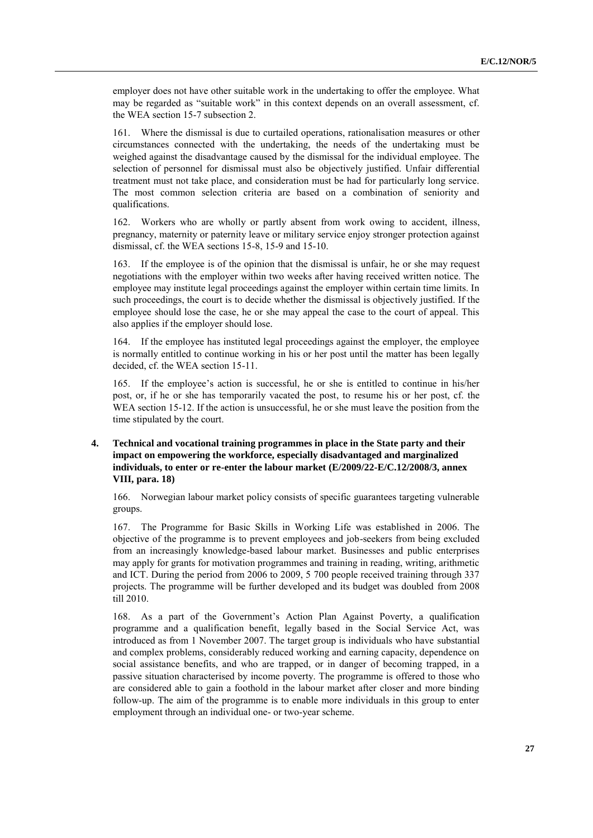employer does not have other suitable work in the undertaking to offer the employee. What may be regarded as "suitable work" in this context depends on an overall assessment, cf. the WEA section 15-7 subsection 2.

161. Where the dismissal is due to curtailed operations, rationalisation measures or other circumstances connected with the undertaking, the needs of the undertaking must be weighed against the disadvantage caused by the dismissal for the individual employee. The selection of personnel for dismissal must also be objectively justified. Unfair differential treatment must not take place, and consideration must be had for particularly long service. The most common selection criteria are based on a combination of seniority and qualifications.

162. Workers who are wholly or partly absent from work owing to accident, illness, pregnancy, maternity or paternity leave or military service enjoy stronger protection against dismissal, cf. the WEA sections 15-8, 15-9 and 15-10.

163. If the employee is of the opinion that the dismissal is unfair, he or she may request negotiations with the employer within two weeks after having received written notice. The employee may institute legal proceedings against the employer within certain time limits. In such proceedings, the court is to decide whether the dismissal is objectively justified. If the employee should lose the case, he or she may appeal the case to the court of appeal. This also applies if the employer should lose*.*

164. If the employee has instituted legal proceedings against the employer, the employee is normally entitled to continue working in his or her post until the matter has been legally decided, cf. the WEA section 15-11.

165. If the employee's action is successful, he or she is entitled to continue in his/her post, or, if he or she has temporarily vacated the post, to resume his or her post, cf. the WEA section 15-12. If the action is unsuccessful, he or she must leave the position from the time stipulated by the court.

#### **4. Technical and vocational training programmes in place in the State party and their impact on empowering the workforce, especially disadvantaged and marginalized individuals, to enter or re-enter the labour market (E/2009/22-E/C.12/2008/3, annex VIII, para. 18)**

166. Norwegian labour market policy consists of specific guarantees targeting vulnerable groups.

167. The Programme for Basic Skills in Working Life was established in 2006. The objective of the programme is to prevent employees and job-seekers from being excluded from an increasingly knowledge-based labour market. Businesses and public enterprises may apply for grants for motivation programmes and training in reading, writing, arithmetic and ICT. During the period from 2006 to 2009, 5 700 people received training through 337 projects. The programme will be further developed and its budget was doubled from 2008 till 2010.

168. As a part of the Government's Action Plan Against Poverty, a qualification programme and a qualification benefit, legally based in the Social Service Act, was introduced as from 1 November 2007. The target group is individuals who have substantial and complex problems, considerably reduced working and earning capacity, dependence on social assistance benefits, and who are trapped, or in danger of becoming trapped, in a passive situation characterised by income poverty. The programme is offered to those who are considered able to gain a foothold in the labour market after closer and more binding follow-up. The aim of the programme is to enable more individuals in this group to enter employment through an individual one- or two-year scheme.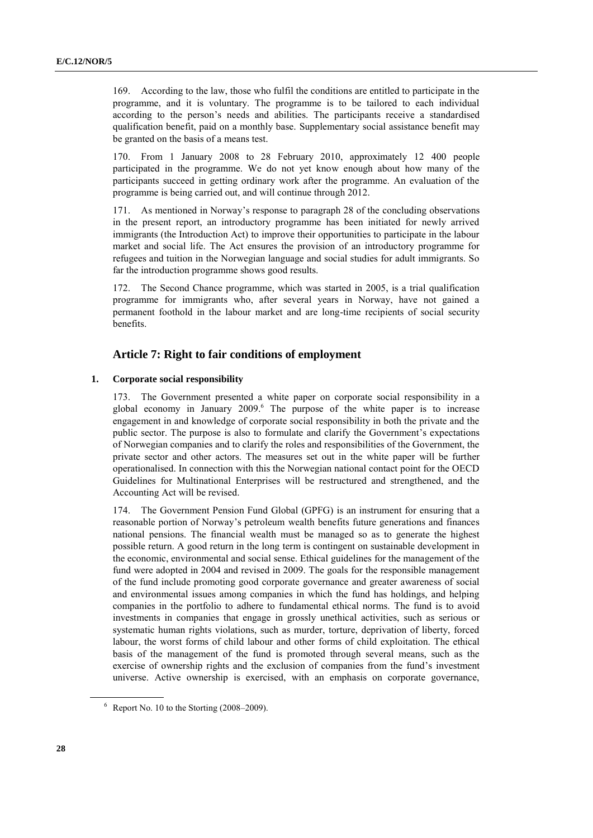169. According to the law, those who fulfil the conditions are entitled to participate in the programme, and it is voluntary. The programme is to be tailored to each individual according to the person's needs and abilities. The participants receive a standardised qualification benefit, paid on a monthly base. Supplementary social assistance benefit may be granted on the basis of a means test.

170. From 1 January 2008 to 28 February 2010, approximately 12 400 people participated in the programme. We do not yet know enough about how many of the participants succeed in getting ordinary work after the programme. An evaluation of the programme is being carried out, and will continue through 2012.

171. As mentioned in Norway's response to paragraph 28 of the concluding observations in the present report, an introductory programme has been initiated for newly arrived immigrants (the Introduction Act) to improve their opportunities to participate in the labour market and social life. The Act ensures the provision of an introductory programme for refugees and tuition in the Norwegian language and social studies for adult immigrants. So far the introduction programme shows good results.

The Second Chance programme, which was started in 2005, is a trial qualification programme for immigrants who, after several years in Norway, have not gained a permanent foothold in the labour market and are long-time recipients of social security benefits.

#### **Article 7: Right to fair conditions of employment**

#### **1. Corporate social responsibility**

173. The Government presented a white paper on corporate social responsibility in a global economy in January 2009.<sup>6</sup> The purpose of the white paper is to increase engagement in and knowledge of corporate social responsibility in both the private and the public sector. The purpose is also to formulate and clarify the Government's expectations of Norwegian companies and to clarify the roles and responsibilities of the Government, the private sector and other actors. The measures set out in the white paper will be further operationalised. In connection with this the Norwegian national contact point for the OECD Guidelines for Multinational Enterprises will be restructured and strengthened, and the Accounting Act will be revised.

174. The Government Pension Fund Global (GPFG) is an instrument for ensuring that a reasonable portion of Norway's petroleum wealth benefits future generations and finances national pensions. The financial wealth must be managed so as to generate the highest possible return. A good return in the long term is contingent on sustainable development in the economic, environmental and social sense. Ethical guidelines for the management of the fund were adopted in 2004 and revised in 2009. The goals for the responsible management of the fund include promoting good corporate governance and greater awareness of social and environmental issues among companies in which the fund has holdings, and helping companies in the portfolio to adhere to fundamental ethical norms. The fund is to avoid investments in companies that engage in grossly unethical activities, such as serious or systematic human rights violations, such as murder, torture, deprivation of liberty, forced labour, the worst forms of child labour and other forms of child exploitation. The ethical basis of the management of the fund is promoted through several means, such as the exercise of ownership rights and the exclusion of companies from the fund's investment universe. Active ownership is exercised, with an emphasis on corporate governance,

 $6$  Report No. 10 to the Storting (2008–2009).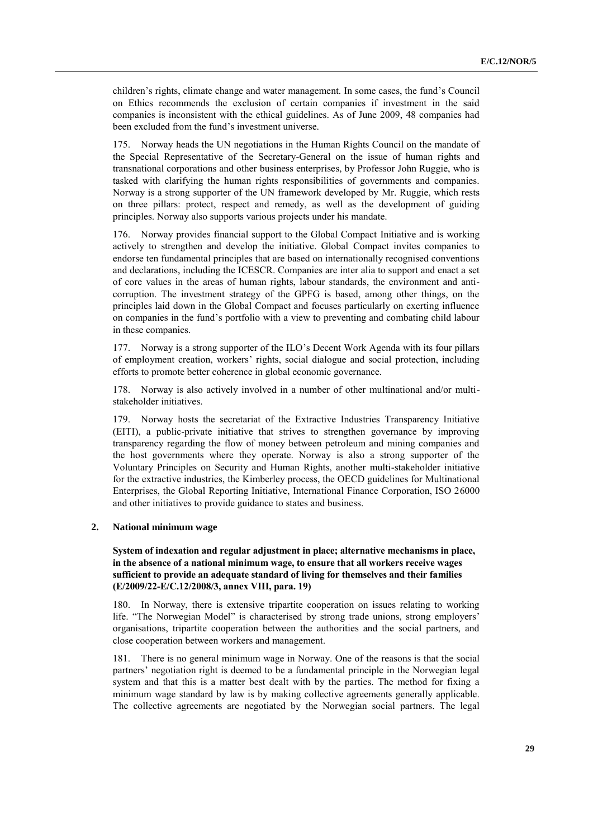children's rights, climate change and water management. In some cases, the fund's Council on Ethics recommends the exclusion of certain companies if investment in the said companies is inconsistent with the ethical guidelines. As of June 2009, 48 companies had been excluded from the fund's investment universe.

175. Norway heads the UN negotiations in the Human Rights Council on the mandate of the Special Representative of the Secretary-General on the issue of human rights and transnational corporations and other business enterprises, by Professor John Ruggie, who is tasked with clarifying the human rights responsibilities of governments and companies. Norway is a strong supporter of the UN framework developed by Mr. Ruggie, which rests on three pillars: protect, respect and remedy, as well as the development of guiding principles. Norway also supports various projects under his mandate.

176. Norway provides financial support to the Global Compact Initiative and is working actively to strengthen and develop the initiative. Global Compact invites companies to endorse ten fundamental principles that are based on internationally recognised conventions and declarations, including the ICESCR. Companies are inter alia to support and enact a set of core values in the areas of human rights, labour standards, the environment and anticorruption. The investment strategy of the GPFG is based, among other things, on the principles laid down in the Global Compact and focuses particularly on exerting influence on companies in the fund's portfolio with a view to preventing and combating child labour in these companies.

177. Norway is a strong supporter of the ILO's Decent Work Agenda with its four pillars of employment creation, workers' rights, social dialogue and social protection, including efforts to promote better coherence in global economic governance.

178. Norway is also actively involved in a number of other multinational and/or multistakeholder initiatives.

179. Norway hosts the secretariat of the Extractive Industries Transparency Initiative (EITI), a public-private initiative that strives to strengthen governance by improving transparency regarding the flow of money between petroleum and mining companies and the host governments where they operate. Norway is also a strong supporter of the Voluntary Principles on Security and Human Rights, another multi-stakeholder initiative for the extractive industries, the Kimberley process, the OECD guidelines for Multinational Enterprises, the Global Reporting Initiative, International Finance Corporation, ISO 26000 and other initiatives to provide guidance to states and business.

#### **2. National minimum wage**

**System of indexation and regular adjustment in place; alternative mechanisms in place, in the absence of a national minimum wage, to ensure that all workers receive wages sufficient to provide an adequate standard of living for themselves and their families (E/2009/22-E/C.12/2008/3, annex VIII, para. 19)**

180. In Norway, there is extensive tripartite cooperation on issues relating to working life. "The Norwegian Model" is characterised by strong trade unions, strong employers' organisations, tripartite cooperation between the authorities and the social partners, and close cooperation between workers and management.

181. There is no general minimum wage in Norway. One of the reasons is that the social partners' negotiation right is deemed to be a fundamental principle in the Norwegian legal system and that this is a matter best dealt with by the parties. The method for fixing a minimum wage standard by law is by making collective agreements generally applicable. The collective agreements are negotiated by the Norwegian social partners. The legal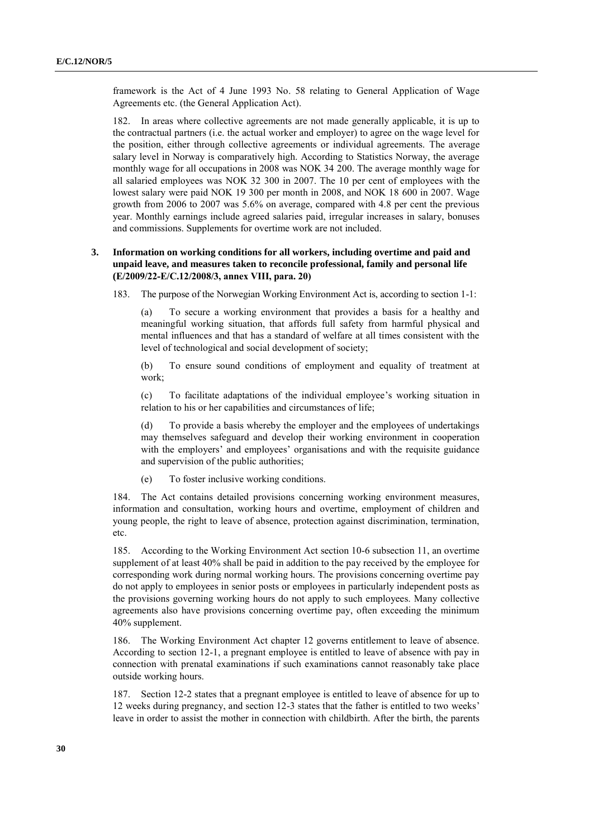framework is the Act of 4 June 1993 No. 58 relating to General Application of Wage Agreements etc. (the General Application Act).

182. In areas where collective agreements are not made generally applicable, it is up to the contractual partners (i.e. the actual worker and employer) to agree on the wage level for the position, either through collective agreements or individual agreements. The average salary level in Norway is comparatively high. According to Statistics Norway, the average monthly wage for all occupations in 2008 was NOK 34 200. The average monthly wage for all salaried employees was NOK 32 300 in 2007. The 10 per cent of employees with the lowest salary were paid NOK 19 300 per month in 2008, and NOK 18 600 in 2007. Wage growth from 2006 to 2007 was 5.6% on average, compared with 4.8 per cent the previous year. Monthly earnings include agreed salaries paid, irregular increases in salary, bonuses and commissions. Supplements for overtime work are not included.

#### **3. Information on working conditions for all workers, including overtime and paid and unpaid leave, and measures taken to reconcile professional, family and personal life (E/2009/22-E/C.12/2008/3, annex VIII, para. 20)**

183. The purpose of the Norwegian Working Environment Act is, according to section 1-1:

(a) To secure a working environment that provides a basis for a healthy and meaningful working situation, that affords full safety from harmful physical and mental influences and that has a standard of welfare at all times consistent with the level of technological and social development of society;

(b) To ensure sound conditions of employment and equality of treatment at work;

(c) To facilitate adaptations of the individual employee's working situation in relation to his or her capabilities and circumstances of life;

(d) To provide a basis whereby the employer and the employees of undertakings may themselves safeguard and develop their working environment in cooperation with the employers' and employees' organisations and with the requisite guidance and supervision of the public authorities;

(e) To foster inclusive working conditions.

184. The Act contains detailed provisions concerning working environment measures, information and consultation, working hours and overtime, employment of children and young people, the right to leave of absence, protection against discrimination, termination, etc.

185. According to the Working Environment Act section 10-6 subsection 11, an overtime supplement of at least 40% shall be paid in addition to the pay received by the employee for corresponding work during normal working hours. The provisions concerning overtime pay do not apply to employees in senior posts or employees in particularly independent posts as the provisions governing working hours do not apply to such employees. Many collective agreements also have provisions concerning overtime pay, often exceeding the minimum 40% supplement.

186. The Working Environment Act chapter 12 governs entitlement to leave of absence. According to section 12-1, a pregnant employee is entitled to leave of absence with pay in connection with prenatal examinations if such examinations cannot reasonably take place outside working hours.

187. Section 12-2 states that a pregnant employee is entitled to leave of absence for up to 12 weeks during pregnancy, and section 12-3 states that the father is entitled to two weeks' leave in order to assist the mother in connection with childbirth. After the birth, the parents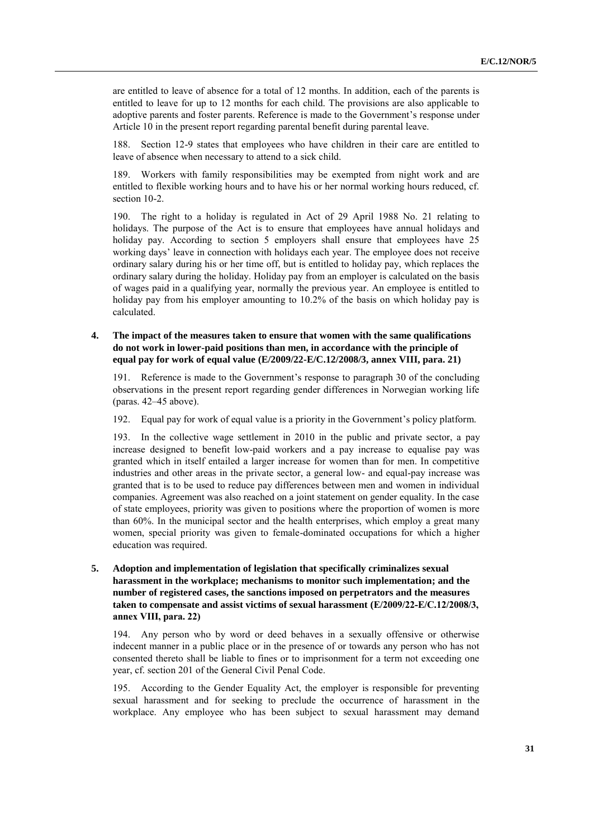are entitled to leave of absence for a total of 12 months. In addition, each of the parents is entitled to leave for up to 12 months for each child. The provisions are also applicable to adoptive parents and foster parents. Reference is made to the Government's response under Article 10 in the present report regarding parental benefit during parental leave.

188. Section 12-9 states that employees who have children in their care are entitled to leave of absence when necessary to attend to a sick child.

189. Workers with family responsibilities may be exempted from night work and are entitled to flexible working hours and to have his or her normal working hours reduced, cf. section 10-2.

190. The right to a holiday is regulated in Act of 29 April 1988 No. 21 relating to holidays. The purpose of the Act is to ensure that employees have annual holidays and holiday pay. According to section 5 employers shall ensure that employees have 25 working days' leave in connection with holidays each year. The employee does not receive ordinary salary during his or her time off, but is entitled to holiday pay, which replaces the ordinary salary during the holiday. Holiday pay from an employer is calculated on the basis of wages paid in a qualifying year, normally the previous year. An employee is entitled to holiday pay from his employer amounting to 10.2% of the basis on which holiday pay is calculated.

#### **4. The impact of the measures taken to ensure that women with the same qualifications do not work in lower-paid positions than men, in accordance with the principle of equal pay for work of equal value (E/2009/22-E/C.12/2008/3, annex VIII, para. 21)**

191. Reference is made to the Government's response to paragraph 30 of the concluding observations in the present report regarding gender differences in Norwegian working life (paras. 42–45 above).

192. Equal pay for work of equal value is a priority in the Government's policy platform.

193. In the collective wage settlement in 2010 in the public and private sector, a pay increase designed to benefit low-paid workers and a pay increase to equalise pay was granted which in itself entailed a larger increase for women than for men. In competitive industries and other areas in the private sector, a general low- and equal-pay increase was granted that is to be used to reduce pay differences between men and women in individual companies. Agreement was also reached on a joint statement on gender equality. In the case of state employees, priority was given to positions where the proportion of women is more than 60%. In the municipal sector and the health enterprises, which employ a great many women, special priority was given to female-dominated occupations for which a higher education was required.

#### **5. Adoption and implementation of legislation that specifically criminalizes sexual harassment in the workplace; mechanisms to monitor such implementation; and the number of registered cases, the sanctions imposed on perpetrators and the measures taken to compensate and assist victims of sexual harassment (E/2009/22-E/C.12/2008/3, annex VIII, para. 22)**

194. Any person who by word or deed behaves in a sexually offensive or otherwise indecent manner in a public place or in the presence of or towards any person who has not consented thereto shall be liable to fines or to imprisonment for a term not exceeding one year, cf. section 201 of the General Civil Penal Code.

195. According to the Gender Equality Act, the employer is responsible for preventing sexual harassment and for seeking to preclude the occurrence of harassment in the workplace. Any employee who has been subject to sexual harassment may demand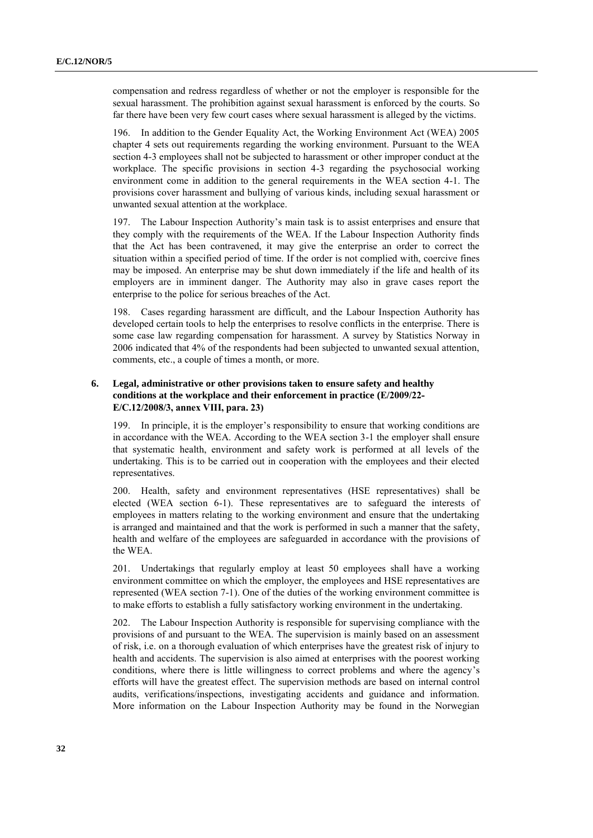compensation and redress regardless of whether or not the employer is responsible for the sexual harassment. The prohibition against sexual harassment is enforced by the courts. So far there have been very few court cases where sexual harassment is alleged by the victims.

196. In addition to the Gender Equality Act, the Working Environment Act (WEA) 2005 chapter 4 sets out requirements regarding the working environment. Pursuant to the WEA section 4-3 employees shall not be subjected to harassment or other improper conduct at the workplace. The specific provisions in section 4-3 regarding the psychosocial working environment come in addition to the general requirements in the WEA section 4-1. The provisions cover harassment and bullying of various kinds, including sexual harassment or unwanted sexual attention at the workplace.

197. The Labour Inspection Authority's main task is to assist enterprises and ensure that they comply with the requirements of the WEA. If the Labour Inspection Authority finds that the Act has been contravened, it may give the enterprise an order to correct the situation within a specified period of time. If the order is not complied with, coercive fines may be imposed. An enterprise may be shut down immediately if the life and health of its employers are in imminent danger. The Authority may also in grave cases report the enterprise to the police for serious breaches of the Act.

198. Cases regarding harassment are difficult, and the Labour Inspection Authority has developed certain tools to help the enterprises to resolve conflicts in the enterprise. There is some case law regarding compensation for harassment. A survey by Statistics Norway in 2006 indicated that 4% of the respondents had been subjected to unwanted sexual attention, comments, etc., a couple of times a month, or more.

#### **6. Legal, administrative or other provisions taken to ensure safety and healthy conditions at the workplace and their enforcement in practice (E/2009/22- E/C.12/2008/3, annex VIII, para. 23)**

199. In principle, it is the employer's responsibility to ensure that working conditions are in accordance with the WEA. According to the WEA section 3-1 the employer shall ensure that systematic health, environment and safety work is performed at all levels of the undertaking. This is to be carried out in cooperation with the employees and their elected representatives.

200. Health, safety and environment representatives (HSE representatives) shall be elected (WEA section 6-1). These representatives are to safeguard the interests of employees in matters relating to the working environment and ensure that the undertaking is arranged and maintained and that the work is performed in such a manner that the safety, health and welfare of the employees are safeguarded in accordance with the provisions of the WEA.

201. Undertakings that regularly employ at least 50 employees shall have a working environment committee on which the employer, the employees and HSE representatives are represented (WEA section 7-1). One of the duties of the working environment committee is to make efforts to establish a fully satisfactory working environment in the undertaking.

202. The Labour Inspection Authority is responsible for supervising compliance with the provisions of and pursuant to the WEA. The supervision is mainly based on an assessment of risk, i.e. on a thorough evaluation of which enterprises have the greatest risk of injury to health and accidents. The supervision is also aimed at enterprises with the poorest working conditions, where there is little willingness to correct problems and where the agency's efforts will have the greatest effect. The supervision methods are based on internal control audits, verifications/inspections, investigating accidents and guidance and information. More information on the Labour Inspection Authority may be found in the Norwegian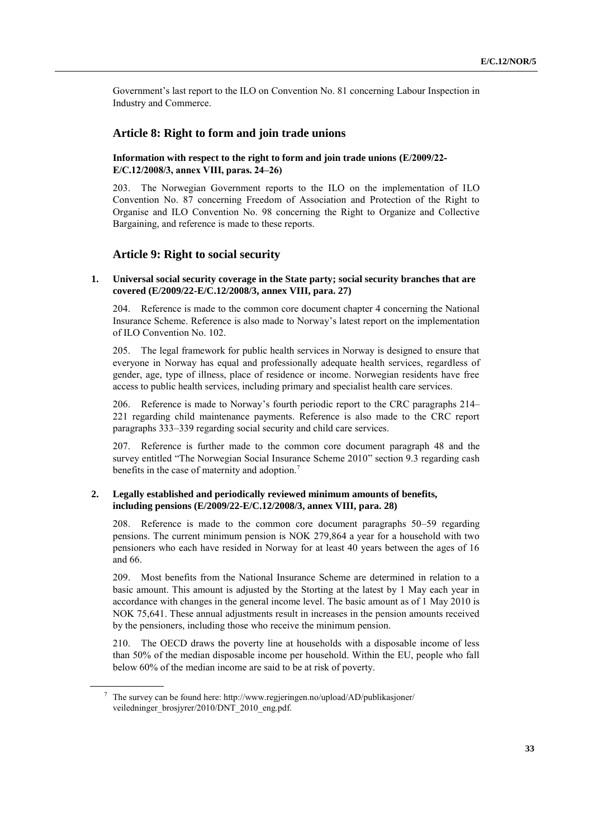Government's last report to the ILO on Convention No. 81 concerning Labour Inspection in Industry and Commerce.

#### **Article 8: Right to form and join trade unions**

#### **Information with respect to the right to form and join trade unions (E/2009/22- E/C.12/2008/3, annex VIII, paras. 24–26)**

203. The Norwegian Government reports to the ILO on the implementation of ILO Convention No. 87 concerning Freedom of Association and Protection of the Right to Organise and ILO Convention No. 98 concerning the Right to Organize and Collective Bargaining, and reference is made to these reports.

#### **Article 9: Right to social security**

#### **1. Universal social security coverage in the State party; social security branches that are covered (E/2009/22-E/C.12/2008/3, annex VIII, para. 27)**

204. Reference is made to the common core document chapter 4 concerning the National Insurance Scheme. Reference is also made to Norway's latest report on the implementation of ILO Convention No. 102.

205. The legal framework for public health services in Norway is designed to ensure that everyone in Norway has equal and professionally adequate health services, regardless of gender, age, type of illness, place of residence or income. Norwegian residents have free access to public health services, including primary and specialist health care services.

206. Reference is made to Norway's fourth periodic report to the CRC paragraphs 214– 221 regarding child maintenance payments. Reference is also made to the CRC report paragraphs 333–339 regarding social security and child care services.

207. Reference is further made to the common core document paragraph 48 and the survey entitled "The Norwegian Social Insurance Scheme 2010" section 9.3 regarding cash benefits in the case of maternity and adoption.<sup>7</sup>

#### **2. Legally established and periodically reviewed minimum amounts of benefits, including pensions (E/2009/22-E/C.12/2008/3, annex VIII, para. 28)**

208. Reference is made to the common core document paragraphs 50–59 regarding pensions. The current minimum pension is NOK 279,864 a year for a household with two pensioners who each have resided in Norway for at least 40 years between the ages of 16 and 66.

209. Most benefits from the National Insurance Scheme are determined in relation to a basic amount. This amount is adjusted by the Storting at the latest by 1 May each year in accordance with changes in the general income level. The basic amount as of 1 May 2010 is NOK 75,641. These annual adjustments result in increases in the pension amounts received by the pensioners, including those who receive the minimum pension.

210. The OECD draws the poverty line at households with a disposable income of less than 50% of the median disposable income per household. Within the EU, people who fall below 60% of the median income are said to be at risk of poverty.

<sup>7</sup> The survey can be found here: http://www.regjeringen.no/upload/AD/publikasjoner/ veiledninger\_brosjyrer/2010/DNT\_2010\_eng.pdf.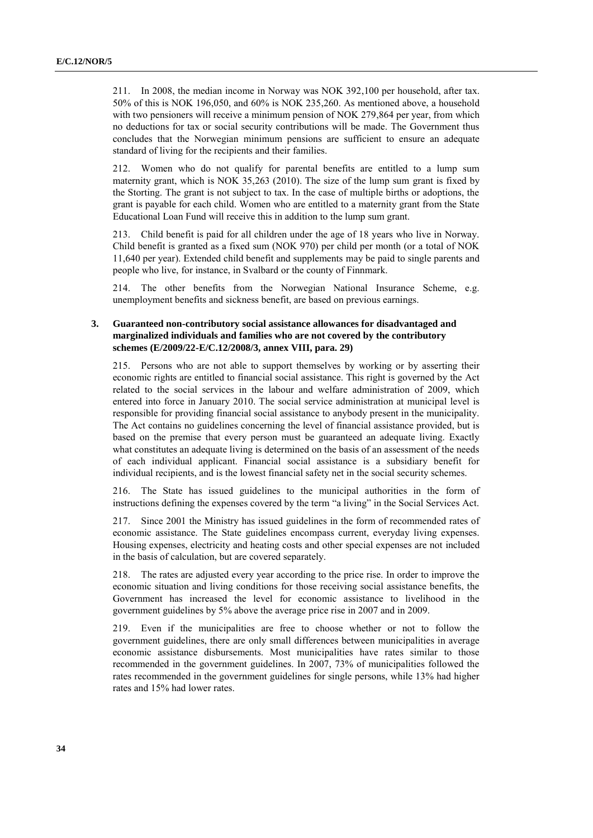211. In 2008, the median income in Norway was NOK 392,100 per household, after tax. 50% of this is NOK 196,050, and 60% is NOK 235,260. As mentioned above, a household with two pensioners will receive a minimum pension of NOK 279,864 per year, from which no deductions for tax or social security contributions will be made. The Government thus concludes that the Norwegian minimum pensions are sufficient to ensure an adequate standard of living for the recipients and their families.

212. Women who do not qualify for parental benefits are entitled to a lump sum maternity grant, which is NOK 35,263 (2010). The size of the lump sum grant is fixed by the Storting. The grant is not subject to tax. In the case of multiple births or adoptions, the grant is payable for each child. Women who are entitled to a maternity grant from the State Educational Loan Fund will receive this in addition to the lump sum grant.

213. Child benefit is paid for all children under the age of 18 years who live in Norway. Child benefit is granted as a fixed sum (NOK 970) per child per month (or a total of NOK 11,640 per year). Extended child benefit and supplements may be paid to single parents and people who live, for instance, in Svalbard or the county of Finnmark.

214. The other benefits from the Norwegian National Insurance Scheme, e.g. unemployment benefits and sickness benefit, are based on previous earnings.

#### **3. Guaranteed non-contributory social assistance allowances for disadvantaged and marginalized individuals and families who are not covered by the contributory schemes (E/2009/22-E/C.12/2008/3, annex VIII, para. 29)**

215. Persons who are not able to support themselves by working or by asserting their economic rights are entitled to financial social assistance. This right is governed by the Act related to the social services in the labour and welfare administration of 2009, which entered into force in January 2010. The social service administration at municipal level is responsible for providing financial social assistance to anybody present in the municipality. The Act contains no guidelines concerning the level of financial assistance provided, but is based on the premise that every person must be guaranteed an adequate living. Exactly what constitutes an adequate living is determined on the basis of an assessment of the needs of each individual applicant. Financial social assistance is a subsidiary benefit for individual recipients, and is the lowest financial safety net in the social security schemes.

216. The State has issued guidelines to the municipal authorities in the form of instructions defining the expenses covered by the term "a living" in the Social Services Act.

217. Since 2001 the Ministry has issued guidelines in the form of recommended rates of economic assistance. The State guidelines encompass current, everyday living expenses. Housing expenses, electricity and heating costs and other special expenses are not included in the basis of calculation, but are covered separately.

218. The rates are adjusted every year according to the price rise. In order to improve the economic situation and living conditions for those receiving social assistance benefits, the Government has increased the level for economic assistance to livelihood in the government guidelines by 5% above the average price rise in 2007 and in 2009.

219. Even if the municipalities are free to choose whether or not to follow the government guidelines, there are only small differences between municipalities in average economic assistance disbursements. Most municipalities have rates similar to those recommended in the government guidelines. In 2007, 73% of municipalities followed the rates recommended in the government guidelines for single persons, while 13% had higher rates and 15% had lower rates.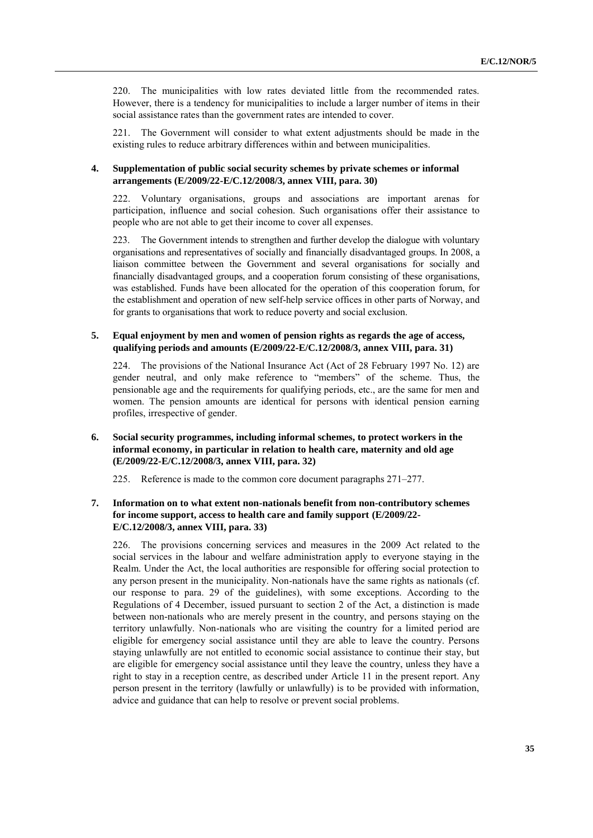220. The municipalities with low rates deviated little from the recommended rates. However, there is a tendency for municipalities to include a larger number of items in their social assistance rates than the government rates are intended to cover.

221. The Government will consider to what extent adjustments should be made in the existing rules to reduce arbitrary differences within and between municipalities.

#### **4. Supplementation of public social security schemes by private schemes or informal arrangements (E/2009/22-E/C.12/2008/3, annex VIII, para. 30)**

222. Voluntary organisations, groups and associations are important arenas for participation, influence and social cohesion. Such organisations offer their assistance to people who are not able to get their income to cover all expenses.

223. The Government intends to strengthen and further develop the dialogue with voluntary organisations and representatives of socially and financially disadvantaged groups. In 2008, a liaison committee between the Government and several organisations for socially and financially disadvantaged groups, and a cooperation forum consisting of these organisations, was established. Funds have been allocated for the operation of this cooperation forum, for the establishment and operation of new self-help service offices in other parts of Norway, and for grants to organisations that work to reduce poverty and social exclusion.

#### **5. Equal enjoyment by men and women of pension rights as regards the age of access, qualifying periods and amounts (E/2009/22-E/C.12/2008/3, annex VIII, para. 31)**

224. The provisions of the National Insurance Act (Act of 28 February 1997 No. 12) are gender neutral, and only make reference to "members" of the scheme. Thus, the pensionable age and the requirements for qualifying periods, etc., are the same for men and women. The pension amounts are identical for persons with identical pension earning profiles, irrespective of gender.

#### **6. Social security programmes, including informal schemes, to protect workers in the informal economy, in particular in relation to health care, maternity and old age (E/2009/22-E/C.12/2008/3, annex VIII, para. 32)**

225. Reference is made to the common core document paragraphs 271–277.

#### **7. Information on to what extent non-nationals benefit from non-contributory schemes for income support, access to health care and family support (E/2009/22- E/C.12/2008/3, annex VIII, para. 33)**

226. The provisions concerning services and measures in the 2009 Act related to the social services in the labour and welfare administration apply to everyone staying in the Realm. Under the Act, the local authorities are responsible for offering social protection to any person present in the municipality. Non-nationals have the same rights as nationals (cf. our response to para. 29 of the guidelines), with some exceptions. According to the Regulations of 4 December, issued pursuant to section 2 of the Act, a distinction is made between non-nationals who are merely present in the country, and persons staying on the territory unlawfully. Non-nationals who are visiting the country for a limited period are eligible for emergency social assistance until they are able to leave the country. Persons staying unlawfully are not entitled to economic social assistance to continue their stay, but are eligible for emergency social assistance until they leave the country, unless they have a right to stay in a reception centre, as described under Article 11 in the present report. Any person present in the territory (lawfully or unlawfully) is to be provided with information, advice and guidance that can help to resolve or prevent social problems.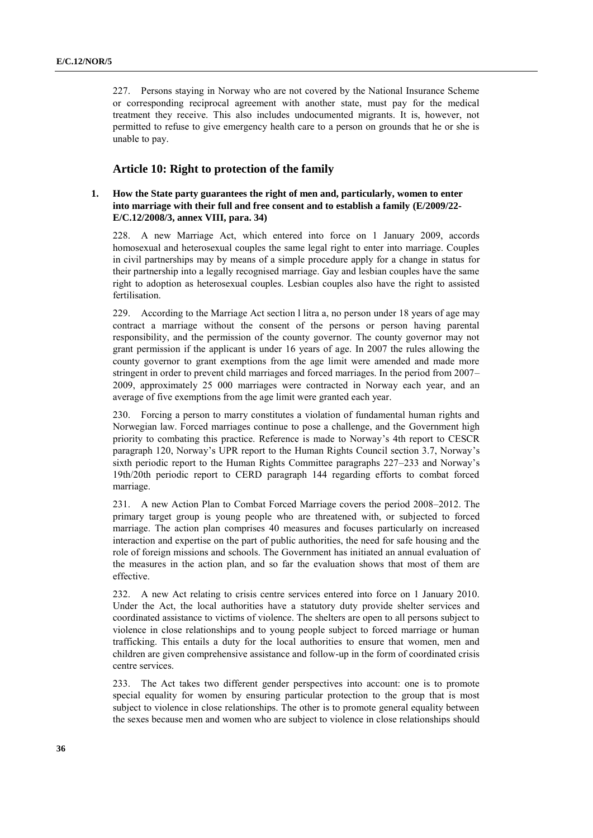227. Persons staying in Norway who are not covered by the National Insurance Scheme or corresponding reciprocal agreement with another state, must pay for the medical treatment they receive. This also includes undocumented migrants. It is, however, not permitted to refuse to give emergency health care to a person on grounds that he or she is unable to pay.

#### **Article 10: Right to protection of the family**

#### **1. How the State party guarantees the right of men and, particularly, women to enter into marriage with their full and free consent and to establish a family (E/2009/22- E/C.12/2008/3, annex VIII, para. 34)**

228. A new Marriage Act, which entered into force on 1 January 2009, accords homosexual and heterosexual couples the same legal right to enter into marriage. Couples in civil partnerships may by means of a simple procedure apply for a change in status for their partnership into a legally recognised marriage. Gay and lesbian couples have the same right to adoption as heterosexual couples. Lesbian couples also have the right to assisted fertilisation.

229. According to the Marriage Act section l litra a, no person under 18 years of age may contract a marriage without the consent of the persons or person having parental responsibility, and the permission of the county governor. The county governor may not grant permission if the applicant is under 16 years of age. In 2007 the rules allowing the county governor to grant exemptions from the age limit were amended and made more stringent in order to prevent child marriages and forced marriages. In the period from 2007– 2009, approximately 25 000 marriages were contracted in Norway each year, and an average of five exemptions from the age limit were granted each year.

230. Forcing a person to marry constitutes a violation of fundamental human rights and Norwegian law. Forced marriages continue to pose a challenge, and the Government high priority to combating this practice. Reference is made to Norway's 4th report to CESCR paragraph 120, Norway's UPR report to the Human Rights Council section 3.7, Norway's sixth periodic report to the Human Rights Committee paragraphs 227–233 and Norway's 19th/20th periodic report to CERD paragraph 144 regarding efforts to combat forced marriage.

231. A new Action Plan to Combat Forced Marriage covers the period 2008–2012. The primary target group is young people who are threatened with, or subjected to forced marriage. The action plan comprises 40 measures and focuses particularly on increased interaction and expertise on the part of public authorities, the need for safe housing and the role of foreign missions and schools. The Government has initiated an annual evaluation of the measures in the action plan, and so far the evaluation shows that most of them are effective.

232. A new Act relating to crisis centre services entered into force on 1 January 2010. Under the Act, the local authorities have a statutory duty provide shelter services and coordinated assistance to victims of violence. The shelters are open to all persons subject to violence in close relationships and to young people subject to forced marriage or human trafficking. This entails a duty for the local authorities to ensure that women, men and children are given comprehensive assistance and follow-up in the form of coordinated crisis centre services.

233. The Act takes two different gender perspectives into account: one is to promote special equality for women by ensuring particular protection to the group that is most subject to violence in close relationships. The other is to promote general equality between the sexes because men and women who are subject to violence in close relationships should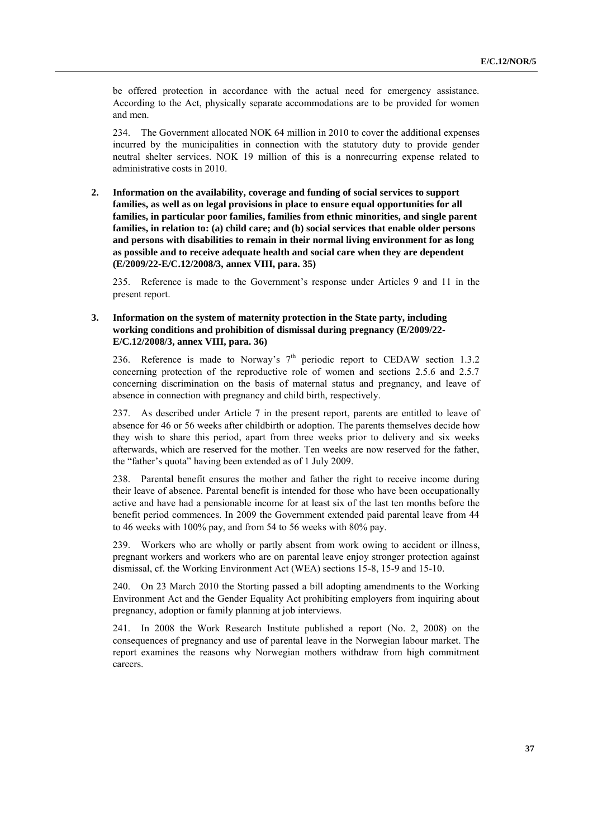be offered protection in accordance with the actual need for emergency assistance. According to the Act, physically separate accommodations are to be provided for women and men.

234. The Government allocated NOK 64 million in 2010 to cover the additional expenses incurred by the municipalities in connection with the statutory duty to provide gender neutral shelter services. NOK 19 million of this is a nonrecurring expense related to administrative costs in 2010.

**2. Information on the availability, coverage and funding of social services to support families, as well as on legal provisions in place to ensure equal opportunities for all families, in particular poor families, families from ethnic minorities, and single parent families, in relation to: (a) child care; and (b) social services that enable older persons and persons with disabilities to remain in their normal living environment for as long as possible and to receive adequate health and social care when they are dependent (E/2009/22-E/C.12/2008/3, annex VIII, para. 35)**

235. Reference is made to the Government's response under Articles 9 and 11 in the present report.

**3. Information on the system of maternity protection in the State party, including working conditions and prohibition of dismissal during pregnancy (E/2009/22- E/C.12/2008/3, annex VIII, para. 36)**

236. Reference is made to Norway's  $7<sup>th</sup>$  periodic report to CEDAW section 1.3.2 concerning protection of the reproductive role of women and sections 2.5.6 and 2.5.7 concerning discrimination on the basis of maternal status and pregnancy, and leave of absence in connection with pregnancy and child birth, respectively.

237. As described under Article 7 in the present report, parents are entitled to leave of absence for 46 or 56 weeks after childbirth or adoption. The parents themselves decide how they wish to share this period, apart from three weeks prior to delivery and six weeks afterwards, which are reserved for the mother. Ten weeks are now reserved for the father, the "father's quota" having been extended as of 1 July 2009.

238. Parental benefit ensures the mother and father the right to receive income during their leave of absence. Parental benefit is intended for those who have been occupationally active and have had a pensionable income for at least six of the last ten months before the benefit period commences. In 2009 the Government extended paid parental leave from 44 to 46 weeks with 100% pay, and from 54 to 56 weeks with 80% pay.

239. Workers who are wholly or partly absent from work owing to accident or illness, pregnant workers and workers who are on parental leave enjoy stronger protection against dismissal, cf. the Working Environment Act (WEA) sections 15-8, 15-9 and 15-10.

240. On 23 March 2010 the Storting passed a bill adopting amendments to the Working Environment Act and the Gender Equality Act prohibiting employers from inquiring about pregnancy, adoption or family planning at job interviews.

241. In 2008 the Work Research Institute published a report (No. 2, 2008) on the consequences of pregnancy and use of parental leave in the Norwegian labour market. The report examines the reasons why Norwegian mothers withdraw from high commitment careers.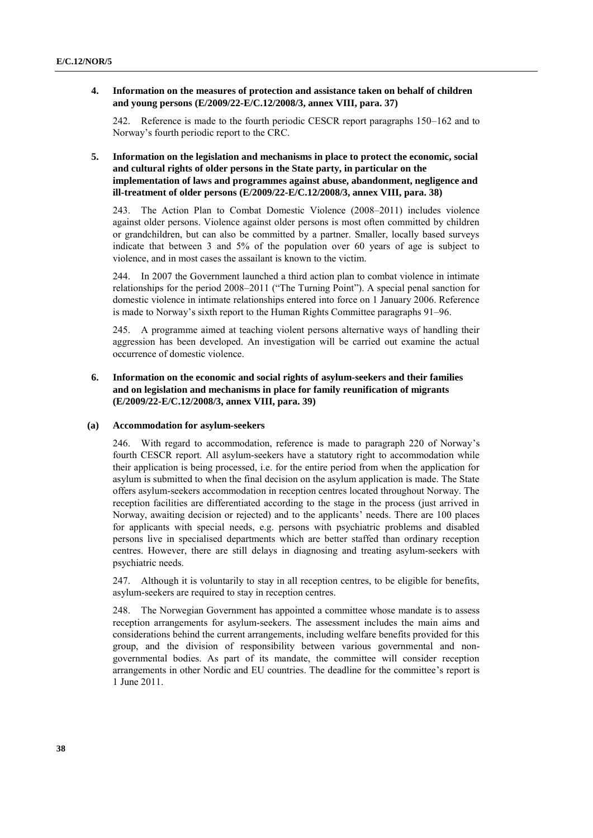### **4. Information on the measures of protection and assistance taken on behalf of children and young persons (E/2009/22-E/C.12/2008/3, annex VIII, para. 37)**

242. Reference is made to the fourth periodic CESCR report paragraphs 150–162 and to Norway's fourth periodic report to the CRC.

# **5. Information on the legislation and mechanisms in place to protect the economic, social and cultural rights of older persons in the State party, in particular on the implementation of laws and programmes against abuse, abandonment, negligence and ill-treatment of older persons (E/2009/22-E/C.12/2008/3, annex VIII, para. 38)**

243. The Action Plan to Combat Domestic Violence (2008–2011) includes violence against older persons. Violence against older persons is most often committed by children or grandchildren, but can also be committed by a partner. Smaller, locally based surveys indicate that between 3 and 5% of the population over 60 years of age is subject to violence, and in most cases the assailant is known to the victim.

244. In 2007 the Government launched a third action plan to combat violence in intimate relationships for the period  $2008-2011$  ("The Turning Point"). A special penal sanction for domestic violence in intimate relationships entered into force on 1 January 2006. Reference is made to Norway's sixth report to the Human Rights Committee paragraphs 91–96.

245. A programme aimed at teaching violent persons alternative ways of handling their aggression has been developed. An investigation will be carried out examine the actual occurrence of domestic violence.

# **6. Information on the economic and social rights of asylum-seekers and their families and on legislation and mechanisms in place for family reunification of migrants (E/2009/22-E/C.12/2008/3, annex VIII, para. 39)**

### **(a) Accommodation for asylum-seekers**

246. With regard to accommodation, reference is made to paragraph 220 of Norway's fourth CESCR report. All asylum-seekers have a statutory right to accommodation while their application is being processed, i.e. for the entire period from when the application for asylum is submitted to when the final decision on the asylum application is made. The State offers asylum-seekers accommodation in reception centres located throughout Norway. The reception facilities are differentiated according to the stage in the process (just arrived in Norway, awaiting decision or rejected) and to the applicants' needs. There are 100 places for applicants with special needs, e.g. persons with psychiatric problems and disabled persons live in specialised departments which are better staffed than ordinary reception centres. However, there are still delays in diagnosing and treating asylum-seekers with psychiatric needs.

247. Although it is voluntarily to stay in all reception centres, to be eligible for benefits, asylum-seekers are required to stay in reception centres.

248. The Norwegian Government has appointed a committee whose mandate is to assess reception arrangements for asylum-seekers. The assessment includes the main aims and considerations behind the current arrangements, including welfare benefits provided for this group, and the division of responsibility between various governmental and nongovernmental bodies. As part of its mandate, the committee will consider reception arrangements in other Nordic and EU countries. The deadline for the committee's report is 1 June 2011.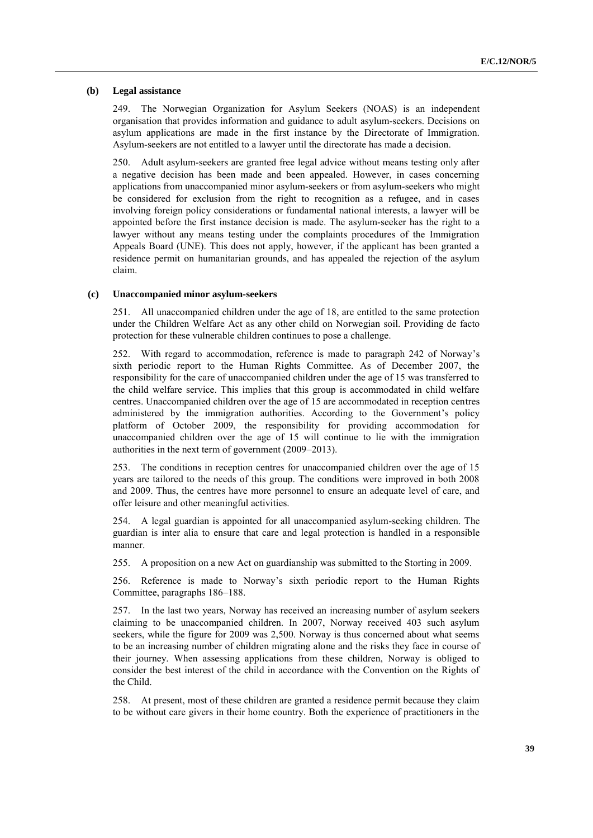### **(b) Legal assistance**

249. The Norwegian Organization for Asylum Seekers (NOAS) is an independent organisation that provides information and guidance to adult asylum-seekers. Decisions on asylum applications are made in the first instance by the Directorate of Immigration. Asylum-seekers are not entitled to a lawyer until the directorate has made a decision.

250. Adult asylum-seekers are granted free legal advice without means testing only after a negative decision has been made and been appealed. However, in cases concerning applications from unaccompanied minor asylum-seekers or from asylum-seekers who might be considered for exclusion from the right to recognition as a refugee, and in cases involving foreign policy considerations or fundamental national interests, a lawyer will be appointed before the first instance decision is made. The asylum-seeker has the right to a lawyer without any means testing under the complaints procedures of the Immigration Appeals Board (UNE). This does not apply, however, if the applicant has been granted a residence permit on humanitarian grounds, and has appealed the rejection of the asylum claim.

## **(c) Unaccompanied minor asylum-seekers**

251. All unaccompanied children under the age of 18, are entitled to the same protection under the Children Welfare Act as any other child on Norwegian soil. Providing de facto protection for these vulnerable children continues to pose a challenge.

252. With regard to accommodation, reference is made to paragraph 242 of Norway's sixth periodic report to the Human Rights Committee. As of December 2007, the responsibility for the care of unaccompanied children under the age of 15 was transferred to the child welfare service. This implies that this group is accommodated in child welfare centres. Unaccompanied children over the age of 15 are accommodated in reception centres administered by the immigration authorities. According to the Government's policy platform of October 2009, the responsibility for providing accommodation for unaccompanied children over the age of 15 will continue to lie with the immigration authorities in the next term of government (2009–2013).

253. The conditions in reception centres for unaccompanied children over the age of 15 years are tailored to the needs of this group. The conditions were improved in both 2008 and 2009. Thus, the centres have more personnel to ensure an adequate level of care, and offer leisure and other meaningful activities.

254. A legal guardian is appointed for all unaccompanied asylum-seeking children. The guardian is inter alia to ensure that care and legal protection is handled in a responsible manner.

255. A proposition on a new Act on guardianship was submitted to the Storting in 2009.

256. Reference is made to Norway's sixth periodic report to the Human Rights Committee, paragraphs 186–188.

257. In the last two years, Norway has received an increasing number of asylum seekers claiming to be unaccompanied children. In 2007, Norway received 403 such asylum seekers, while the figure for 2009 was 2,500. Norway is thus concerned about what seems to be an increasing number of children migrating alone and the risks they face in course of their journey. When assessing applications from these children, Norway is obliged to consider the best interest of the child in accordance with the Convention on the Rights of the Child.

258. At present, most of these children are granted a residence permit because they claim to be without care givers in their home country. Both the experience of practitioners in the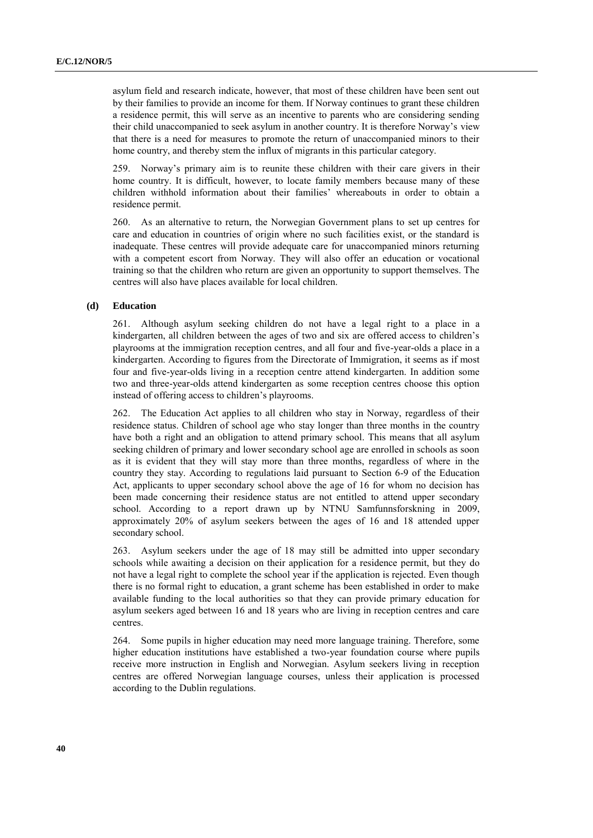asylum field and research indicate, however, that most of these children have been sent out by their families to provide an income for them. If Norway continues to grant these children a residence permit, this will serve as an incentive to parents who are considering sending their child unaccompanied to seek asylum in another country. It is therefore Norway's view that there is a need for measures to promote the return of unaccompanied minors to their home country, and thereby stem the influx of migrants in this particular category.

259. Norway's primary aim is to reunite these children with their care givers in their home country. It is difficult, however, to locate family members because many of these children withhold information about their families' whereabouts in order to obtain a residence permit.

260. As an alternative to return, the Norwegian Government plans to set up centres for care and education in countries of origin where no such facilities exist, or the standard is inadequate. These centres will provide adequate care for unaccompanied minors returning with a competent escort from Norway. They will also offer an education or vocational training so that the children who return are given an opportunity to support themselves. The centres will also have places available for local children.

#### **(d) Education**

261. Although asylum seeking children do not have a legal right to a place in a kindergarten, all children between the ages of two and six are offered access to children's playrooms at the immigration reception centres, and all four and five-year-olds a place in a kindergarten. According to figures from the Directorate of Immigration, it seems as if most four and five-year-olds living in a reception centre attend kindergarten. In addition some two and three-year-olds attend kindergarten as some reception centres choose this option instead of offering access to children's playrooms.

262. The Education Act applies to all children who stay in Norway, regardless of their residence status. Children of school age who stay longer than three months in the country have both a right and an obligation to attend primary school. This means that all asylum seeking children of primary and lower secondary school age are enrolled in schools as soon as it is evident that they will stay more than three months, regardless of where in the country they stay. According to regulations laid pursuant to Section 6-9 of the Education Act, applicants to upper secondary school above the age of 16 for whom no decision has been made concerning their residence status are not entitled to attend upper secondary school. According to a report drawn up by NTNU Samfunnsforskning in 2009, approximately 20% of asylum seekers between the ages of 16 and 18 attended upper secondary school.

263. Asylum seekers under the age of 18 may still be admitted into upper secondary schools while awaiting a decision on their application for a residence permit, but they do not have a legal right to complete the school year if the application is rejected. Even though there is no formal right to education, a grant scheme has been established in order to make available funding to the local authorities so that they can provide primary education for asylum seekers aged between 16 and 18 years who are living in reception centres and care centres.

264. Some pupils in higher education may need more language training. Therefore, some higher education institutions have established a two-year foundation course where pupils receive more instruction in English and Norwegian. Asylum seekers living in reception centres are offered Norwegian language courses, unless their application is processed according to the Dublin regulations.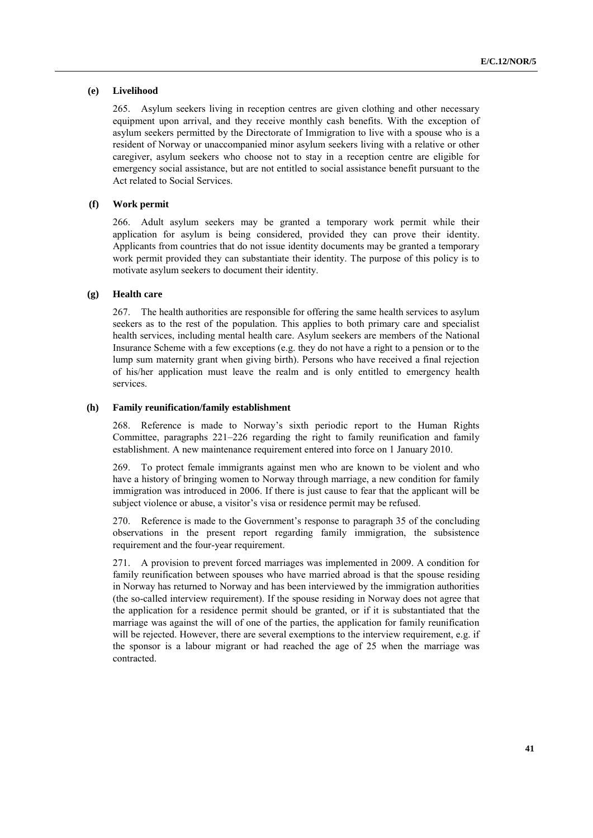## **(e) Livelihood**

265. Asylum seekers living in reception centres are given clothing and other necessary equipment upon arrival, and they receive monthly cash benefits. With the exception of asylum seekers permitted by the Directorate of Immigration to live with a spouse who is a resident of Norway or unaccompanied minor asylum seekers living with a relative or other caregiver, asylum seekers who choose not to stay in a reception centre are eligible for emergency social assistance, but are not entitled to social assistance benefit pursuant to the Act related to Social Services.

### **(f) Work permit**

266. Adult asylum seekers may be granted a temporary work permit while their application for asylum is being considered, provided they can prove their identity. Applicants from countries that do not issue identity documents may be granted a temporary work permit provided they can substantiate their identity. The purpose of this policy is to motivate asylum seekers to document their identity.

## **(g) Health care**

267. The health authorities are responsible for offering the same health services to asylum seekers as to the rest of the population. This applies to both primary care and specialist health services, including mental health care. Asylum seekers are members of the National Insurance Scheme with a few exceptions (e.g. they do not have a right to a pension or to the lump sum maternity grant when giving birth). Persons who have received a final rejection of his/her application must leave the realm and is only entitled to emergency health services.

### **(h) Family reunification/family establishment**

268. Reference is made to Norway's sixth periodic report to the Human Rights Committee, paragraphs 221–226 regarding the right to family reunification and family establishment. A new maintenance requirement entered into force on 1 January 2010.

269. To protect female immigrants against men who are known to be violent and who have a history of bringing women to Norway through marriage, a new condition for family immigration was introduced in 2006. If there is just cause to fear that the applicant will be subject violence or abuse, a visitor's visa or residence permit may be refused.

270. Reference is made to the Government's response to paragraph 35 of the concluding observations in the present report regarding family immigration, the subsistence requirement and the four-year requirement.

271. A provision to prevent forced marriages was implemented in 2009. A condition for family reunification between spouses who have married abroad is that the spouse residing in Norway has returned to Norway and has been interviewed by the immigration authorities (the so-called interview requirement). If the spouse residing in Norway does not agree that the application for a residence permit should be granted, or if it is substantiated that the marriage was against the will of one of the parties, the application for family reunification will be rejected. However, there are several exemptions to the interview requirement, e.g. if the sponsor is a labour migrant or had reached the age of 25 when the marriage was contracted.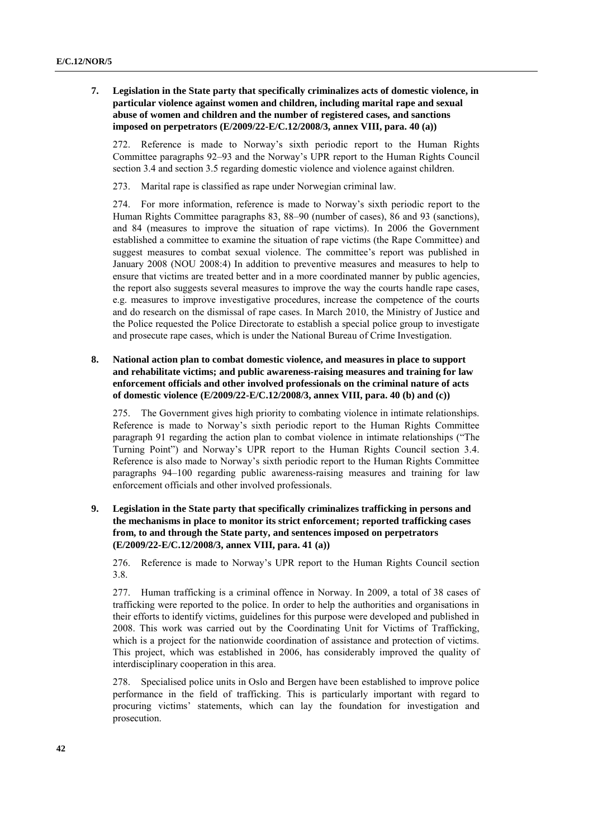**7. Legislation in the State party that specifically criminalizes acts of domestic violence, in particular violence against women and children, including marital rape and sexual abuse of women and children and the number of registered cases, and sanctions imposed on perpetrators (E/2009/22-E/C.12/2008/3, annex VIII, para. 40 (a))**

272. Reference is made to Norway's sixth periodic report to the Human Rights Committee paragraphs 92–93 and the Norway's UPR report to the Human Rights Council section 3.4 and section 3.5 regarding domestic violence and violence against children.

273. Marital rape is classified as rape under Norwegian criminal law.

274. For more information, reference is made to Norway's sixth periodic report to the Human Rights Committee paragraphs 83, 88–90 (number of cases), 86 and 93 (sanctions), and 84 (measures to improve the situation of rape victims). In 2006 the Government established a committee to examine the situation of rape victims (the Rape Committee) and suggest measures to combat sexual violence. The committee's report was published in January 2008 (NOU 2008:4) In addition to preventive measures and measures to help to ensure that victims are treated better and in a more coordinated manner by public agencies, the report also suggests several measures to improve the way the courts handle rape cases, e.g. measures to improve investigative procedures, increase the competence of the courts and do research on the dismissal of rape cases. In March 2010, the Ministry of Justice and the Police requested the Police Directorate to establish a special police group to investigate and prosecute rape cases, which is under the National Bureau of Crime Investigation.

**8. National action plan to combat domestic violence, and measures in place to support and rehabilitate victims; and public awareness-raising measures and training for law enforcement officials and other involved professionals on the criminal nature of acts of domestic violence (E/2009/22-E/C.12/2008/3, annex VIII, para. 40 (b) and (c))**

275. The Government gives high priority to combating violence in intimate relationships. Reference is made to Norway's sixth periodic report to the Human Rights Committee paragraph 91 regarding the action plan to combat violence in intimate relationships ("The Turning Point") and Norway's UPR report to the Human Rights Council section 3.4. Reference is also made to Norway's sixth periodic report to the Human Rights Committee paragraphs 94–100 regarding public awareness-raising measures and training for law enforcement officials and other involved professionals.

**9. Legislation in the State party that specifically criminalizes trafficking in persons and the mechanisms in place to monitor its strict enforcement; reported trafficking cases from, to and through the State party, and sentences imposed on perpetrators (E/2009/22-E/C.12/2008/3, annex VIII, para. 41 (a))**

276. Reference is made to Norway's UPR report to the Human Rights Council section 3.8.

277. Human trafficking is a criminal offence in Norway. In 2009, a total of 38 cases of trafficking were reported to the police. In order to help the authorities and organisations in their efforts to identify victims, guidelines for this purpose were developed and published in 2008. This work was carried out by the Coordinating Unit for Victims of Trafficking, which is a project for the nationwide coordination of assistance and protection of victims. This project, which was established in 2006, has considerably improved the quality of interdisciplinary cooperation in this area.

278. Specialised police units in Oslo and Bergen have been established to improve police performance in the field of trafficking. This is particularly important with regard to procuring victims' statements, which can lay the foundation for investigation and prosecution.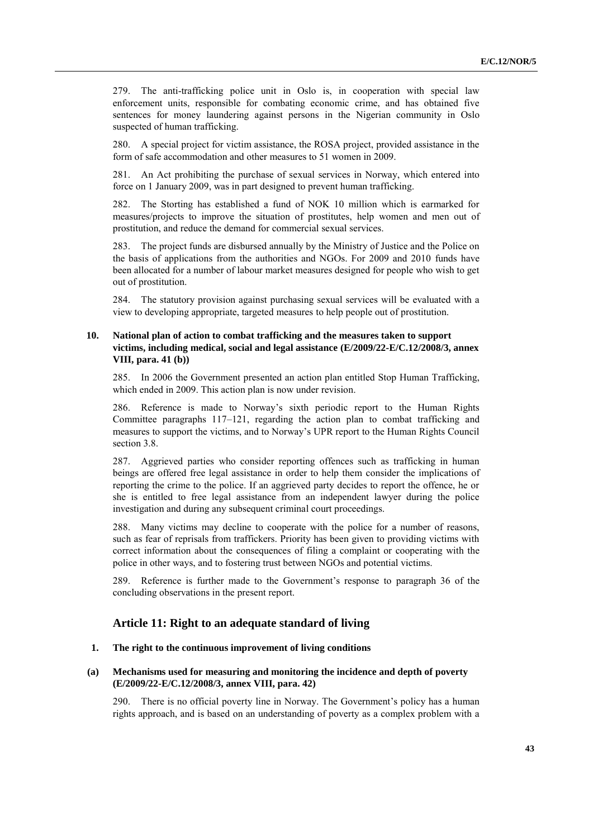279. The anti-trafficking police unit in Oslo is, in cooperation with special law enforcement units, responsible for combating economic crime, and has obtained five sentences for money laundering against persons in the Nigerian community in Oslo suspected of human trafficking.

280. A special project for victim assistance, the ROSA project, provided assistance in the form of safe accommodation and other measures to 51 women in 2009.

281. An Act prohibiting the purchase of sexual services in Norway, which entered into force on 1 January 2009, was in part designed to prevent human trafficking.

282. The Storting has established a fund of NOK 10 million which is earmarked for measures/projects to improve the situation of prostitutes, help women and men out of prostitution, and reduce the demand for commercial sexual services.

283. The project funds are disbursed annually by the Ministry of Justice and the Police on the basis of applications from the authorities and NGOs. For 2009 and 2010 funds have been allocated for a number of labour market measures designed for people who wish to get out of prostitution.

284. The statutory provision against purchasing sexual services will be evaluated with a view to developing appropriate, targeted measures to help people out of prostitution.

# **10. National plan of action to combat trafficking and the measures taken to support victims, including medical, social and legal assistance (E/2009/22-E/C.12/2008/3, annex VIII, para. 41 (b))**

285. In 2006 the Government presented an action plan entitled Stop Human Trafficking, which ended in 2009. This action plan is now under revision.

286. Reference is made to Norway's sixth periodic report to the Human Rights Committee paragraphs 117–121, regarding the action plan to combat trafficking and measures to support the victims, and to Norway's UPR report to the Human Rights Council section 3.8.

287. Aggrieved parties who consider reporting offences such as trafficking in human beings are offered free legal assistance in order to help them consider the implications of reporting the crime to the police. If an aggrieved party decides to report the offence, he or she is entitled to free legal assistance from an independent lawyer during the police investigation and during any subsequent criminal court proceedings.

288. Many victims may decline to cooperate with the police for a number of reasons, such as fear of reprisals from traffickers. Priority has been given to providing victims with correct information about the consequences of filing a complaint or cooperating with the police in other ways, and to fostering trust between NGOs and potential victims.

289. Reference is further made to the Government's response to paragraph 36 of the concluding observations in the present report.

# **Article 11: Right to an adequate standard of living**

## **1. The right to the continuous improvement of living conditions**

## **(a) Mechanisms used for measuring and monitoring the incidence and depth of poverty (E/2009/22-E/C.12/2008/3, annex VIII, para. 42)**

290. There is no official poverty line in Norway. The Government's policy has a human rights approach, and is based on an understanding of poverty as a complex problem with a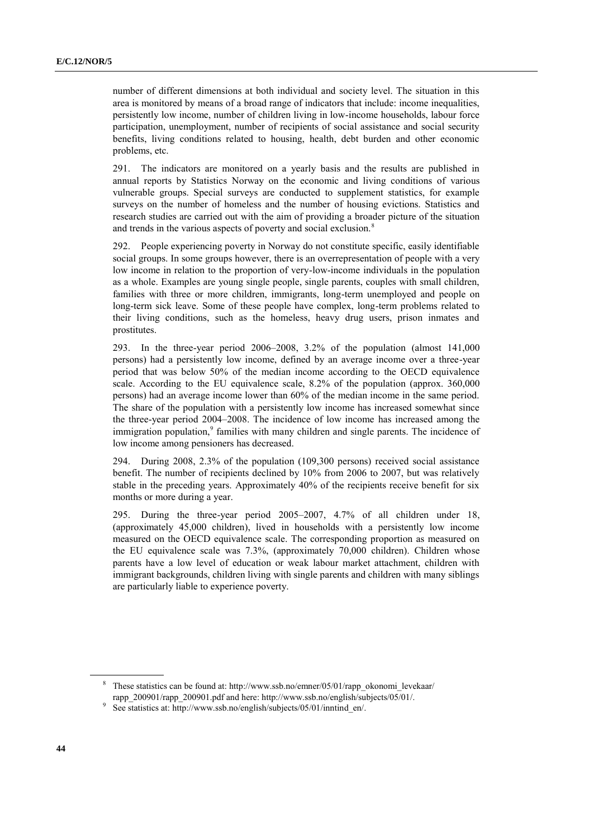number of different dimensions at both individual and society level. The situation in this area is monitored by means of a broad range of indicators that include: income inequalities, persistently low income, number of children living in low-income households, labour force participation, unemployment, number of recipients of social assistance and social security benefits, living conditions related to housing, health, debt burden and other economic problems, etc.

291. The indicators are monitored on a yearly basis and the results are published in annual reports by Statistics Norway on the economic and living conditions of various vulnerable groups. Special surveys are conducted to supplement statistics, for example surveys on the number of homeless and the number of housing evictions. Statistics and research studies are carried out with the aim of providing a broader picture of the situation and trends in the various aspects of poverty and social exclusion.<sup>8</sup>

292. People experiencing poverty in Norway do not constitute specific, easily identifiable social groups. In some groups however, there is an overrepresentation of people with a very low income in relation to the proportion of very-low-income individuals in the population as a whole. Examples are young single people, single parents, couples with small children, families with three or more children, immigrants, long-term unemployed and people on long-term sick leave. Some of these people have complex, long-term problems related to their living conditions, such as the homeless, heavy drug users, prison inmates and prostitutes.

293. In the three-year period 2006–2008, 3.2% of the population (almost 141,000 persons) had a persistently low income, defined by an average income over a three-year period that was below 50% of the median income according to the OECD equivalence scale. According to the EU equivalence scale, 8.2% of the population (approx. 360,000 persons) had an average income lower than 60% of the median income in the same period. The share of the population with a persistently low income has increased somewhat since the three-year period 2004–2008. The incidence of low income has increased among the immigration population,<sup>9</sup> families with many children and single parents. The incidence of low income among pensioners has decreased.

294. During 2008, 2.3% of the population (109,300 persons) received social assistance benefit. The number of recipients declined by 10% from 2006 to 2007, but was relatively stable in the preceding years. Approximately 40% of the recipients receive benefit for six months or more during a year.

295. During the three-year period 2005–2007, 4.7% of all children under 18, (approximately 45,000 children), lived in households with a persistently low income measured on the OECD equivalence scale. The corresponding proportion as measured on the EU equivalence scale was 7.3%, (approximately 70,000 children). Children whose parents have a low level of education or weak labour market attachment, children with immigrant backgrounds, children living with single parents and children with many siblings are particularly liable to experience poverty.

<sup>&</sup>lt;sup>8</sup> These statistics can be found at: http://www.ssb.no/emner/05/01/rapp\_okonomi\_levekaar/ rapp\_200901/rapp\_200901.pdf and here: [http://www.ssb.no/english/subjects/05/01/.](http://www.ssb.no/english/subjects/05/01/)

<sup>&</sup>lt;sup>9</sup> See statistics at: [http://www.ssb.no/english/subjects/05/01/inntind\\_en/.](http://www.ssb.no/english/subjects/05/01/inntind_en/)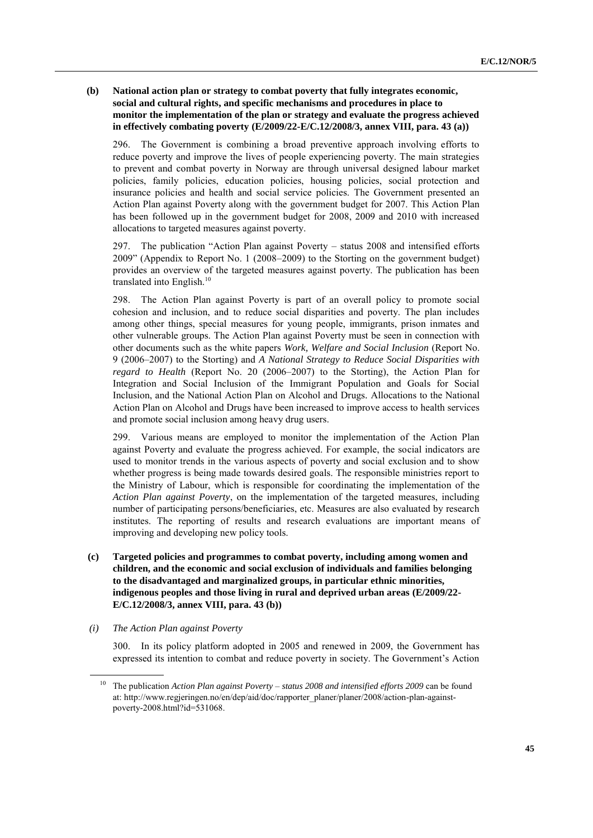# **(b) National action plan or strategy to combat poverty that fully integrates economic, social and cultural rights, and specific mechanisms and procedures in place to monitor the implementation of the plan or strategy and evaluate the progress achieved in effectively combating poverty (E/2009/22-E/C.12/2008/3, annex VIII, para. 43 (a))**

296. The Government is combining a broad preventive approach involving efforts to reduce poverty and improve the lives of people experiencing poverty. The main strategies to prevent and combat poverty in Norway are through universal designed labour market policies, family policies, education policies, housing policies, social protection and insurance policies and health and social service policies. The Government presented an Action Plan against Poverty along with the government budget for 2007. This Action Plan has been followed up in the government budget for 2008, 2009 and 2010 with increased allocations to targeted measures against poverty.

297. The publication "Action Plan against Poverty  $-$  status 2008 and intensified efforts 2009" (Appendix to Report No. 1 (2008–2009) to the Storting on the government budget) provides an overview of the targeted measures against poverty. The publication has been translated into English. $10<sup>10</sup>$ 

298. The Action Plan against Poverty is part of an overall policy to promote social cohesion and inclusion, and to reduce social disparities and poverty. The plan includes among other things, special measures for young people, immigrants, prison inmates and other vulnerable groups. The Action Plan against Poverty must be seen in connection with other documents such as the white papers *Work, Welfare and Social Inclusion* (Report No. 9 (2006–2007) to the Storting) and *A National Strategy to Reduce Social Disparities with regard to Health* (Report No. 20 (2006–2007) to the Storting), the Action Plan for Integration and Social Inclusion of the Immigrant Population and Goals for Social Inclusion, and the National Action Plan on Alcohol and Drugs*.* Allocations to the National Action Plan on Alcohol and Drugs have been increased to improve access to health services and promote social inclusion among heavy drug users.

299. Various means are employed to monitor the implementation of the Action Plan against Poverty and evaluate the progress achieved. For example, the social indicators are used to monitor trends in the various aspects of poverty and social exclusion and to show whether progress is being made towards desired goals. The responsible ministries report to the Ministry of Labour, which is responsible for coordinating the implementation of the *Action Plan against Poverty*, on the implementation of the targeted measures, including number of participating persons/beneficiaries, etc. Measures are also evaluated by research institutes. The reporting of results and research evaluations are important means of improving and developing new policy tools.

- **(c) Targeted policies and programmes to combat poverty, including among women and children, and the economic and social exclusion of individuals and families belonging to the disadvantaged and marginalized groups, in particular ethnic minorities, indigenous peoples and those living in rural and deprived urban areas (E/2009/22- E/C.12/2008/3, annex VIII, para. 43 (b))**
- *(i) The Action Plan against Poverty*

300. In its policy platform adopted in 2005 and renewed in 2009, the Government has expressed its intention to combat and reduce poverty in society. The Government's Action

<sup>10</sup> The publication *Action Plan against Poverty – status 2008 and intensified efforts 2009* can be found at[: http://www.regjeringen.no/en/dep/aid/doc/rapporter\\_planer/planer/2008/action-plan-against](http://www.regjeringen.no/en/dep/aid/doc/rapporter_planer/planer/2008/action-plan-against-poverty-2008.html?id=531068)[poverty-2008.html?id=531068.](http://www.regjeringen.no/en/dep/aid/doc/rapporter_planer/planer/2008/action-plan-against-poverty-2008.html?id=531068)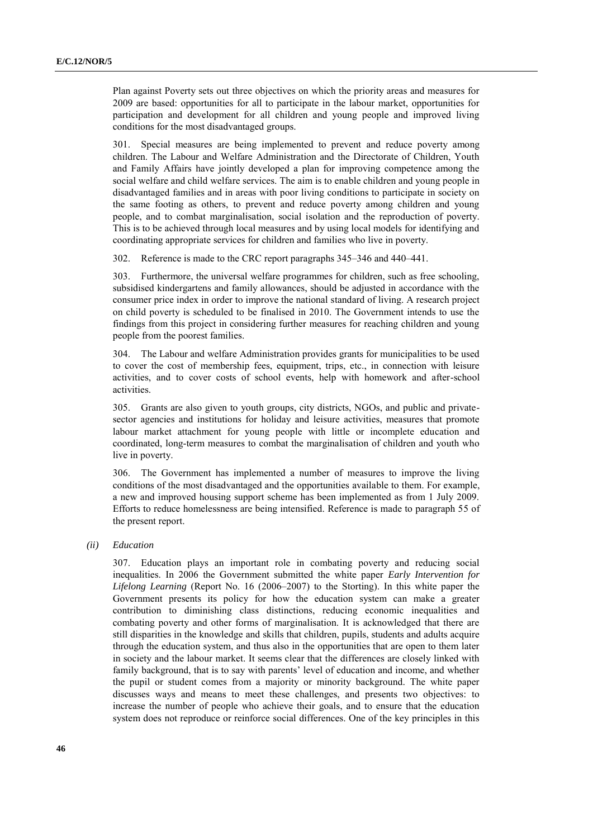Plan against Poverty sets out three objectives on which the priority areas and measures for 2009 are based: opportunities for all to participate in the labour market, opportunities for participation and development for all children and young people and improved living conditions for the most disadvantaged groups.

301. Special measures are being implemented to prevent and reduce poverty among children. The Labour and Welfare Administration and the Directorate of Children, Youth and Family Affairs have jointly developed a plan for improving competence among the social welfare and child welfare services. The aim is to enable children and young people in disadvantaged families and in areas with poor living conditions to participate in society on the same footing as others, to prevent and reduce poverty among children and young people, and to combat marginalisation, social isolation and the reproduction of poverty. This is to be achieved through local measures and by using local models for identifying and coordinating appropriate services for children and families who live in poverty.

302. Reference is made to the CRC report paragraphs 345–346 and 440–441.

303. Furthermore, the universal welfare programmes for children, such as free schooling, subsidised kindergartens and family allowances, should be adjusted in accordance with the consumer price index in order to improve the national standard of living. A research project on child poverty is scheduled to be finalised in 2010. The Government intends to use the findings from this project in considering further measures for reaching children and young people from the poorest families.

304. The Labour and welfare Administration provides grants for municipalities to be used to cover the cost of membership fees, equipment, trips, etc., in connection with leisure activities, and to cover costs of school events, help with homework and after-school activities.

305. Grants are also given to youth groups, city districts, NGOs, and public and privatesector agencies and institutions for holiday and leisure activities, measures that promote labour market attachment for young people with little or incomplete education and coordinated, long-term measures to combat the marginalisation of children and youth who live in poverty.

306. The Government has implemented a number of measures to improve the living conditions of the most disadvantaged and the opportunities available to them. For example, a new and improved housing support scheme has been implemented as from 1 July 2009. Efforts to reduce homelessness are being intensified. Reference is made to paragraph 55 of the present report.

*(ii) Education*

307. Education plays an important role in combating poverty and reducing social inequalities. In 2006 the Government submitted the white paper *Early Intervention for Lifelong Learning* (Report No. 16 (2006–2007) to the Storting). In this white paper the Government presents its policy for how the education system can make a greater contribution to diminishing class distinctions, reducing economic inequalities and combating poverty and other forms of marginalisation. It is acknowledged that there are still disparities in the knowledge and skills that children, pupils, students and adults acquire through the education system, and thus also in the opportunities that are open to them later in society and the labour market. It seems clear that the differences are closely linked with family background, that is to say with parents' level of education and income, and whether the pupil or student comes from a majority or minority background. The white paper discusses ways and means to meet these challenges, and presents two objectives: to increase the number of people who achieve their goals, and to ensure that the education system does not reproduce or reinforce social differences. One of the key principles in this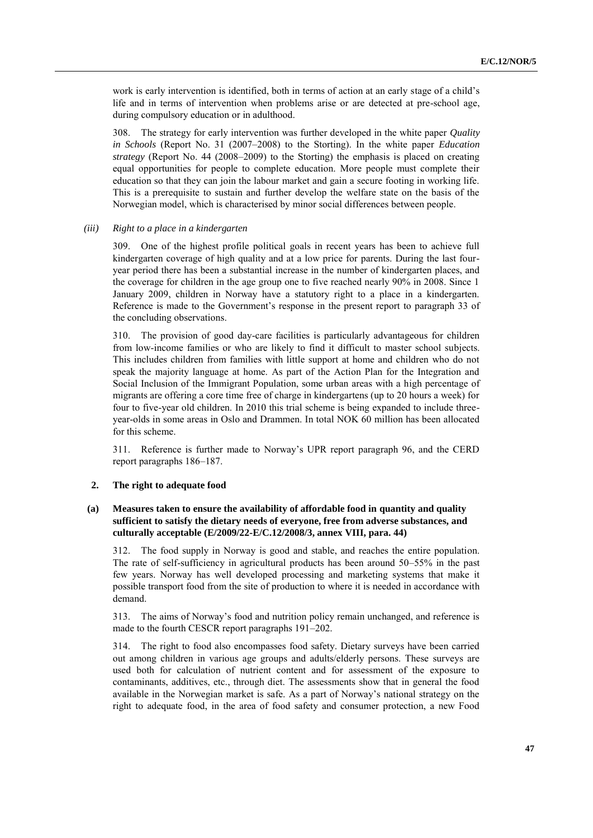work is early intervention is identified, both in terms of action at an early stage of a child's life and in terms of intervention when problems arise or are detected at pre-school age, during compulsory education or in adulthood.

308. The strategy for early intervention was further developed in the white paper *Quality in Schools* (Report No. 31 (2007–2008) to the Storting). In the white paper *Education strategy* (Report No. 44 (2008–2009) to the Storting) the emphasis is placed on creating equal opportunities for people to complete education. More people must complete their education so that they can join the labour market and gain a secure footing in working life. This is a prerequisite to sustain and further develop the welfare state on the basis of the Norwegian model, which is characterised by minor social differences between people.

#### *(iii) Right to a place in a kindergarten*

309. One of the highest profile political goals in recent years has been to achieve full kindergarten coverage of high quality and at a low price for parents. During the last fouryear period there has been a substantial increase in the number of kindergarten places, and the coverage for children in the age group one to five reached nearly 90% in 2008. Since 1 January 2009, children in Norway have a statutory right to a place in a kindergarten. Reference is made to the Government's response in the present report to paragraph 33 of the concluding observations.

310. The provision of good day-care facilities is particularly advantageous for children from low-income families or who are likely to find it difficult to master school subjects. This includes children from families with little support at home and children who do not speak the majority language at home. As part of the Action Plan for the Integration and Social Inclusion of the Immigrant Population, some urban areas with a high percentage of migrants are offering a core time free of charge in kindergartens (up to 20 hours a week) for four to five-year old children. In 2010 this trial scheme is being expanded to include threeyear-olds in some areas in Oslo and Drammen. In total NOK 60 million has been allocated for this scheme.

311. Reference is further made to Norway's UPR report paragraph 96, and the CERD report paragraphs 186–187.

### **2. The right to adequate food**

# **(a) Measures taken to ensure the availability of affordable food in quantity and quality sufficient to satisfy the dietary needs of everyone, free from adverse substances, and culturally acceptable (E/2009/22-E/C.12/2008/3, annex VIII, para. 44)**

312. The food supply in Norway is good and stable, and reaches the entire population. The rate of self-sufficiency in agricultural products has been around 50–55% in the past few years. Norway has well developed processing and marketing systems that make it possible transport food from the site of production to where it is needed in accordance with demand.

313. The aims of Norway's food and nutrition policy remain unchanged, and reference is made to the fourth CESCR report paragraphs 191–202.

314. The right to food also encompasses food safety. Dietary surveys have been carried out among children in various age groups and adults/elderly persons. These surveys are used both for calculation of nutrient content and for assessment of the exposure to contaminants, additives, etc., through diet. The assessments show that in general the food available in the Norwegian market is safe. As a part of Norway's national strategy on the right to adequate food, in the area of food safety and consumer protection, a new Food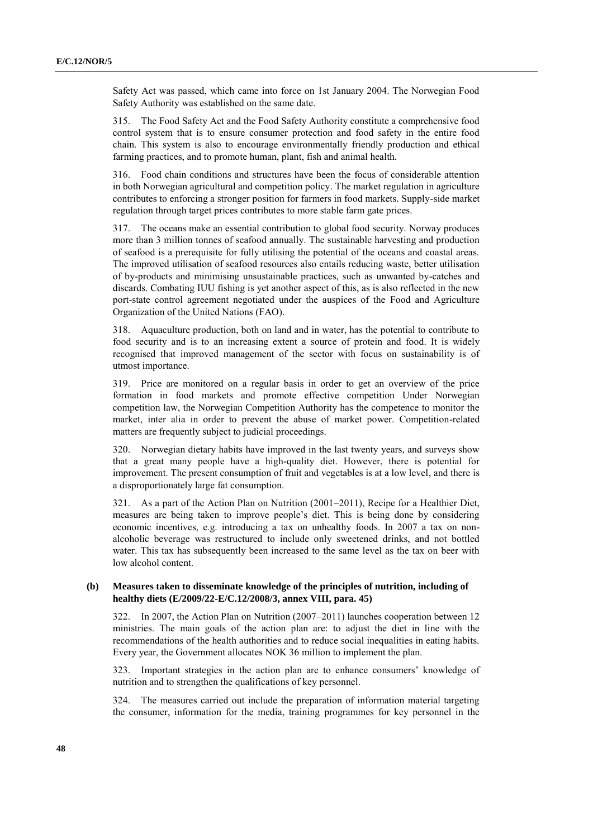Safety Act was passed, which came into force on 1st January 2004. The Norwegian Food Safety Authority was established on the same date.

315. The Food Safety Act and the Food Safety Authority constitute a comprehensive food control system that is to ensure consumer protection and food safety in the entire food chain. This system is also to encourage environmentally friendly production and ethical farming practices, and to promote human, plant, fish and animal health.

316. Food chain conditions and structures have been the focus of considerable attention in both Norwegian agricultural and competition policy. The market regulation in agriculture contributes to enforcing a stronger position for farmers in food markets. Supply-side market regulation through target prices contributes to more stable farm gate prices.

317. The oceans make an essential contribution to global food security. Norway produces more than 3 million tonnes of seafood annually. The sustainable harvesting and production of seafood is a prerequisite for fully utilising the potential of the oceans and coastal areas. The improved utilisation of seafood resources also entails reducing waste, better utilisation of by-products and minimising unsustainable practices, such as unwanted by-catches and discards. Combating IUU fishing is yet another aspect of this, as is also reflected in the new port-state control agreement negotiated under the auspices of the Food and Agriculture Organization of the United Nations (FAO).

318. Aquaculture production, both on land and in water, has the potential to contribute to food security and is to an increasing extent a source of protein and food. It is widely recognised that improved management of the sector with focus on sustainability is of utmost importance.

319. Price are monitored on a regular basis in order to get an overview of the price formation in food markets and promote effective competition Under Norwegian competition law, the Norwegian Competition Authority has the competence to monitor the market, inter alia in order to prevent the abuse of market power. Competition-related matters are frequently subject to judicial proceedings.

320. Norwegian dietary habits have improved in the last twenty years, and surveys show that a great many people have a high-quality diet. However, there is potential for improvement. The present consumption of fruit and vegetables is at a low level, and there is a disproportionately large fat consumption.

321. As a part of the Action Plan on Nutrition (2001–2011), Recipe for a Healthier Diet, measures are being taken to improve people's diet. This is being done by considering economic incentives, e.g. introducing a tax on unhealthy foods. In 2007 a tax on nonalcoholic beverage was restructured to include only sweetened drinks, and not bottled water. This tax has subsequently been increased to the same level as the tax on beer with low alcohol content.

# **(b) Measures taken to disseminate knowledge of the principles of nutrition, including of healthy diets (E/2009/22-E/C.12/2008/3, annex VIII, para. 45)**

322. In 2007, the Action Plan on Nutrition (2007–2011) launches cooperation between 12 ministries. The main goals of the action plan are: to adjust the diet in line with the recommendations of the health authorities and to reduce social inequalities in eating habits. Every year, the Government allocates NOK 36 million to implement the plan.

323. Important strategies in the action plan are to enhance consumers' knowledge of nutrition and to strengthen the qualifications of key personnel.

324. The measures carried out include the preparation of information material targeting the consumer, information for the media, training programmes for key personnel in the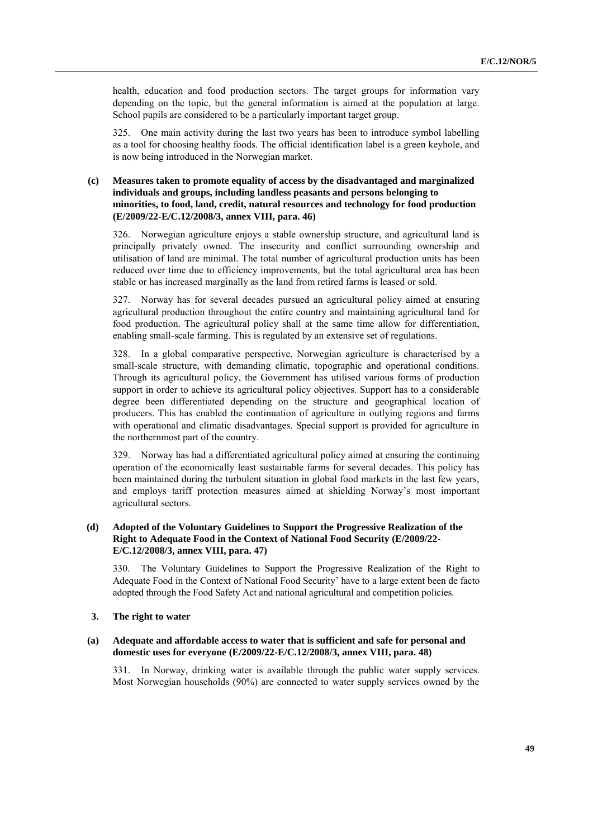health, education and food production sectors. The target groups for information vary depending on the topic, but the general information is aimed at the population at large. School pupils are considered to be a particularly important target group.

325. One main activity during the last two years has been to introduce symbol labelling as a tool for choosing healthy foods. The official identification label is a green keyhole, and is now being introduced in the Norwegian market.

# **(c) Measures taken to promote equality of access by the disadvantaged and marginalized individuals and groups, including landless peasants and persons belonging to minorities, to food, land, credit, natural resources and technology for food production (E/2009/22-E/C.12/2008/3, annex VIII, para. 46)**

326. Norwegian agriculture enjoys a stable ownership structure, and agricultural land is principally privately owned. The insecurity and conflict surrounding ownership and utilisation of land are minimal. The total number of agricultural production units has been reduced over time due to efficiency improvements, but the total agricultural area has been stable or has increased marginally as the land from retired farms is leased or sold.

327. Norway has for several decades pursued an agricultural policy aimed at ensuring agricultural production throughout the entire country and maintaining agricultural land for food production. The agricultural policy shall at the same time allow for differentiation, enabling small-scale farming. This is regulated by an extensive set of regulations.

328. In a global comparative perspective, Norwegian agriculture is characterised by a small-scale structure, with demanding climatic, topographic and operational conditions. Through its agricultural policy, the Government has utilised various forms of production support in order to achieve its agricultural policy objectives. Support has to a considerable degree been differentiated depending on the structure and geographical location of producers. This has enabled the continuation of agriculture in outlying regions and farms with operational and climatic disadvantages. Special support is provided for agriculture in the northernmost part of the country.

329. Norway has had a differentiated agricultural policy aimed at ensuring the continuing operation of the economically least sustainable farms for several decades. This policy has been maintained during the turbulent situation in global food markets in the last few years, and employs tariff protection measures aimed at shielding Norway's most important agricultural sectors.

# **(d) Adopted of the Voluntary Guidelines to Support the Progressive Realization of the Right to Adequate Food in the Context of National Food Security (E/2009/22- E/C.12/2008/3, annex VIII, para. 47)**

330. The Voluntary Guidelines to Support the Progressive Realization of the Right to Adequate Food in the Context of National Food Security' have to a large extent been de facto adopted through the Food Safety Act and national agricultural and competition policies.

### **3. The right to water**

### **(a) Adequate and affordable access to water that is sufficient and safe for personal and domestic uses for everyone (E/2009/22-E/C.12/2008/3, annex VIII, para. 48)**

331. In Norway, drinking water is available through the public water supply services. Most Norwegian households (90%) are connected to water supply services owned by the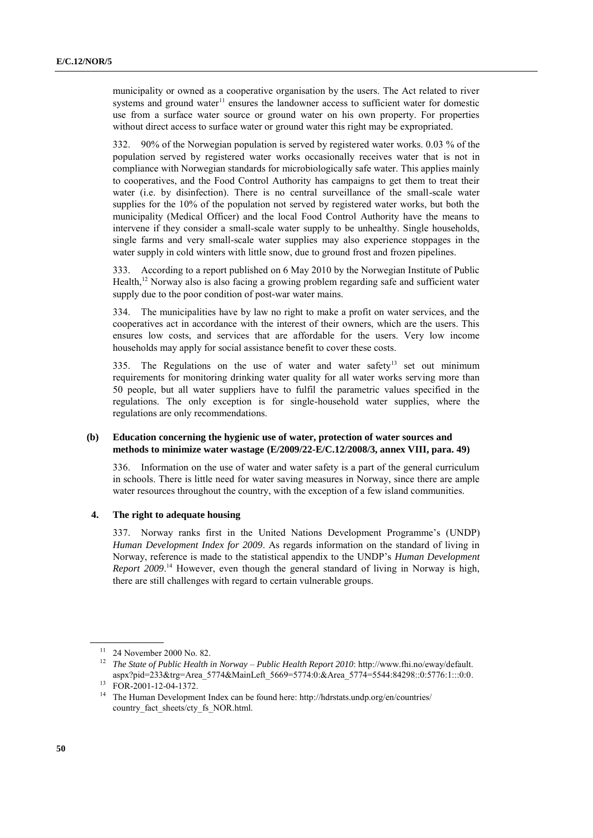municipality or owned as a cooperative organisation by the users. The Act related to river systems and ground water $11$  ensures the landowner access to sufficient water for domestic use from a surface water source or ground water on his own property. For properties without direct access to surface water or ground water this right may be expropriated.

332. 90% of the Norwegian population is served by registered water works. 0.03 % of the population served by registered water works occasionally receives water that is not in compliance with Norwegian standards for microbiologically safe water. This applies mainly to cooperatives, and the Food Control Authority has campaigns to get them to treat their water (i.e. by disinfection). There is no central surveillance of the small-scale water supplies for the 10% of the population not served by registered water works, but both the municipality (Medical Officer) and the local Food Control Authority have the means to intervene if they consider a small-scale water supply to be unhealthy. Single households, single farms and very small-scale water supplies may also experience stoppages in the water supply in cold winters with little snow, due to ground frost and frozen pipelines.

333. According to a report published on 6 May 2010 by the Norwegian Institute of Public Health,<sup>12</sup> Norway also is also facing a growing problem regarding safe and sufficient water supply due to the poor condition of post-war water mains.

334. The municipalities have by law no right to make a profit on water services, and the cooperatives act in accordance with the interest of their owners, which are the users. This ensures low costs, and services that are affordable for the users. Very low income households may apply for social assistance benefit to cover these costs.

335. The Regulations on the use of water and water safety<sup>13</sup> set out minimum requirements for monitoring drinking water quality for all water works serving more than 50 people, but all water suppliers have to fulfil the parametric values specified in the regulations. The only exception is for single-household water supplies, where the regulations are only recommendations.

### **(b) Education concerning the hygienic use of water, protection of water sources and methods to minimize water wastage (E/2009/22-E/C.12/2008/3, annex VIII, para. 49)**

336. Information on the use of water and water safety is a part of the general curriculum in schools. There is little need for water saving measures in Norway, since there are ample water resources throughout the country, with the exception of a few island communities.

### **4. The right to adequate housing**

337. Norway ranks first in the United Nations Development Programme's (UNDP) *Human Development Index for 2009*. As regards information on the standard of living in Norway, reference is made to the statistical appendix to the UNDP's *Human Development Report 2009*. <sup>14</sup> However, even though the general standard of living in Norway is high, there are still challenges with regard to certain vulnerable groups.

<sup>11</sup> 24 November 2000 No. 82.

<sup>12</sup> *The State of Public Health in Norway – Public Health Report 2010*: [http://www.fhi.no/eway/default.](http://www.fhi.no/eway/default.%0baspx?pid=233&trg=Area_5774&MainLeft_5669=5774:0:&Area_5774=5544:84298::0:5776:1:::0:0) [aspx?pid=233&trg=Area\\_5774&MainLeft\\_5669=5774:0:&Area\\_5774=5544:84298::0:5776:1:::0:0.](http://www.fhi.no/eway/default.%0baspx?pid=233&trg=Area_5774&MainLeft_5669=5774:0:&Area_5774=5544:84298::0:5776:1:::0:0)

<sup>13</sup> FOR-2001-12-04-1372.

<sup>&</sup>lt;sup>14</sup> The Human Development Index can be found here: http://hdrstats.undp.org/en/countries/ country fact sheets/cty fs NOR.html.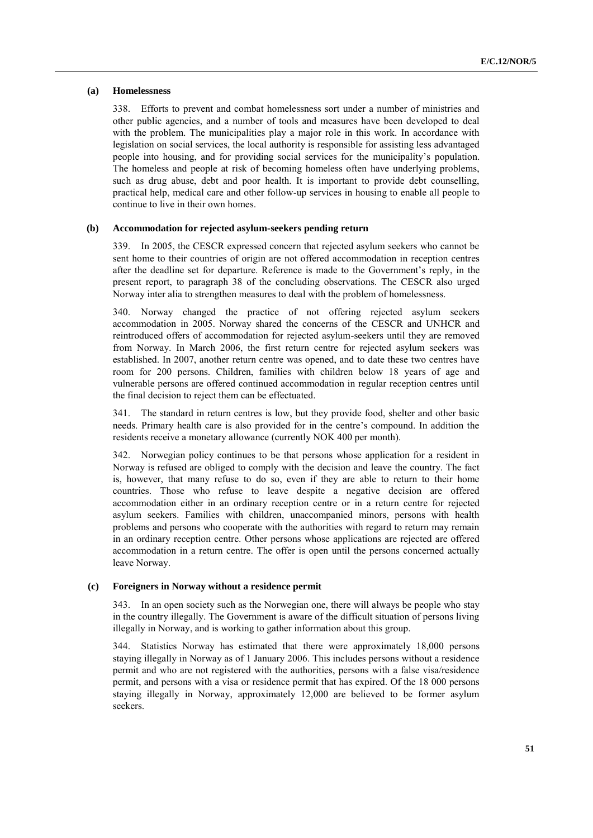### **(a) Homelessness**

338. Efforts to prevent and combat homelessness sort under a number of ministries and other public agencies, and a number of tools and measures have been developed to deal with the problem. The municipalities play a major role in this work. In accordance with legislation on social services, the local authority is responsible for assisting less advantaged people into housing, and for providing social services for the municipality's population. The homeless and people at risk of becoming homeless often have underlying problems, such as drug abuse, debt and poor health. It is important to provide debt counselling, practical help, medical care and other follow-up services in housing to enable all people to continue to live in their own homes.

### **(b) Accommodation for rejected asylum-seekers pending return**

339. In 2005, the CESCR expressed concern that rejected asylum seekers who cannot be sent home to their countries of origin are not offered accommodation in reception centres after the deadline set for departure. Reference is made to the Government's reply, in the present report, to paragraph 38 of the concluding observations. The CESCR also urged Norway inter alia to strengthen measures to deal with the problem of homelessness.

340. Norway changed the practice of not offering rejected asylum seekers accommodation in 2005. Norway shared the concerns of the CESCR and UNHCR and reintroduced offers of accommodation for rejected asylum-seekers until they are removed from Norway. In March 2006, the first return centre for rejected asylum seekers was established. In 2007, another return centre was opened, and to date these two centres have room for 200 persons. Children, families with children below 18 years of age and vulnerable persons are offered continued accommodation in regular reception centres until the final decision to reject them can be effectuated.

341. The standard in return centres is low, but they provide food, shelter and other basic needs. Primary health care is also provided for in the centre's compound. In addition the residents receive a monetary allowance (currently NOK 400 per month).

342. Norwegian policy continues to be that persons whose application for a resident in Norway is refused are obliged to comply with the decision and leave the country. The fact is, however, that many refuse to do so, even if they are able to return to their home countries. Those who refuse to leave despite a negative decision are offered accommodation either in an ordinary reception centre or in a return centre for rejected asylum seekers. Families with children, unaccompanied minors, persons with health problems and persons who cooperate with the authorities with regard to return may remain in an ordinary reception centre. Other persons whose applications are rejected are offered accommodation in a return centre. The offer is open until the persons concerned actually leave Norway.

### **(c) Foreigners in Norway without a residence permit**

343. In an open society such as the Norwegian one, there will always be people who stay in the country illegally. The Government is aware of the difficult situation of persons living illegally in Norway, and is working to gather information about this group.

344. Statistics Norway has estimated that there were approximately 18,000 persons staying illegally in Norway as of 1 January 2006. This includes persons without a residence permit and who are not registered with the authorities, persons with a false visa/residence permit, and persons with a visa or residence permit that has expired. Of the 18 000 persons staying illegally in Norway, approximately 12,000 are believed to be former asylum seekers.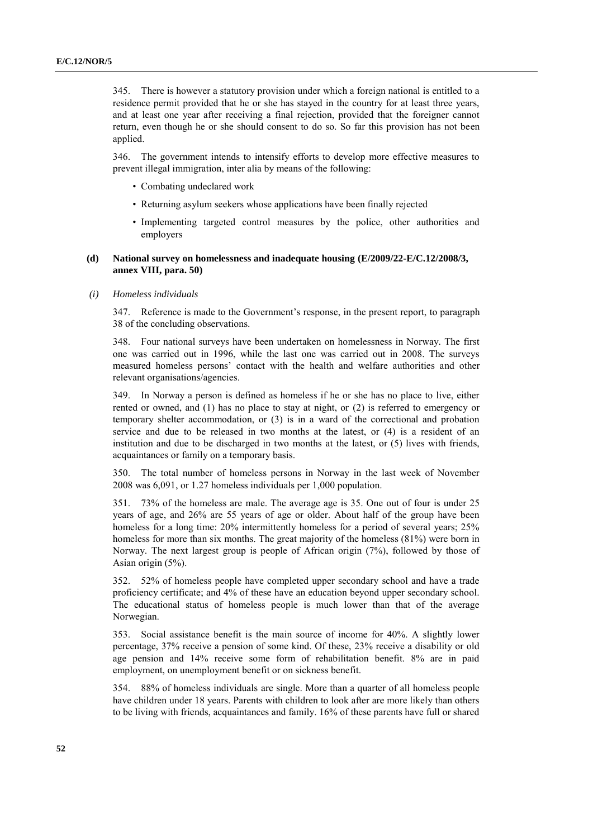345. There is however a statutory provision under which a foreign national is entitled to a residence permit provided that he or she has stayed in the country for at least three years, and at least one year after receiving a final rejection, provided that the foreigner cannot return, even though he or she should consent to do so. So far this provision has not been applied.

346. The government intends to intensify efforts to develop more effective measures to prevent illegal immigration, inter alia by means of the following:

- Combating undeclared work
- Returning asylum seekers whose applications have been finally rejected
- Implementing targeted control measures by the police, other authorities and employers

## **(d) National survey on homelessness and inadequate housing (E/2009/22-E/C.12/2008/3, annex VIII, para. 50)**

*(i) Homeless individuals*

347. Reference is made to the Government's response, in the present report, to paragraph 38 of the concluding observations.

348. Four national surveys have been undertaken on homelessness in Norway. The first one was carried out in 1996, while the last one was carried out in 2008. The surveys measured homeless persons' contact with the health and welfare authorities and other relevant organisations/agencies.

349. In Norway a person is defined as homeless if he or she has no place to live, either rented or owned, and (1) has no place to stay at night, or (2) is referred to emergency or temporary shelter accommodation, or (3) is in a ward of the correctional and probation service and due to be released in two months at the latest, or (4) is a resident of an institution and due to be discharged in two months at the latest, or (5) lives with friends, acquaintances or family on a temporary basis.

350. The total number of homeless persons in Norway in the last week of November 2008 was 6,091, or 1.27 homeless individuals per 1,000 population.

351. 73% of the homeless are male. The average age is 35. One out of four is under 25 years of age, and 26% are 55 years of age or older. About half of the group have been homeless for a long time: 20% intermittently homeless for a period of several years; 25% homeless for more than six months. The great majority of the homeless (81%) were born in Norway. The next largest group is people of African origin (7%), followed by those of Asian origin (5%).

352. 52% of homeless people have completed upper secondary school and have a trade proficiency certificate; and 4% of these have an education beyond upper secondary school. The educational status of homeless people is much lower than that of the average Norwegian.

353. Social assistance benefit is the main source of income for 40%. A slightly lower percentage, 37% receive a pension of some kind. Of these, 23% receive a disability or old age pension and 14% receive some form of rehabilitation benefit. 8% are in paid employment, on unemployment benefit or on sickness benefit.

354. 88% of homeless individuals are single. More than a quarter of all homeless people have children under 18 years. Parents with children to look after are more likely than others to be living with friends, acquaintances and family. 16% of these parents have full or shared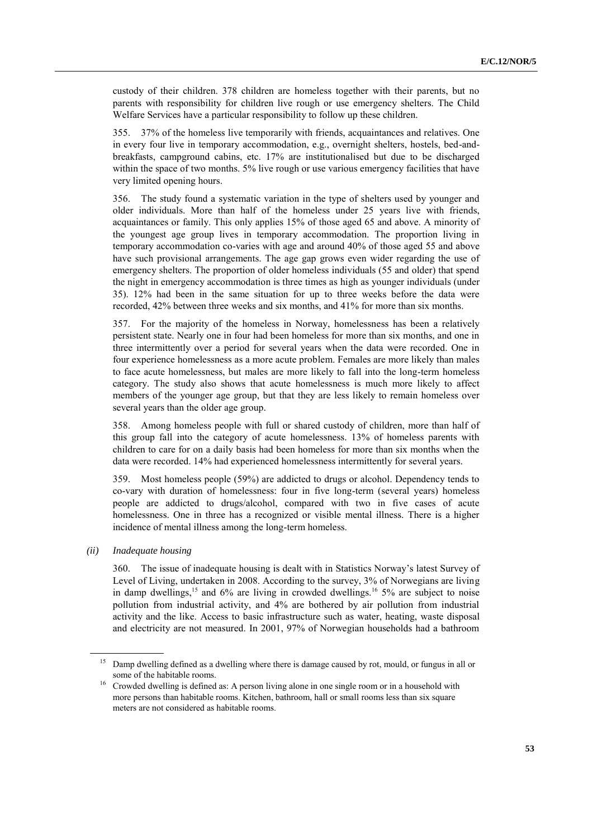custody of their children. 378 children are homeless together with their parents, but no parents with responsibility for children live rough or use emergency shelters. The Child Welfare Services have a particular responsibility to follow up these children.

355. 37% of the homeless live temporarily with friends, acquaintances and relatives. One in every four live in temporary accommodation, e.g., overnight shelters, hostels, bed-andbreakfasts, campground cabins, etc. 17% are institutionalised but due to be discharged within the space of two months. 5% live rough or use various emergency facilities that have very limited opening hours.

356. The study found a systematic variation in the type of shelters used by younger and older individuals. More than half of the homeless under 25 years live with friends, acquaintances or family. This only applies 15% of those aged 65 and above. A minority of the youngest age group lives in temporary accommodation. The proportion living in temporary accommodation co-varies with age and around 40% of those aged 55 and above have such provisional arrangements. The age gap grows even wider regarding the use of emergency shelters. The proportion of older homeless individuals (55 and older) that spend the night in emergency accommodation is three times as high as younger individuals (under 35). 12% had been in the same situation for up to three weeks before the data were recorded, 42% between three weeks and six months, and 41% for more than six months.

357. For the majority of the homeless in Norway, homelessness has been a relatively persistent state. Nearly one in four had been homeless for more than six months, and one in three intermittently over a period for several years when the data were recorded. One in four experience homelessness as a more acute problem. Females are more likely than males to face acute homelessness, but males are more likely to fall into the long-term homeless category. The study also shows that acute homelessness is much more likely to affect members of the younger age group, but that they are less likely to remain homeless over several years than the older age group.

358. Among homeless people with full or shared custody of children, more than half of this group fall into the category of acute homelessness. 13% of homeless parents with children to care for on a daily basis had been homeless for more than six months when the data were recorded. 14% had experienced homelessness intermittently for several years.

359. Most homeless people (59%) are addicted to drugs or alcohol. Dependency tends to co-vary with duration of homelessness: four in five long-term (several years) homeless people are addicted to drugs/alcohol, compared with two in five cases of acute homelessness. One in three has a recognized or visible mental illness. There is a higher incidence of mental illness among the long-term homeless.

## *(ii) Inadequate housing*

360. The issue of inadequate housing is dealt with in Statistics Norway's latest Survey of Level of Living, undertaken in 2008. According to the survey, 3% of Norwegians are living in damp dwellings,<sup>15</sup> and 6% are living in crowded dwellings.<sup>16</sup> 5% are subject to noise pollution from industrial activity, and 4% are bothered by air pollution from industrial activity and the like. Access to basic infrastructure such as water, heating, waste disposal and electricity are not measured. In 2001, 97% of Norwegian households had a bathroom

<sup>15</sup> Damp dwelling defined as a dwelling where there is damage caused by rot, mould, or fungus in all or some of the habitable rooms.

<sup>&</sup>lt;sup>16</sup> Crowded dwelling is defined as: A person living alone in one single room or in a household with more persons than habitable rooms. Kitchen, bathroom, hall or small rooms less than six square meters are not considered as habitable rooms.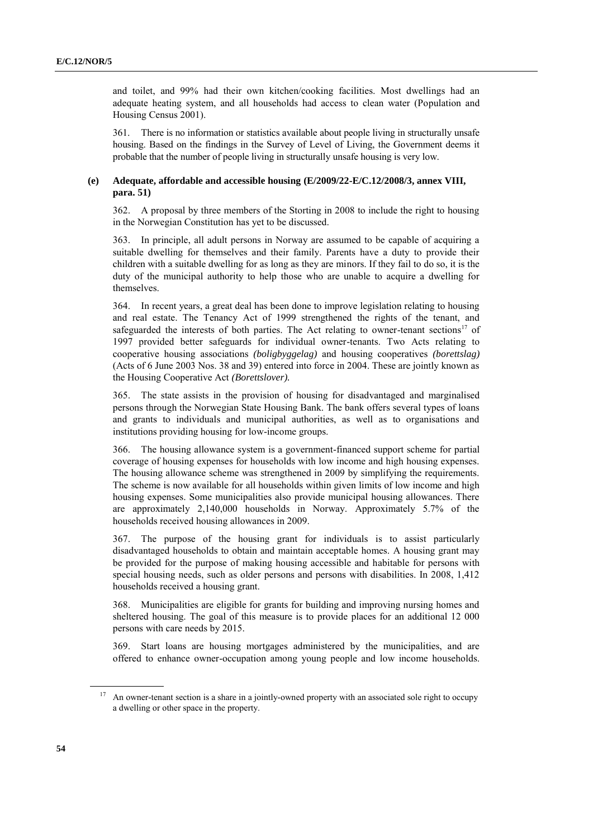and toilet, and 99% had their own kitchen/cooking facilities. Most dwellings had an adequate heating system, and all households had access to clean water (Population and Housing Census 2001).

361. There is no information or statistics available about people living in structurally unsafe housing. Based on the findings in the Survey of Level of Living, the Government deems it probable that the number of people living in structurally unsafe housing is very low.

## **(e) Adequate, affordable and accessible housing (E/2009/22-E/C.12/2008/3, annex VIII, para. 51)**

362. A proposal by three members of the Storting in 2008 to include the right to housing in the Norwegian Constitution has yet to be discussed.

363. In principle, all adult persons in Norway are assumed to be capable of acquiring a suitable dwelling for themselves and their family. Parents have a duty to provide their children with a suitable dwelling for as long as they are minors. If they fail to do so, it is the duty of the municipal authority to help those who are unable to acquire a dwelling for themselves.

364. In recent years, a great deal has been done to improve legislation relating to housing and real estate. The Tenancy Act of 1999 strengthened the rights of the tenant, and safeguarded the interests of both parties. The Act relating to owner-tenant sections<sup>17</sup> of 1997 provided better safeguards for individual owner-tenants. Two Acts relating to cooperative housing associations *(boligbyggelag)* and housing cooperatives *(borettslag)*  (Acts of 6 June 2003 Nos. 38 and 39) entered into force in 2004. These are jointly known as the Housing Cooperative Act *(Borettslover).*

365. The state assists in the provision of housing for disadvantaged and marginalised persons through the Norwegian State Housing Bank. The bank offers several types of loans and grants to individuals and municipal authorities, as well as to organisations and institutions providing housing for low-income groups.

366. The housing allowance system is a government-financed support scheme for partial coverage of housing expenses for households with low income and high housing expenses. The housing allowance scheme was strengthened in 2009 by simplifying the requirements. The scheme is now available for all households within given limits of low income and high housing expenses. Some municipalities also provide municipal housing allowances. There are approximately 2,140,000 households in Norway. Approximately 5.7% of the households received housing allowances in 2009.

367. The purpose of the housing grant for individuals is to assist particularly disadvantaged households to obtain and maintain acceptable homes. A housing grant may be provided for the purpose of making housing accessible and habitable for persons with special housing needs, such as older persons and persons with disabilities. In 2008, 1,412 households received a housing grant.

368. Municipalities are eligible for grants for building and improving nursing homes and sheltered housing. The goal of this measure is to provide places for an additional 12 000 persons with care needs by 2015.

369. Start loans are housing mortgages administered by the municipalities, and are offered to enhance owner-occupation among young people and low income households.

<sup>&</sup>lt;sup>17</sup> An owner-tenant section is a share in a jointly-owned property with an associated sole right to occupy a dwelling or other space in the property.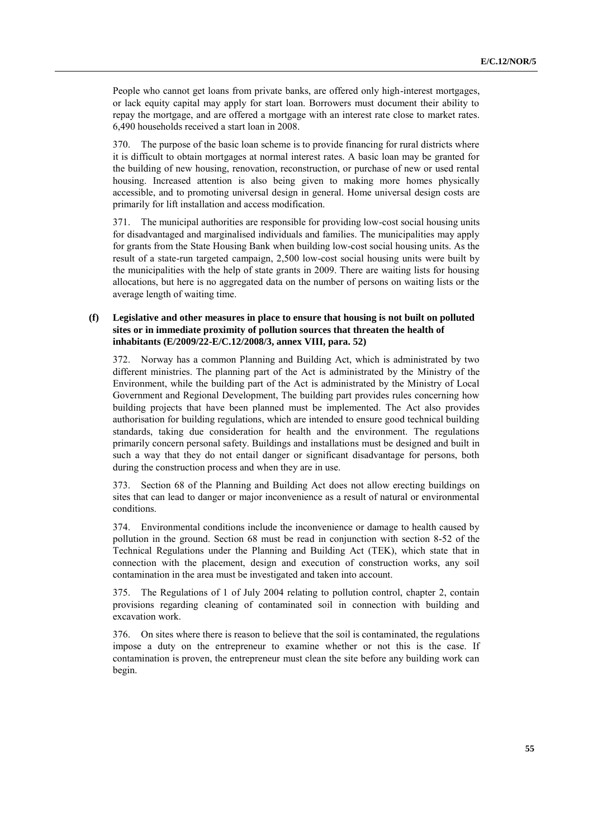People who cannot get loans from private banks, are offered only high-interest mortgages, or lack equity capital may apply for start loan. Borrowers must document their ability to repay the mortgage, and are offered a mortgage with an interest rate close to market rates. 6,490 households received a start loan in 2008.

370. The purpose of the basic loan scheme is to provide financing for rural districts where it is difficult to obtain mortgages at normal interest rates. A basic loan may be granted for the building of new housing, renovation, reconstruction, or purchase of new or used rental housing. Increased attention is also being given to making more homes physically accessible, and to promoting universal design in general. Home universal design costs are primarily for lift installation and access modification.

371. The municipal authorities are responsible for providing low-cost social housing units for disadvantaged and marginalised individuals and families. The municipalities may apply for grants from the State Housing Bank when building low-cost social housing units. As the result of a state-run targeted campaign, 2,500 low-cost social housing units were built by the municipalities with the help of state grants in 2009. There are waiting lists for housing allocations, but here is no aggregated data on the number of persons on waiting lists or the average length of waiting time.

## **(f) Legislative and other measures in place to ensure that housing is not built on polluted sites or in immediate proximity of pollution sources that threaten the health of inhabitants (E/2009/22-E/C.12/2008/3, annex VIII, para. 52)**

372. Norway has a common Planning and Building Act, which is administrated by two different ministries. The planning part of the Act is administrated by the Ministry of the Environment, while the building part of the Act is administrated by the Ministry of Local Government and Regional Development, The building part provides rules concerning how building projects that have been planned must be implemented. The Act also provides authorisation for building regulations, which are intended to ensure good technical building standards, taking due consideration for health and the environment. The regulations primarily concern personal safety. Buildings and installations must be designed and built in such a way that they do not entail danger or significant disadvantage for persons, both during the construction process and when they are in use.

373. Section 68 of the Planning and Building Act does not allow erecting buildings on sites that can lead to danger or major inconvenience as a result of natural or environmental conditions.

374. Environmental conditions include the inconvenience or damage to health caused by pollution in the ground. Section 68 must be read in conjunction with section 8-52 of the Technical Regulations under the Planning and Building Act (TEK), which state that in connection with the placement, design and execution of construction works, any soil contamination in the area must be investigated and taken into account.

375. The Regulations of 1 of July 2004 relating to pollution control, chapter 2, contain provisions regarding cleaning of contaminated soil in connection with building and excavation work.

376. On sites where there is reason to believe that the soil is contaminated, the regulations impose a duty on the entrepreneur to examine whether or not this is the case. If contamination is proven, the entrepreneur must clean the site before any building work can begin.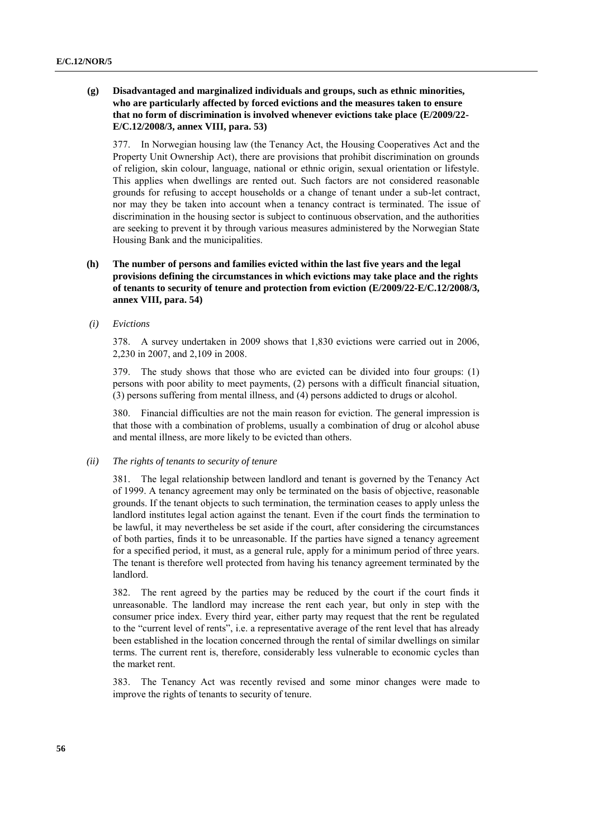## **(g) Disadvantaged and marginalized individuals and groups, such as ethnic minorities, who are particularly affected by forced evictions and the measures taken to ensure that no form of discrimination is involved whenever evictions take place (E/2009/22- E/C.12/2008/3, annex VIII, para. 53)**

377. In Norwegian housing law (the Tenancy Act, the Housing Cooperatives Act and the Property Unit Ownership Act), there are provisions that prohibit discrimination on grounds of religion, skin colour, language, national or ethnic origin, sexual orientation or lifestyle. This applies when dwellings are rented out. Such factors are not considered reasonable grounds for refusing to accept households or a change of tenant under a sub-let contract, nor may they be taken into account when a tenancy contract is terminated. The issue of discrimination in the housing sector is subject to continuous observation, and the authorities are seeking to prevent it by through various measures administered by the Norwegian State Housing Bank and the municipalities.

# **(h) The number of persons and families evicted within the last five years and the legal provisions defining the circumstances in which evictions may take place and the rights of tenants to security of tenure and protection from eviction (E/2009/22-E/C.12/2008/3, annex VIII, para. 54)**

# *(i) Evictions*

378. A survey undertaken in 2009 shows that 1,830 evictions were carried out in 2006, 2,230 in 2007, and 2,109 in 2008.

379. The study shows that those who are evicted can be divided into four groups: (1) persons with poor ability to meet payments, (2) persons with a difficult financial situation, (3) persons suffering from mental illness, and (4) persons addicted to drugs or alcohol.

380. Financial difficulties are not the main reason for eviction. The general impression is that those with a combination of problems, usually a combination of drug or alcohol abuse and mental illness, are more likely to be evicted than others.

#### *(ii) The rights of tenants to security of tenure*

381. The legal relationship between landlord and tenant is governed by the Tenancy Act of 1999. A tenancy agreement may only be terminated on the basis of objective, reasonable grounds. If the tenant objects to such termination, the termination ceases to apply unless the landlord institutes legal action against the tenant. Even if the court finds the termination to be lawful, it may nevertheless be set aside if the court, after considering the circumstances of both parties, finds it to be unreasonable. If the parties have signed a tenancy agreement for a specified period, it must, as a general rule, apply for a minimum period of three years. The tenant is therefore well protected from having his tenancy agreement terminated by the landlord.

382. The rent agreed by the parties may be reduced by the court if the court finds it unreasonable. The landlord may increase the rent each year, but only in step with the consumer price index. Every third year, either party may request that the rent be regulated to the "current level of rents", i.e. a representative average of the rent level that has already been established in the location concerned through the rental of similar dwellings on similar terms. The current rent is, therefore, considerably less vulnerable to economic cycles than the market rent.

383. The Tenancy Act was recently revised and some minor changes were made to improve the rights of tenants to security of tenure.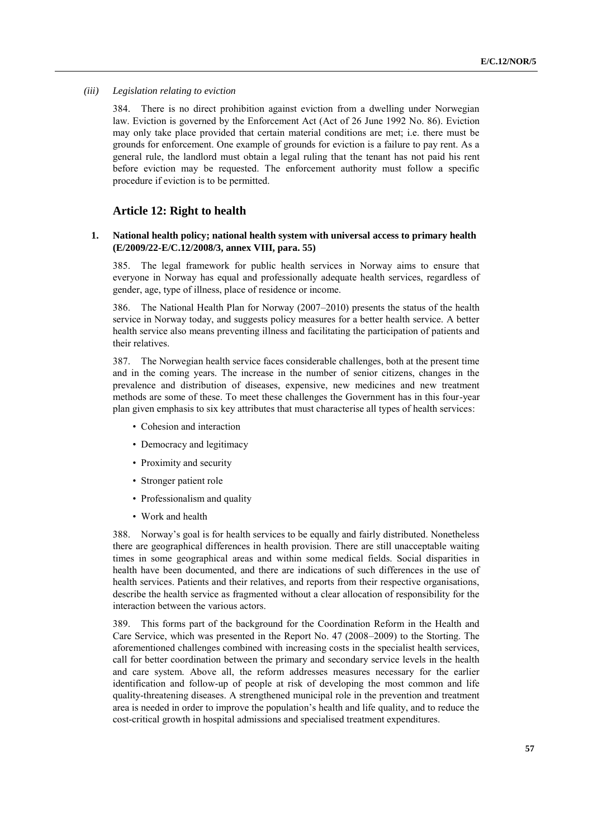#### *(iii) Legislation relating to eviction*

384. There is no direct prohibition against eviction from a dwelling under Norwegian law. Eviction is governed by the Enforcement Act (Act of 26 June 1992 No. 86). Eviction may only take place provided that certain material conditions are met; i.e. there must be grounds for enforcement. One example of grounds for eviction is a failure to pay rent. As a general rule, the landlord must obtain a legal ruling that the tenant has not paid his rent before eviction may be requested. The enforcement authority must follow a specific procedure if eviction is to be permitted.

# **Article 12: Right to health**

### **1. National health policy; national health system with universal access to primary health (E/2009/22-E/C.12/2008/3, annex VIII, para. 55)**

385. The legal framework for public health services in Norway aims to ensure that everyone in Norway has equal and professionally adequate health services, regardless of gender, age, type of illness, place of residence or income.

386. The National Health Plan for Norway (2007–2010) presents the status of the health service in Norway today, and suggests policy measures for a better health service. A better health service also means preventing illness and facilitating the participation of patients and their relatives.

387. The Norwegian health service faces considerable challenges, both at the present time and in the coming years. The increase in the number of senior citizens, changes in the prevalence and distribution of diseases, expensive, new medicines and new treatment methods are some of these. To meet these challenges the Government has in this four-year plan given emphasis to six key attributes that must characterise all types of health services:

- Cohesion and interaction
- Democracy and legitimacy
- Proximity and security
- Stronger patient role
- Professionalism and quality
- Work and health

388. Norway's goal is for health services to be equally and fairly distributed. Nonetheless there are geographical differences in health provision. There are still unacceptable waiting times in some geographical areas and within some medical fields. Social disparities in health have been documented, and there are indications of such differences in the use of health services. Patients and their relatives, and reports from their respective organisations, describe the health service as fragmented without a clear allocation of responsibility for the interaction between the various actors.

389. This forms part of the background for the Coordination Reform in the Health and Care Service, which was presented in the Report No. 47 (2008–2009) to the Storting. The aforementioned challenges combined with increasing costs in the specialist health services, call for better coordination between the primary and secondary service levels in the health and care system. Above all, the reform addresses measures necessary for the earlier identification and follow-up of people at risk of developing the most common and life quality-threatening diseases. A strengthened municipal role in the prevention and treatment area is needed in order to improve the population's health and life quality, and to reduce the cost-critical growth in hospital admissions and specialised treatment expenditures.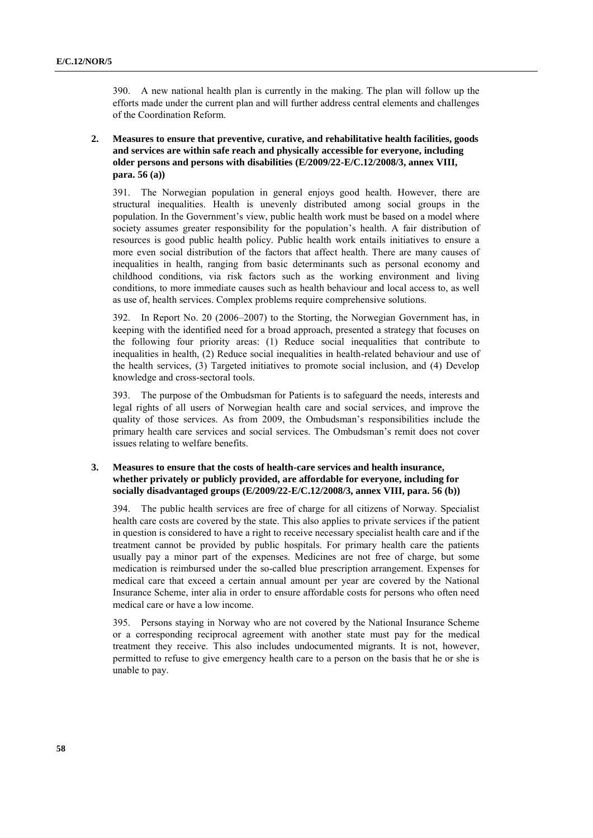390. A new national health plan is currently in the making. The plan will follow up the efforts made under the current plan and will further address central elements and challenges of the Coordination Reform.

**2. Measures to ensure that preventive, curative, and rehabilitative health facilities, goods and services are within safe reach and physically accessible for everyone, including older persons and persons with disabilities (E/2009/22-E/C.12/2008/3, annex VIII, para. 56 (a))**

391. The Norwegian population in general enjoys good health. However, there are structural inequalities. Health is unevenly distributed among social groups in the population. In the Government's view, public health work must be based on a model where society assumes greater responsibility for the population's health. A fair distribution of resources is good public health policy. Public health work entails initiatives to ensure a more even social distribution of the factors that affect health. There are many causes of inequalities in health, ranging from basic determinants such as personal economy and childhood conditions, via risk factors such as the working environment and living conditions, to more immediate causes such as health behaviour and local access to, as well as use of, health services. Complex problems require comprehensive solutions.

392. In Report No. 20 (2006–2007) to the Storting, the Norwegian Government has, in keeping with the identified need for a broad approach, presented a strategy that focuses on the following four priority areas: (1) Reduce social inequalities that contribute to inequalities in health, (2) Reduce social inequalities in health-related behaviour and use of the health services, (3) Targeted initiatives to promote social inclusion, and (4) Develop knowledge and cross-sectoral tools.

393. The purpose of the Ombudsman for Patients is to safeguard the needs, interests and legal rights of all users of Norwegian health care and social services, and improve the quality of those services. As from 2009, the Ombudsman's responsibilities include the primary health care services and social services. The Ombudsman's remit does not cover issues relating to welfare benefits.

# **3. Measures to ensure that the costs of health-care services and health insurance, whether privately or publicly provided, are affordable for everyone, including for socially disadvantaged groups (E/2009/22-E/C.12/2008/3, annex VIII, para. 56 (b))**

394. The public health services are free of charge for all citizens of Norway. Specialist health care costs are covered by the state. This also applies to private services if the patient in question is considered to have a right to receive necessary specialist health care and if the treatment cannot be provided by public hospitals. For primary health care the patients usually pay a minor part of the expenses. Medicines are not free of charge, but some medication is reimbursed under the so-called blue prescription arrangement. Expenses for medical care that exceed a certain annual amount per year are covered by the National Insurance Scheme, inter alia in order to ensure affordable costs for persons who often need medical care or have a low income.

395. Persons staying in Norway who are not covered by the National Insurance Scheme or a corresponding reciprocal agreement with another state must pay for the medical treatment they receive. This also includes undocumented migrants. It is not, however, permitted to refuse to give emergency health care to a person on the basis that he or she is unable to pay.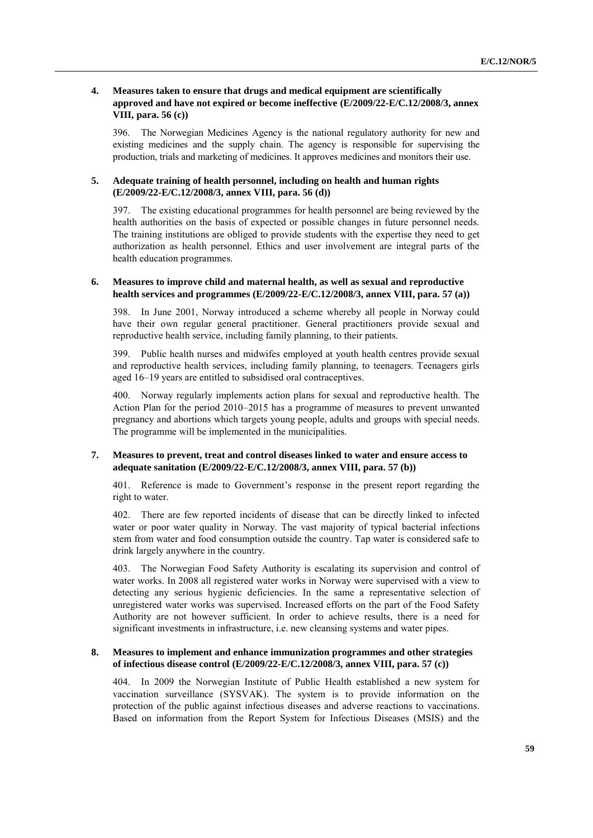## **4. Measures taken to ensure that drugs and medical equipment are scientifically approved and have not expired or become ineffective (E/2009/22-E/C.12/2008/3, annex VIII, para. 56 (c))**

396. The Norwegian Medicines Agency is the national regulatory authority for new and existing medicines and the supply chain. The agency is responsible for supervising the production, trials and marketing of medicines. It approves medicines and monitors their use.

## **5. Adequate training of health personnel, including on health and human rights (E/2009/22-E/C.12/2008/3, annex VIII, para. 56 (d))**

397. The existing educational programmes for health personnel are being reviewed by the health authorities on the basis of expected or possible changes in future personnel needs. The training institutions are obliged to provide students with the expertise they need to get authorization as health personnel. Ethics and user involvement are integral parts of the health education programmes.

## **6. Measures to improve child and maternal health, as well as sexual and reproductive health services and programmes (E/2009/22-E/C.12/2008/3, annex VIII, para. 57 (a))**

398. In June 2001, Norway introduced a scheme whereby all people in Norway could have their own regular general practitioner. General practitioners provide sexual and reproductive health service, including family planning, to their patients.

399. Public health nurses and midwifes employed at youth health centres provide sexual and reproductive health services, including family planning, to teenagers. Teenagers girls aged 16–19 years are entitled to subsidised oral contraceptives.

400. Norway regularly implements action plans for sexual and reproductive health. The Action Plan for the period 2010–2015 has a programme of measures to prevent unwanted pregnancy and abortions which targets young people, adults and groups with special needs. The programme will be implemented in the municipalities.

### **7. Measures to prevent, treat and control diseases linked to water and ensure access to adequate sanitation (E/2009/22-E/C.12/2008/3, annex VIII, para. 57 (b))**

401. Reference is made to Government's response in the present report regarding the right to water.

402. There are few reported incidents of disease that can be directly linked to infected water or poor water quality in Norway. The vast majority of typical bacterial infections stem from water and food consumption outside the country. Tap water is considered safe to drink largely anywhere in the country.

403. The Norwegian Food Safety Authority is escalating its supervision and control of water works. In 2008 all registered water works in Norway were supervised with a view to detecting any serious hygienic deficiencies. In the same a representative selection of unregistered water works was supervised. Increased efforts on the part of the Food Safety Authority are not however sufficient. In order to achieve results, there is a need for significant investments in infrastructure, i.e. new cleansing systems and water pipes.

# **8. Measures to implement and enhance immunization programmes and other strategies of infectious disease control (E/2009/22-E/C.12/2008/3, annex VIII, para. 57 (c))**

404. In 2009 the Norwegian Institute of Public Health established a new system for vaccination surveillance (SYSVAK). The system is to provide information on the protection of the public against infectious diseases and adverse reactions to vaccinations. Based on information from the Report System for Infectious Diseases (MSIS) and the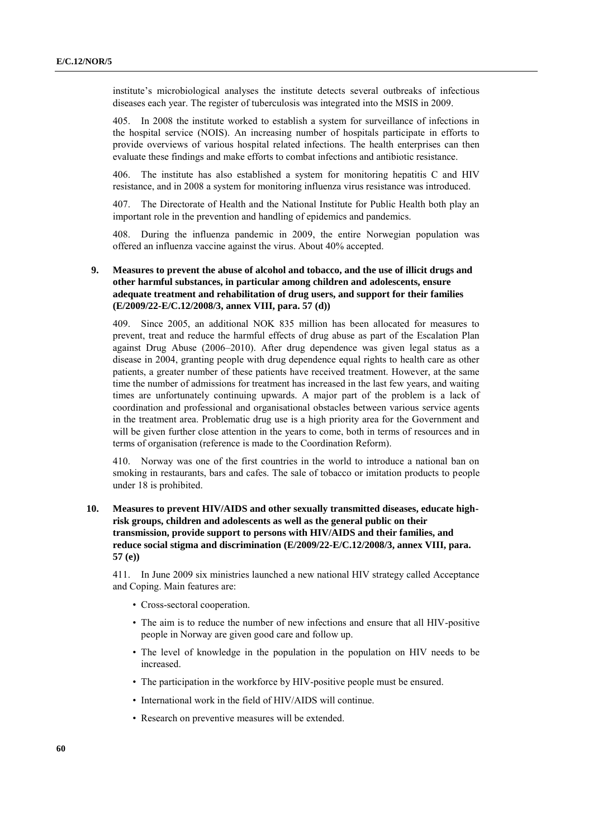institute's microbiological analyses the institute detects several outbreaks of infectious diseases each year. The register of tuberculosis was integrated into the MSIS in 2009.

405. In 2008 the institute worked to establish a system for surveillance of infections in the hospital service (NOIS). An increasing number of hospitals participate in efforts to provide overviews of various hospital related infections. The health enterprises can then evaluate these findings and make efforts to combat infections and antibiotic resistance.

406. The institute has also established a system for monitoring hepatitis C and HIV resistance, and in 2008 a system for monitoring influenza virus resistance was introduced.

407. The Directorate of Health and the National Institute for Public Health both play an important role in the prevention and handling of epidemics and pandemics.

408. During the influenza pandemic in 2009, the entire Norwegian population was offered an influenza vaccine against the virus. About 40% accepted.

# **9. Measures to prevent the abuse of alcohol and tobacco, and the use of illicit drugs and other harmful substances, in particular among children and adolescents, ensure adequate treatment and rehabilitation of drug users, and support for their families (E/2009/22-E/C.12/2008/3, annex VIII, para. 57 (d))**

409. Since 2005, an additional NOK 835 million has been allocated for measures to prevent, treat and reduce the harmful effects of drug abuse as part of the Escalation Plan against Drug Abuse (2006–2010). After drug dependence was given legal status as a disease in 2004, granting people with drug dependence equal rights to health care as other patients, a greater number of these patients have received treatment. However, at the same time the number of admissions for treatment has increased in the last few years, and waiting times are unfortunately continuing upwards. A major part of the problem is a lack of coordination and professional and organisational obstacles between various service agents in the treatment area. Problematic drug use is a high priority area for the Government and will be given further close attention in the years to come, both in terms of resources and in terms of organisation (reference is made to the Coordination Reform).

410. Norway was one of the first countries in the world to introduce a national ban on smoking in restaurants, bars and cafes. The sale of tobacco or imitation products to people under 18 is prohibited.

# **10. Measures to prevent HIV/AIDS and other sexually transmitted diseases, educate highrisk groups, children and adolescents as well as the general public on their transmission, provide support to persons with HIV/AIDS and their families, and reduce social stigma and discrimination (E/2009/22-E/C.12/2008/3, annex VIII, para. 57 (e))**

411. In June 2009 six ministries launched a new national HIV strategy called Acceptance and Coping. Main features are:

- Cross-sectoral cooperation.
- The aim is to reduce the number of new infections and ensure that all HIV-positive people in Norway are given good care and follow up.
- The level of knowledge in the population in the population on HIV needs to be increased.
- The participation in the workforce by HIV-positive people must be ensured.
- International work in the field of HIV/AIDS will continue.
- Research on preventive measures will be extended.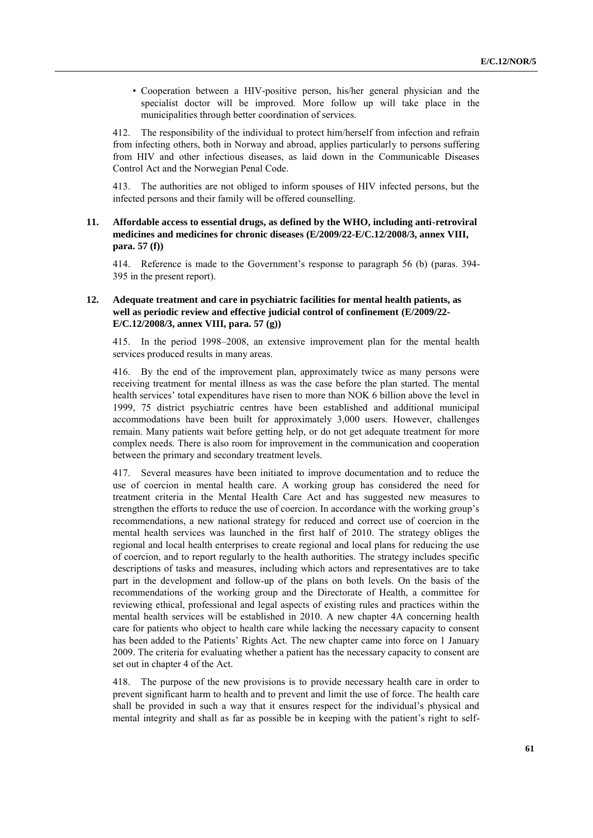• Cooperation between a HIV-positive person, his/her general physician and the specialist doctor will be improved. More follow up will take place in the municipalities through better coordination of services.

412. The responsibility of the individual to protect him/herself from infection and refrain from infecting others, both in Norway and abroad, applies particularly to persons suffering from HIV and other infectious diseases, as laid down in the Communicable Diseases Control Act and the Norwegian Penal Code.

413. The authorities are not obliged to inform spouses of HIV infected persons, but the infected persons and their family will be offered counselling.

# **11. Affordable access to essential drugs, as defined by the WHO, including anti-retroviral medicines and medicines for chronic diseases (E/2009/22-E/C.12/2008/3, annex VIII, para. 57 (f))**

414. Reference is made to the Government's response to paragraph 56 (b) (paras. 394- 395 in the present report).

# **12. Adequate treatment and care in psychiatric facilities for mental health patients, as well as periodic review and effective judicial control of confinement (E/2009/22- E/C.12/2008/3, annex VIII, para. 57 (g))**

415. In the period 1998–2008, an extensive improvement plan for the mental health services produced results in many areas.

By the end of the improvement plan, approximately twice as many persons were receiving treatment for mental illness as was the case before the plan started. The mental health services' total expenditures have risen to more than NOK 6 billion above the level in 1999, 75 district psychiatric centres have been established and additional municipal accommodations have been built for approximately 3,000 users. However, challenges remain. Many patients wait before getting help, or do not get adequate treatment for more complex needs. There is also room for improvement in the communication and cooperation between the primary and secondary treatment levels.

417. Several measures have been initiated to improve documentation and to reduce the use of coercion in mental health care. A working group has considered the need for treatment criteria in the Mental Health Care Act and has suggested new measures to strengthen the efforts to reduce the use of coercion. In accordance with the working group's recommendations, a new national strategy for reduced and correct use of coercion in the mental health services was launched in the first half of 2010. The strategy obliges the regional and local health enterprises to create regional and local plans for reducing the use of coercion, and to report regularly to the health authorities. The strategy includes specific descriptions of tasks and measures, including which actors and representatives are to take part in the development and follow-up of the plans on both levels. On the basis of the recommendations of the working group and the Directorate of Health, a committee for reviewing ethical, professional and legal aspects of existing rules and practices within the mental health services will be established in 2010. A new chapter 4A concerning health care for patients who object to health care while lacking the necessary capacity to consent has been added to the Patients' Rights Act. The new chapter came into force on 1 January 2009. The criteria for evaluating whether a patient has the necessary capacity to consent are set out in chapter 4 of the Act.

418. The purpose of the new provisions is to provide necessary health care in order to prevent significant harm to health and to prevent and limit the use of force. The health care shall be provided in such a way that it ensures respect for the individual's physical and mental integrity and shall as far as possible be in keeping with the patient's right to self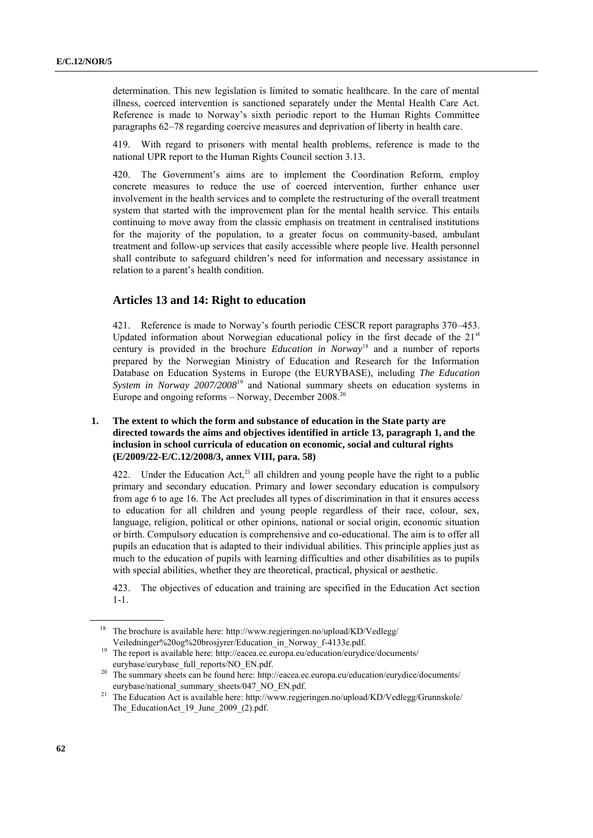determination. This new legislation is limited to somatic healthcare. In the care of mental illness, coerced intervention is sanctioned separately under the Mental Health Care Act. Reference is made to Norway's sixth periodic report to the Human Rights Committee paragraphs 62–78 regarding coercive measures and deprivation of liberty in health care.

419. With regard to prisoners with mental health problems, reference is made to the national UPR report to the Human Rights Council section 3.13.

420. The Government's aims are to implement the Coordination Reform, employ concrete measures to reduce the use of coerced intervention, further enhance user involvement in the health services and to complete the restructuring of the overall treatment system that started with the improvement plan for the mental health service. This entails continuing to move away from the classic emphasis on treatment in centralised institutions for the majority of the population, to a greater focus on community-based, ambulant treatment and follow-up services that easily accessible where people live. Health personnel shall contribute to safeguard children's need for information and necessary assistance in relation to a parent's health condition.

# **Articles 13 and 14: Right to education**

421. Reference is made to Norway's fourth periodic CESCR report paragraphs 370–453. Updated information about Norwegian educational policy in the first decade of the  $21<sup>st</sup>$ century is provided in the brochure *Education in Norway*<sup>18</sup> and a number of reports prepared by the Norwegian Ministry of Education and Research for the Information Database on Education Systems in Europe (the EURYBASE), including *The Education System in Norway 2007/2008*<sup>19</sup> and National summary sheets on education systems in Europe and ongoing reforms  $-$  Norway, December 2008.<sup>20</sup>

# **1. The extent to which the form and substance of education in the State party are directed towards the aims and objectives identified in article 13, paragraph 1, and the inclusion in school curricula of education on economic, social and cultural rights (E/2009/22-E/C.12/2008/3, annex VIII, para. 58)**

422. Under the Education Act,  $2^{1}$  all children and young people have the right to a public primary and secondary education. Primary and lower secondary education is compulsory from age 6 to age 16. The Act precludes all types of discrimination in that it ensures access to education for all children and young people regardless of their race, colour, sex, language, religion, political or other opinions, national or social origin, economic situation or birth. Compulsory education is comprehensive and co-educational. The aim is to offer all pupils an education that is adapted to their individual abilities. This principle applies just as much to the education of pupils with learning difficulties and other disabilities as to pupils with special abilities, whether they are theoretical, practical, physical or aesthetic.

423. The objectives of education and training are specified in the Education Act section 1-1.

<sup>&</sup>lt;sup>18</sup> The brochure is available here: [http://www.regjeringen.no/upload/KD/Vedlegg/](http://www.regjeringen.no/upload/KD/Vedlegg/%0bVeiledninger%20og%20brosjyrer/Education_in_Norway_f-4133e.pdf) [Veiledninger%20og%20brosjyrer/Education\\_in\\_Norway\\_f-4133e.pdf.](http://www.regjeringen.no/upload/KD/Vedlegg/%0bVeiledninger%20og%20brosjyrer/Education_in_Norway_f-4133e.pdf)

<sup>&</sup>lt;sup>19</sup> The report is available here[: http://eacea.ec.europa.eu/education/eurydice/documents/](http://eacea.ec.europa.eu/education/eurydice/documents/%0beurybase/eurybase_full_reports/NO_EN.pdf) [eurybase/eurybase\\_full\\_reports/NO\\_EN.pdf.](http://eacea.ec.europa.eu/education/eurydice/documents/%0beurybase/eurybase_full_reports/NO_EN.pdf)

<sup>&</sup>lt;sup>20</sup> The summary sheets can be found here[: http://eacea.ec.europa.eu/education/eurydice/documents/](http://eacea.ec.europa.eu/education/eurydice/documents/%0beurybase/national_summary_sheets/047_NO_EN.pdf) [eurybase/national\\_summary\\_sheets/047\\_NO\\_EN.pdf.](http://eacea.ec.europa.eu/education/eurydice/documents/%0beurybase/national_summary_sheets/047_NO_EN.pdf)

<sup>&</sup>lt;sup>21</sup> The Education Act is available here: [http://www.regjeringen.no/upload/KD/Vedlegg/Grunnskole/](http://www.regjeringen.no/upload/KD/Vedlegg/Grunnskole/%0bThe_EducationAct_19_June_2009_(2).pdf) The EducationAct 19 June 2009 (2).pdf.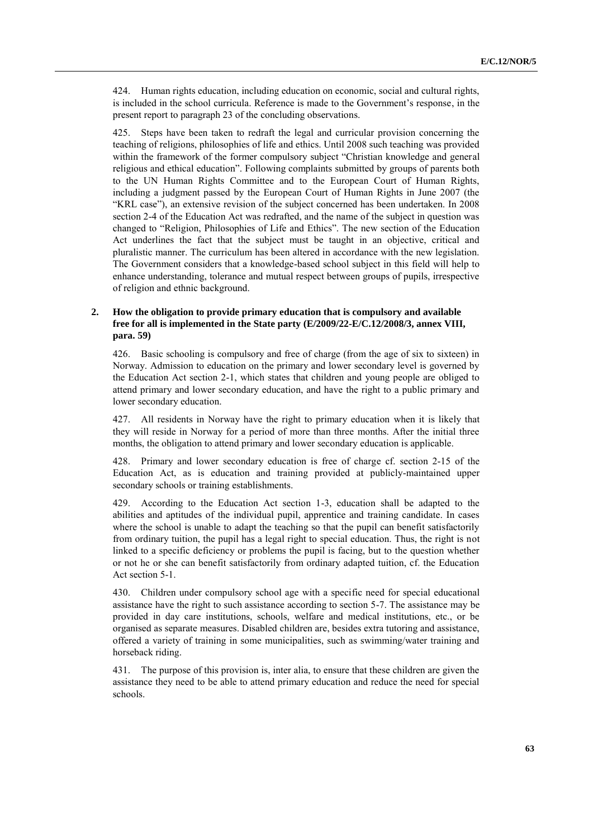424. Human rights education, including education on economic, social and cultural rights, is included in the school curricula. Reference is made to the Government's response, in the present report to paragraph 23 of the concluding observations.

425. Steps have been taken to redraft the legal and curricular provision concerning the teaching of religions, philosophies of life and ethics. Until 2008 such teaching was provided within the framework of the former compulsory subject "Christian knowledge and general religious and ethical education". Following complaints submitted by groups of parents both to the UN Human Rights Committee and to the European Court of Human Rights, including a judgment passed by the European Court of Human Rights in June 2007 (the ―KRL case‖), an extensive revision of the subject concerned has been undertaken. In 2008 section 2-4 of the Education Act was redrafted, and the name of the subject in question was changed to "Religion, Philosophies of Life and Ethics". The new section of the Education Act underlines the fact that the subject must be taught in an objective, critical and pluralistic manner. The curriculum has been altered in accordance with the new legislation. The Government considers that a knowledge-based school subject in this field will help to enhance understanding, tolerance and mutual respect between groups of pupils, irrespective of religion and ethnic background.

# **2. How the obligation to provide primary education that is compulsory and available free for all is implemented in the State party (E/2009/22-E/C.12/2008/3, annex VIII, para. 59)**

426. Basic schooling is compulsory and free of charge (from the age of six to sixteen) in Norway. Admission to education on the primary and lower secondary level is governed by the Education Act section 2-1, which states that children and young people are obliged to attend primary and lower secondary education, and have the right to a public primary and lower secondary education.

427. All residents in Norway have the right to primary education when it is likely that they will reside in Norway for a period of more than three months. After the initial three months, the obligation to attend primary and lower secondary education is applicable.

428. Primary and lower secondary education is free of charge cf. section 2-15 of the Education Act, as is education and training provided at publicly-maintained upper secondary schools or training establishments.

429. According to the Education Act section 1-3, education shall be adapted to the abilities and aptitudes of the individual pupil, apprentice and training candidate. In cases where the school is unable to adapt the teaching so that the pupil can benefit satisfactorily from ordinary tuition, the pupil has a legal right to special education. Thus, the right is not linked to a specific deficiency or problems the pupil is facing, but to the question whether or not he or she can benefit satisfactorily from ordinary adapted tuition, cf. the Education Act section 5-1.

430. Children under compulsory school age with a specific need for special educational assistance have the right to such assistance according to section 5-7. The assistance may be provided in day care institutions, schools, welfare and medical institutions, etc., or be organised as separate measures. Disabled children are, besides extra tutoring and assistance, offered a variety of training in some municipalities, such as swimming/water training and horseback riding.

431. The purpose of this provision is, inter alia, to ensure that these children are given the assistance they need to be able to attend primary education and reduce the need for special schools.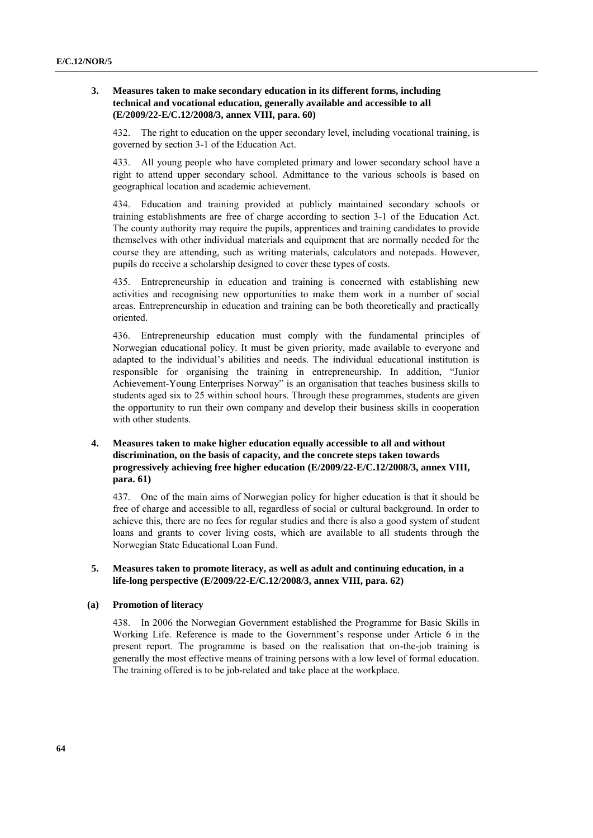## **3. Measures taken to make secondary education in its different forms, including technical and vocational education, generally available and accessible to all (E/2009/22-E/C.12/2008/3, annex VIII, para. 60)**

432. The right to education on the upper secondary level, including vocational training, is governed by section 3-1 of the Education Act.

433. All young people who have completed primary and lower secondary school have a right to attend upper secondary school. Admittance to the various schools is based on geographical location and academic achievement.

434. Education and training provided at publicly maintained secondary schools or training establishments are free of charge according to section 3-1 of the Education Act. The county authority may require the pupils, apprentices and training candidates to provide themselves with other individual materials and equipment that are normally needed for the course they are attending, such as writing materials, calculators and notepads. However, pupils do receive a scholarship designed to cover these types of costs.

435. Entrepreneurship in education and training is concerned with establishing new activities and recognising new opportunities to make them work in a number of social areas. Entrepreneurship in education and training can be both theoretically and practically oriented.

436. Entrepreneurship education must comply with the fundamental principles of Norwegian educational policy. It must be given priority, made available to everyone and adapted to the individual's abilities and needs. The individual educational institution is responsible for organising the training in entrepreneurship. In addition, "Junior Achievement-Young Enterprises Norway" is an organisation that teaches business skills to students aged six to 25 within school hours. Through these programmes, students are given the opportunity to run their own company and develop their business skills in cooperation with other students.

# **4. Measures taken to make higher education equally accessible to all and without discrimination, on the basis of capacity, and the concrete steps taken towards progressively achieving free higher education (E/2009/22-E/C.12/2008/3, annex VIII, para. 61)**

437. One of the main aims of Norwegian policy for higher education is that it should be free of charge and accessible to all, regardless of social or cultural background. In order to achieve this, there are no fees for regular studies and there is also a good system of student loans and grants to cover living costs, which are available to all students through the [Norwegian State Educational Loan Fund.](http://www.lanekassen.no/templates/Page.aspx?id=6768)

# **5. Measures taken to promote literacy, as well as adult and continuing education, in a life-long perspective (E/2009/22-E/C.12/2008/3, annex VIII, para. 62)**

### **(a) Promotion of literacy**

438. In 2006 the Norwegian Government established the Programme for Basic Skills in Working Life. Reference is made to the Government's response under Article 6 in the present report. The programme is based on the realisation that on-the-job training is generally the most effective means of training persons with a low level of formal education. The training offered is to be job-related and take place at the workplace.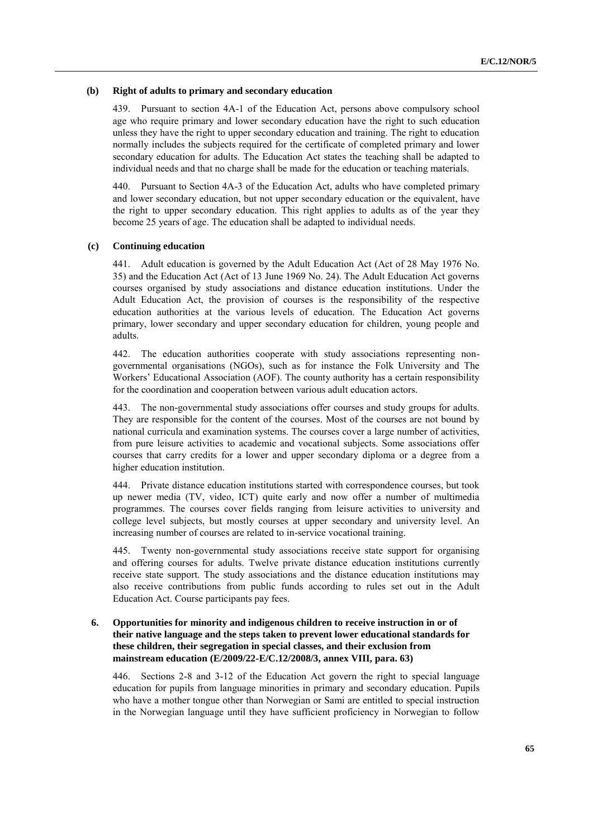### **(b) Right of adults to primary and secondary education**

439. Pursuant to section 4A-1 of the Education Act, persons above compulsory school age who require primary and lower secondary education have the right to such education unless they have the right to upper secondary education and training. The right to education normally includes the subjects required for the certificate of completed primary and lower secondary education for adults. The Education Act states the teaching shall be adapted to individual needs and that no charge shall be made for the education or teaching materials.

440. Pursuant to Section 4A-3 of the Education Act, adults who have completed primary and lower secondary education, but not upper secondary education or the equivalent, have the right to upper secondary education. This right applies to adults as of the year they become 25 years of age. The education shall be adapted to individual needs.

#### **(c) Continuing education**

441. Adult education is governed by the Adult Education Act (Act of 28 May 1976 No. 35) and the Education Act (Act of 13 June 1969 No. 24). The Adult Education Act governs courses organised by study associations and distance education institutions. Under the Adult Education Act, the provision of courses is the responsibility of the respective education authorities at the various levels of education. The Education Act governs primary, lower secondary and upper secondary education for children, young people and adults.

442. The education authorities cooperate with study associations representing nongovernmental organisations (NGOs), such as for instance the Folk University and The Workers' Educational Association (AOF). The county authority has a certain responsibility for the coordination and cooperation between various adult education actors.

443. The non-governmental study associations offer courses and study groups for adults. They are responsible for the content of the courses. Most of the courses are not bound by national curricula and examination systems. The courses cover a large number of activities, from pure leisure activities to academic and vocational subjects. Some associations offer courses that carry credits for a lower and upper secondary diploma or a degree from a higher education institution.

444. Private distance education institutions started with correspondence courses, but took up newer media (TV, video, ICT) quite early and now offer a number of multimedia programmes. The courses cover fields ranging from leisure activities to university and college level subjects, but mostly courses at upper secondary and university level. An increasing number of courses are related to in-service vocational training.

445. Twenty non-governmental study associations receive state support for organising and offering courses for adults. Twelve private distance education institutions currently receive state support. The study associations and the distance education institutions may also receive contributions from public funds according to rules set out in the Adult Education Act. Course participants pay fees.

# **6. Opportunities for minority and indigenous children to receive instruction in or of their native language and the steps taken to prevent lower educational standards for these children, their segregation in special classes, and their exclusion from mainstream education (E/2009/22-E/C.12/2008/3, annex VIII, para. 63)**

446. Sections 2-8 and 3-12 of the Education Act govern the right to special language education for pupils from language minorities in primary and secondary education. Pupils who have a mother tongue other than Norwegian or Sami are entitled to special instruction in the Norwegian language until they have sufficient proficiency in Norwegian to follow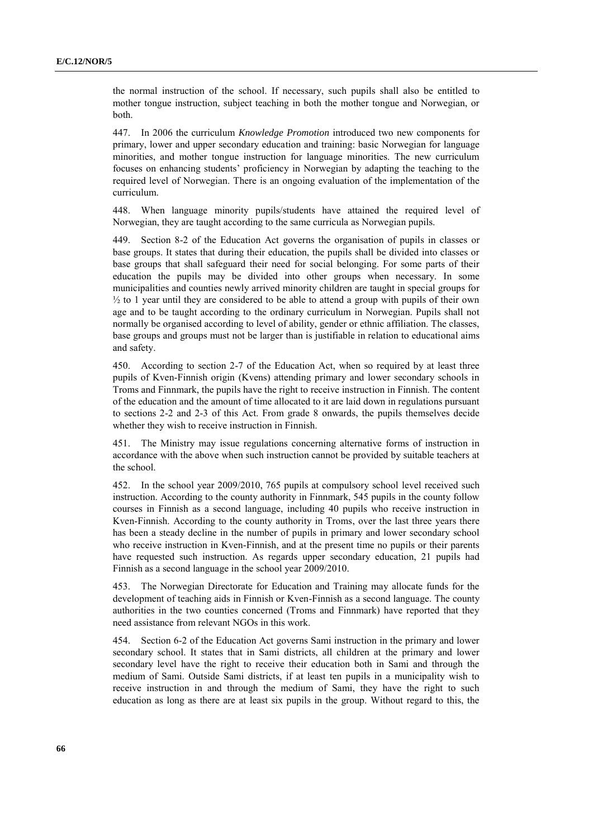the normal instruction of the school. If necessary, such pupils shall also be entitled to mother tongue instruction, subject teaching in both the mother tongue and Norwegian, or both.

447. In 2006 the curriculum *Knowledge Promotion* introduced two new components for primary, lower and upper secondary education and training: basic Norwegian for language minorities, and mother tongue instruction for language minorities. The new curriculum focuses on enhancing students' proficiency in Norwegian by adapting the teaching to the required level of Norwegian. There is an ongoing evaluation of the implementation of the curriculum.

448. When language minority pupils/students have attained the required level of Norwegian, they are taught according to the same curricula as Norwegian pupils.

449. Section 8-2 of the Education Act governs the organisation of pupils in classes or base groups. It states that during their education, the pupils shall be divided into classes or base groups that shall safeguard their need for social belonging. For some parts of their education the pupils may be divided into other groups when necessary. In some municipalities and counties newly arrived minority children are taught in special groups for  $\frac{1}{2}$  to 1 year until they are considered to be able to attend a group with pupils of their own age and to be taught according to the ordinary curriculum in Norwegian. Pupils shall not normally be organised according to level of ability, gender or ethnic affiliation. The classes, base groups and groups must not be larger than is justifiable in relation to educational aims and safety.

450. According to section 2-7 of the Education Act, when so required by at least three pupils of Kven-Finnish origin (Kvens) attending primary and lower secondary schools in Troms and Finnmark, the pupils have the right to receive instruction in Finnish. The content of the education and the amount of time allocated to it are laid down in regulations pursuant to sections 2-2 and 2-3 of this Act. From grade 8 onwards, the pupils themselves decide whether they wish to receive instruction in Finnish.

451. The Ministry may issue regulations concerning alternative forms of instruction in accordance with the above when such instruction cannot be provided by suitable teachers at the school.

452. In the school year 2009/2010, 765 pupils at compulsory school level received such instruction. According to the county authority in Finnmark, 545 pupils in the county follow courses in Finnish as a second language, including 40 pupils who receive instruction in Kven-Finnish. According to the county authority in Troms, over the last three years there has been a steady decline in the number of pupils in primary and lower secondary school who receive instruction in Kven-Finnish, and at the present time no pupils or their parents have requested such instruction. As regards upper secondary education, 21 pupils had Finnish as a second language in the school year 2009/2010.

453. The Norwegian Directorate for Education and Training may allocate funds for the development of teaching aids in Finnish or Kven-Finnish as a second language. The county authorities in the two counties concerned (Troms and Finnmark) have reported that they need assistance from relevant NGOs in this work.

454. Section 6-2 of the Education Act governs Sami instruction in the primary and lower secondary school. It states that in Sami districts, all children at the primary and lower secondary level have the right to receive their education both in Sami and through the medium of Sami. Outside Sami districts, if at least ten pupils in a municipality wish to receive instruction in and through the medium of Sami, they have the right to such education as long as there are at least six pupils in the group. Without regard to this, the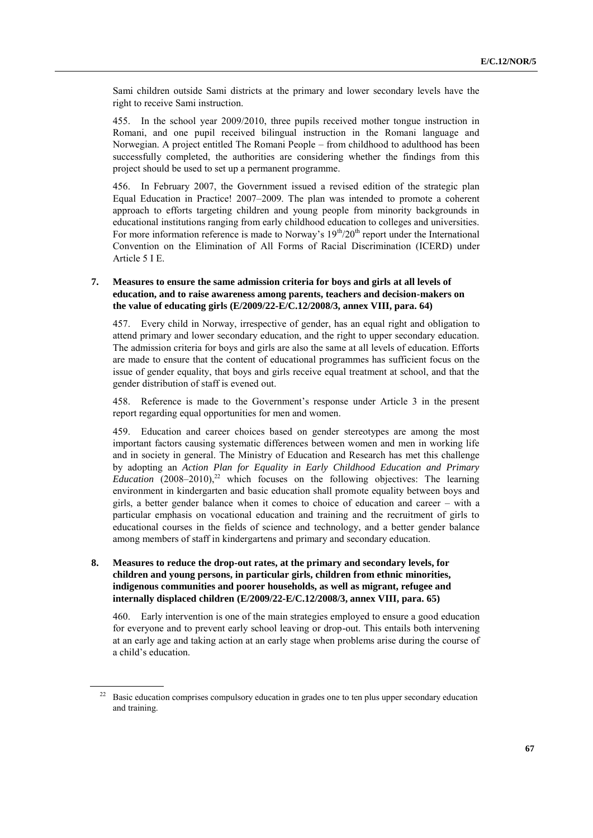Sami children outside Sami districts at the primary and lower secondary levels have the right to receive Sami instruction.

455. In the school year 2009/2010, three pupils received mother tongue instruction in Romani, and one pupil received bilingual instruction in the Romani language and Norwegian. A project entitled The Romani People – from childhood to adulthood has been successfully completed, the authorities are considering whether the findings from this project should be used to set up a permanent programme.

456. In February 2007, the Government issued a revised edition of the strategic plan Equal Education in Practice! 2007–2009. The plan was intended to promote a coherent approach to efforts targeting children and young people from minority backgrounds in educational institutions ranging from early childhood education to colleges and universities. For more information reference is made to Norway's  $19<sup>th</sup>/20<sup>th</sup>$  report under the International Convention on the Elimination of All Forms of Racial Discrimination (ICERD) under Article 5 I E.

## **7. Measures to ensure the same admission criteria for boys and girls at all levels of education, and to raise awareness among parents, teachers and decision-makers on the value of educating girls (E/2009/22-E/C.12/2008/3, annex VIII, para. 64)**

457. Every child in Norway, irrespective of gender, has an equal right and obligation to attend primary and lower secondary education, and the right to upper secondary education. The admission criteria for boys and girls are also the same at all levels of education. Efforts are made to ensure that the content of educational programmes has sufficient focus on the issue of gender equality, that boys and girls receive equal treatment at school, and that the gender distribution of staff is evened out.

458. Reference is made to the Government's response under Article 3 in the present report regarding equal opportunities for men and women.

459. Education and career choices based on gender stereotypes are among the most important factors causing systematic differences between women and men in working life and in society in general. The Ministry of Education and Research has met this challenge by adopting an *Action Plan for Equality in Early Childhood Education and Primary Education*  $(2008-2010)$ ,<sup>22</sup> which focuses on the following objectives: The learning environment in kindergarten and basic education shall promote equality between boys and girls, a better gender balance when it comes to choice of education and career – with a particular emphasis on vocational education and training and the recruitment of girls to educational courses in the fields of science and technology, and a better gender balance among members of staff in kindergartens and primary and secondary education.

# **8. Measures to reduce the drop-out rates, at the primary and secondary levels, for children and young persons, in particular girls, children from ethnic minorities, indigenous communities and poorer households, as well as migrant, refugee and internally displaced children (E/2009/22-E/C.12/2008/3, annex VIII, para. 65)**

460. Early intervention is one of the main strategies employed to ensure a good education for everyone and to prevent early school leaving or drop-out. This entails both intervening at an early age and taking action at an early stage when problems arise during the course of a child's education.

Basic education comprises compulsory education in grades one to ten plus upper secondary education and training.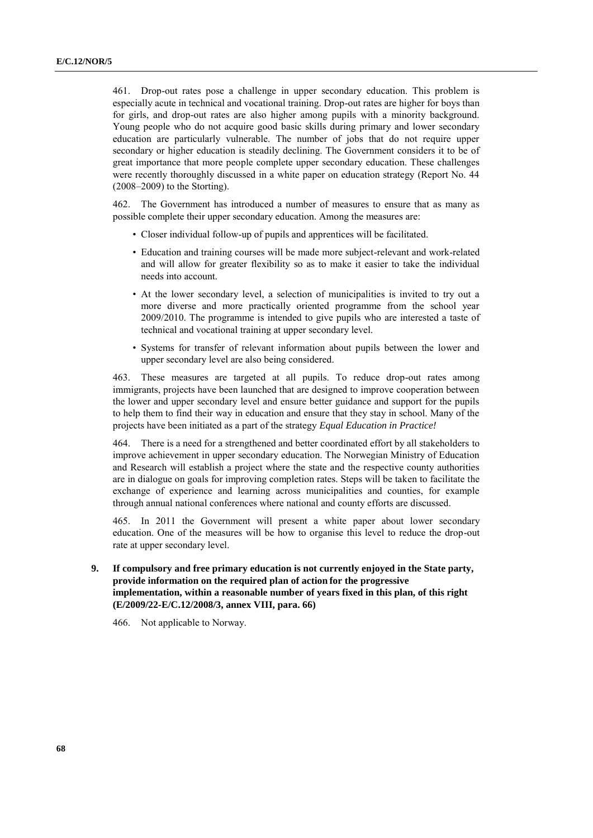461. Drop-out rates pose a challenge in upper secondary education. This problem is especially acute in technical and vocational training. Drop-out rates are higher for boys than for girls, and drop-out rates are also higher among pupils with a minority background. Young people who do not acquire good basic skills during primary and lower secondary education are particularly vulnerable. The number of jobs that do not require upper secondary or higher education is steadily declining. The Government considers it to be of great importance that more people complete upper secondary education. These challenges were recently thoroughly discussed in a white paper on education strategy (Report No. 44 (2008–2009) to the Storting).

462. The Government has introduced a number of measures to ensure that as many as possible complete their upper secondary education. Among the measures are:

- Closer individual follow-up of pupils and apprentices will be facilitated.
- Education and training courses will be made more subject-relevant and work-related and will allow for greater flexibility so as to make it easier to take the individual needs into account.
- At the lower secondary level, a selection of municipalities is invited to try out a more diverse and more practically oriented programme from the school year 2009/2010. The programme is intended to give pupils who are interested a taste of technical and vocational training at upper secondary level.
- Systems for transfer of relevant information about pupils between the lower and upper secondary level are also being considered.

463. These measures are targeted at all pupils. To reduce drop-out rates among immigrants, projects have been launched that are designed to improve cooperation between the lower and upper secondary level and ensure better guidance and support for the pupils to help them to find their way in education and ensure that they stay in school. Many of the projects have been initiated as a part of the strategy *Equal Education in Practice!*

464. There is a need for a strengthened and better coordinated effort by all stakeholders to improve achievement in upper secondary education. The Norwegian Ministry of Education and Research will establish a project where the state and the respective county authorities are in dialogue on goals for improving completion rates. Steps will be taken to facilitate the exchange of experience and learning across municipalities and counties, for example through annual national conferences where national and county efforts are discussed.

465. In 2011 the Government will present a white paper about lower secondary education. One of the measures will be how to organise this level to reduce the drop-out rate at upper secondary level.

**9. If compulsory and free primary education is not currently enjoyed in the State party, provide information on the required plan of action for the progressive implementation, within a reasonable number of years fixed in this plan, of this right (E/2009/22-E/C.12/2008/3, annex VIII, para. 66)**

466. Not applicable to Norway.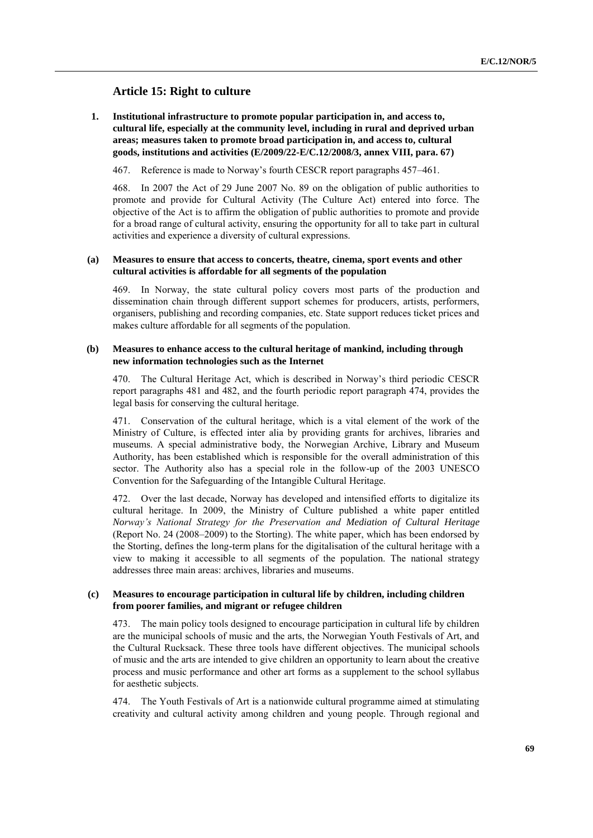# **Article 15: Right to culture**

**1. Institutional infrastructure to promote popular participation in, and access to, cultural life, especially at the community level, including in rural and deprived urban areas; measures taken to promote broad participation in, and access to, cultural goods, institutions and activities (E/2009/22-E/C.12/2008/3, annex VIII, para. 67)**

467. Reference is made to Norway's fourth CESCR report paragraphs 457–461.

468. In 2007 the Act of 29 June 2007 No. 89 on the obligation of public authorities to promote and provide for Cultural Activity (The Culture Act) entered into force. The objective of the Act is to affirm the obligation of public authorities to promote and provide for a broad range of cultural activity, ensuring the opportunity for all to take part in cultural activities and experience a diversity of cultural expressions.

## **(a) Measures to ensure that access to concerts, theatre, cinema, sport events and other cultural activities is affordable for all segments of the population**

469. In Norway, the state cultural policy covers most parts of the production and dissemination chain through different support schemes for producers, artists, performers, organisers, publishing and recording companies, etc. State support reduces ticket prices and makes culture affordable for all segments of the population.

### **(b) Measures to enhance access to the cultural heritage of mankind, including through new information technologies such as the Internet**

470. The Cultural Heritage Act, which is described in Norway's third periodic CESCR report paragraphs 481 and 482, and the fourth periodic report paragraph 474, provides the legal basis for conserving the cultural heritage.

471. Conservation of the cultural heritage, which is a vital element of the work of the Ministry of Culture, is effected inter alia by providing grants for archives, libraries and museums. A special administrative body, the Norwegian Archive, Library and Museum Authority, has been established which is responsible for the overall administration of this sector. The Authority also has a special role in the follow-up of the 2003 UNESCO Convention for the Safeguarding of the Intangible Cultural Heritage.

472. Over the last decade, Norway has developed and intensified efforts to digitalize its cultural heritage. In 2009, the Ministry of Culture published a white paper entitled *Norway's National Strategy for the Preservation and Mediation of Cultural Heritage*  (Report No. 24 (2008–2009) to the Storting). The white paper, which has been endorsed by the Storting, defines the long-term plans for the digitalisation of the cultural heritage with a view to making it accessible to all segments of the population. The national strategy addresses three main areas: archives, libraries and museums.

### **(c) Measures to encourage participation in cultural life by children, including children from poorer families, and migrant or refugee children**

473. The main policy tools designed to encourage participation in cultural life by children are the municipal schools of music and the arts, the Norwegian Youth Festivals of Art, and the Cultural Rucksack. These three tools have different objectives. The municipal schools of music and the arts are intended to give children an opportunity to learn about the creative process and music performance and other art forms as a supplement to the school syllabus for aesthetic subjects.

474. The Youth Festivals of Art is a nationwide cultural programme aimed at stimulating creativity and cultural activity among children and young people. Through regional and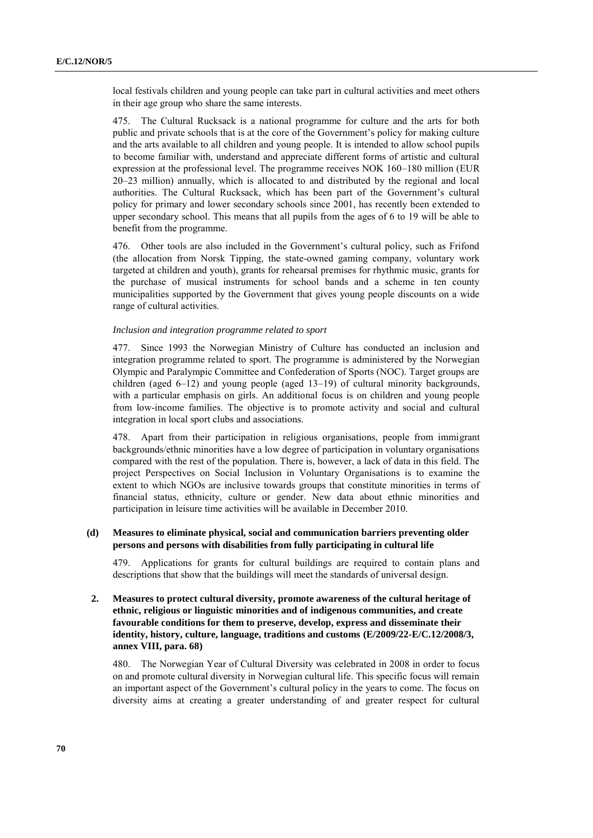local festivals children and young people can take part in cultural activities and meet others in their age group who share the same interests.

475. The Cultural Rucksack is a national programme for culture and the arts for both public and private schools that is at the core of the Government's policy for making culture and the arts available to all children and young people. It is intended to allow school pupils to become familiar with, understand and appreciate different forms of artistic and cultural expression at the professional level. The programme receives NOK 160–180 million (EUR 20–23 million) annually, which is allocated to and distributed by the regional and local authorities. The Cultural Rucksack, which has been part of the Government's cultural policy for primary and lower secondary schools since 2001, has recently been extended to upper secondary school. This means that all pupils from the ages of 6 to 19 will be able to benefit from the programme.

476. Other tools are also included in the Government's cultural policy, such as Frifond (the allocation from Norsk Tipping, the state-owned gaming company, voluntary work targeted at children and youth), grants for rehearsal premises for rhythmic music, grants for the purchase of musical instruments for school bands and a scheme in ten county municipalities supported by the Government that gives young people discounts on a wide range of cultural activities.

#### *Inclusion and integration programme related to sport*

477. Since 1993 the Norwegian Ministry of Culture has conducted an inclusion and integration programme related to sport. The programme is administered by the Norwegian Olympic and Paralympic Committee and Confederation of Sports (NOC). Target groups are children (aged 6–12) and young people (aged 13–19) of cultural minority backgrounds, with a particular emphasis on girls. An additional focus is on children and young people from low-income families. The objective is to promote activity and social and cultural integration in local sport clubs and associations.

478. Apart from their participation in religious organisations, people from immigrant backgrounds/ethnic minorities have a low degree of participation in voluntary organisations compared with the rest of the population. There is, however, a lack of data in this field. The project Perspectives on Social Inclusion in Voluntary Organisations is to examine the extent to which NGOs are inclusive towards groups that constitute minorities in terms of financial status, ethnicity, culture or gender. New data about ethnic minorities and participation in leisure time activities will be available in December 2010.

## **(d) Measures to eliminate physical, social and communication barriers preventing older persons and persons with disabilities from fully participating in cultural life**

479. Applications for grants for cultural buildings are required to contain plans and descriptions that show that the buildings will meet the standards of universal design.

# **2. Measures to protect cultural diversity, promote awareness of the cultural heritage of ethnic, religious or linguistic minorities and of indigenous communities, and create favourable conditions for them to preserve, develop, express and disseminate their identity, history, culture, language, traditions and customs (E/2009/22-E/C.12/2008/3, annex VIII, para. 68)**

480. The Norwegian Year of Cultural Diversity was celebrated in 2008 in order to focus on and promote cultural diversity in Norwegian cultural life. This specific focus will remain an important aspect of the Government's cultural policy in the years to come. The focus on diversity aims at creating a greater understanding of and greater respect for cultural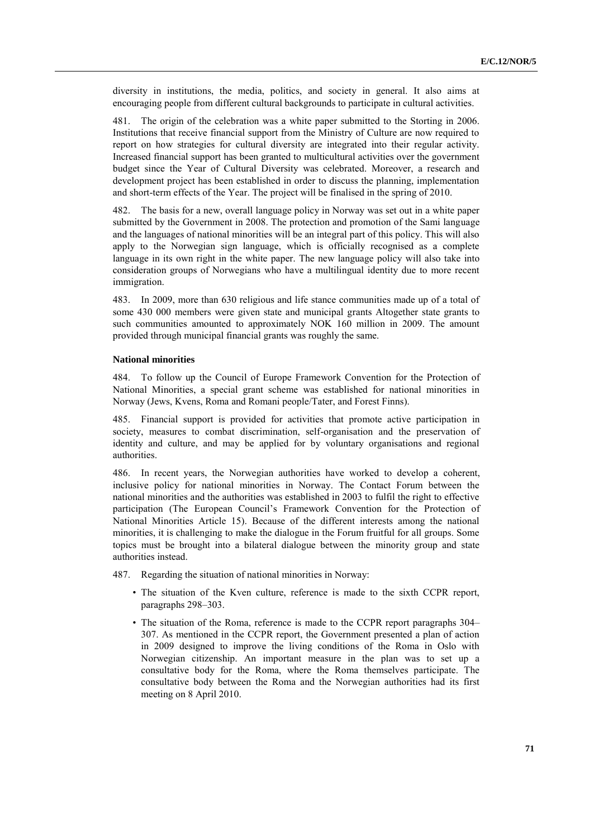diversity in institutions, the media, politics, and society in general. It also aims at encouraging people from different cultural backgrounds to participate in cultural activities.

481. The origin of the celebration was a white paper submitted to the Storting in 2006. Institutions that receive financial support from the Ministry of Culture are now required to report on how strategies for cultural diversity are integrated into their regular activity. Increased financial support has been granted to multicultural activities over the government budget since the Year of Cultural Diversity was celebrated. Moreover, a research and development project has been established in order to discuss the planning, implementation and short-term effects of the Year. The project will be finalised in the spring of 2010.

482. The basis for a new, overall language policy in Norway was set out in a white paper submitted by the Government in 2008. The protection and promotion of the Sami language and the languages of national minorities will be an integral part of this policy. This will also apply to the Norwegian sign language, which is officially recognised as a complete language in its own right in the white paper. The new language policy will also take into consideration groups of Norwegians who have a multilingual identity due to more recent immigration.

483. In 2009, more than 630 religious and life stance communities made up of a total of some 430 000 members were given state and municipal grants Altogether state grants to such communities amounted to approximately NOK 160 million in 2009. The amount provided through municipal financial grants was roughly the same.

## **National minorities**

484. To follow up the Council of Europe Framework Convention for the Protection of National Minorities, a special grant scheme was established for national minorities in Norway (Jews, Kvens, Roma and Romani people/Tater, and Forest Finns).

485. Financial support is provided for activities that promote active participation in society, measures to combat discrimination, self-organisation and the preservation of identity and culture, and may be applied for by voluntary organisations and regional authorities.

486. In recent years, the Norwegian authorities have worked to develop a coherent, inclusive policy for national minorities in Norway. The Contact Forum between the national minorities and the authorities was established in 2003 to fulfil the right to effective participation (The European Council's Framework Convention for the Protection of National Minorities Article 15). Because of the different interests among the national minorities, it is challenging to make the dialogue in the Forum fruitful for all groups. Some topics must be brought into a bilateral dialogue between the minority group and state authorities instead.

487. Regarding the situation of national minorities in Norway:

- The situation of the Kven culture, reference is made to the sixth CCPR report, paragraphs 298–303.
- The situation of the Roma, reference is made to the CCPR report paragraphs 304– 307. As mentioned in the CCPR report, the Government presented a plan of action in 2009 designed to improve the living conditions of the Roma in Oslo with Norwegian citizenship. An important measure in the plan was to set up a consultative body for the Roma, where the Roma themselves participate. The consultative body between the Roma and the Norwegian authorities had its first meeting on 8 April 2010.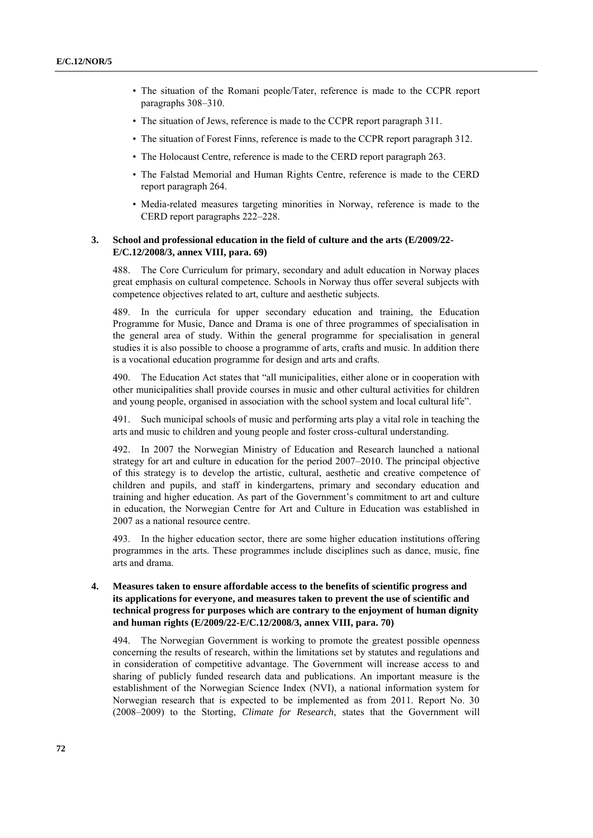- The situation of the Romani people/Tater, reference is made to the CCPR report paragraphs 308–310.
- The situation of Jews, reference is made to the CCPR report paragraph 311.
- The situation of Forest Finns, reference is made to the CCPR report paragraph 312.
- The Holocaust Centre, reference is made to the CERD report paragraph 263.
- The Falstad Memorial and Human Rights Centre, reference is made to the CERD report paragraph 264.
- Media-related measures targeting minorities in Norway, reference is made to the CERD report paragraphs 222–228.

## **3. School and professional education in the field of culture and the arts (E/2009/22- E/C.12/2008/3, annex VIII, para. 69)**

488. The Core Curriculum for primary, secondary and adult education in Norway places great emphasis on cultural competence. Schools in Norway thus offer several subjects with competence objectives related to art, culture and aesthetic subjects.

489. In the curricula for upper secondary education and training, the Education Programme for Music, Dance and Drama is one of three programmes of specialisation in the general area of study. Within the general programme for specialisation in general studies it is also possible to choose a programme of arts, crafts and music. In addition there is a vocational education programme for design and arts and crafts.

490. The Education Act states that "all municipalities, either alone or in cooperation with other municipalities shall provide courses in music and other cultural activities for children and young people, organised in association with the school system and local cultural life".

491. Such municipal schools of music and performing arts play a vital role in teaching the arts and music to children and young people and foster cross-cultural understanding.

492. In 2007 the Norwegian Ministry of Education and Research launched a national strategy for art and culture in education for the period 2007–2010. The principal objective of this strategy is to develop the artistic, cultural, aesthetic and creative competence of children and pupils, and staff in kindergartens, primary and secondary education and training and higher education. As part of the Government's commitment to art and culture in education, the Norwegian Centre for Art and Culture in Education was established in 2007 as a national resource centre.

493. In the higher education sector, there are some higher education institutions offering programmes in the arts. These programmes include disciplines such as dance, music, fine arts and drama.

**4. Measures taken to ensure affordable access to the benefits of scientific progress and its applications for everyone, and measures taken to prevent the use of scientific and technical progress for purposes which are contrary to the enjoyment of human dignity and human rights (E/2009/22-E/C.12/2008/3, annex VIII, para. 70)**

494. The Norwegian Government is working to promote the greatest possible openness concerning the results of research, within the limitations set by statutes and regulations and in consideration of competitive advantage. The Government will increase access to and sharing of publicly funded research data and publications. An important measure is the establishment of the Norwegian Science Index (NVI), a national information system for Norwegian research that is expected to be implemented as from 2011. Report No. 30 (2008–2009) to the Storting, *Climate for Research,* states that the Government will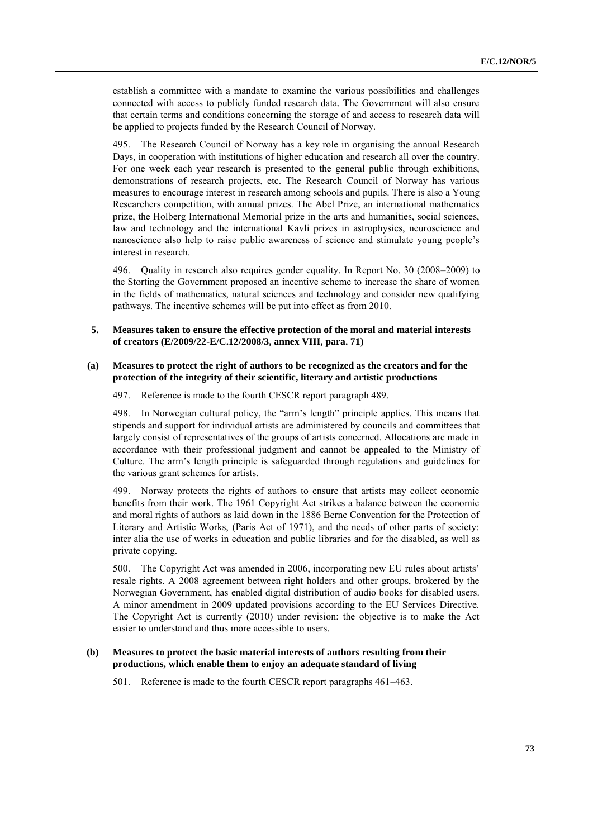establish a committee with a mandate to examine the various possibilities and challenges connected with access to publicly funded research data. The Government will also ensure that certain terms and conditions concerning the storage of and access to research data will be applied to projects funded by the Research Council of Norway.

495. The Research Council of Norway has a key role in organising the annual Research Days, in cooperation with institutions of higher education and research all over the country. For one week each year research is presented to the general public through exhibitions, demonstrations of research projects, etc. The Research Council of Norway has various measures to encourage interest in research among schools and pupils. There is also a Young Researchers competition, with annual prizes. The Abel Prize, an international mathematics prize, the Holberg International Memorial prize in the arts and humanities, social sciences, law and technology and the international Kavli prizes in astrophysics, neuroscience and nanoscience also help to raise public awareness of science and stimulate young people's interest in research.

496. Quality in research also requires gender equality. In Report No. 30 (2008–2009) to the Storting the Government proposed an incentive scheme to increase the share of women in the fields of mathematics, natural sciences and technology and consider new qualifying pathways. The incentive schemes will be put into effect as from 2010.

## **5. Measures taken to ensure the effective protection of the moral and material interests of creators (E/2009/22-E/C.12/2008/3, annex VIII, para. 71)**

## **(a) Measures to protect the right of authors to be recognized as the creators and for the protection of the integrity of their scientific, literary and artistic productions**

497. Reference is made to the fourth CESCR report paragraph 489.

498. In Norwegian cultural policy, the "arm's length" principle applies. This means that stipends and support for individual artists are administered by councils and committees that largely consist of representatives of the groups of artists concerned. Allocations are made in accordance with their professional judgment and cannot be appealed to the Ministry of Culture. The arm's length principle is safeguarded through regulations and guidelines for the various grant schemes for artists.

499. Norway protects the rights of authors to ensure that artists may collect economic benefits from their work. The 1961 Copyright Act strikes a balance between the economic and moral rights of authors as laid down in the 1886 Berne Convention for the Protection of Literary and Artistic Works, (Paris Act of 1971), and the needs of other parts of society: inter alia the use of works in education and public libraries and for the disabled, as well as private copying.

500. The Copyright Act was amended in 2006, incorporating new EU rules about artists' resale rights. A 2008 agreement between right holders and other groups, brokered by the Norwegian Government, has enabled digital distribution of audio books for disabled users. A minor amendment in 2009 updated provisions according to the EU Services Directive. The Copyright Act is currently (2010) under revision: the objective is to make the Act easier to understand and thus more accessible to users.

## **(b) Measures to protect the basic material interests of authors resulting from their productions, which enable them to enjoy an adequate standard of living**

501. Reference is made to the fourth CESCR report paragraphs 461–463.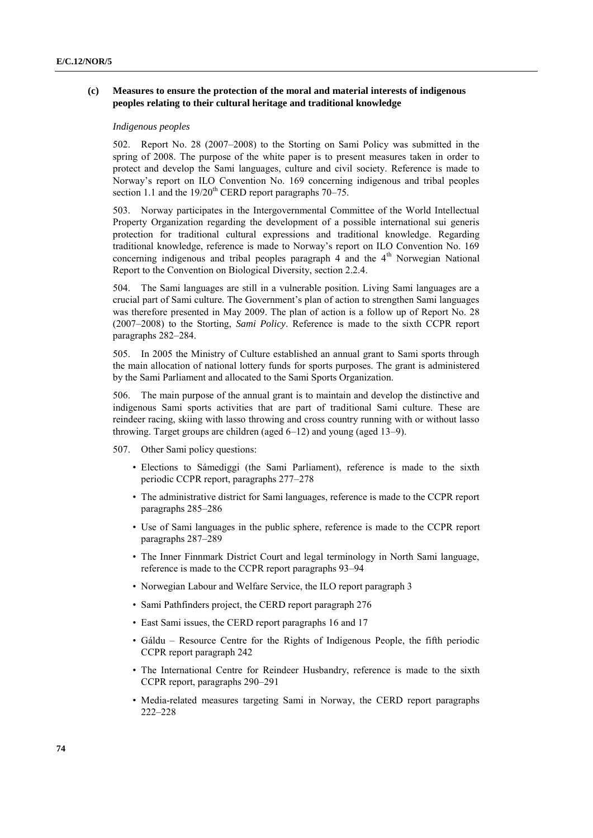## **(c) Measures to ensure the protection of the moral and material interests of indigenous peoples relating to their cultural heritage and traditional knowledge**

#### *Indigenous peoples*

502. Report No. 28 (2007–2008) to the Storting on Sami Policy was submitted in the spring of 2008. The purpose of the white paper is to present measures taken in order to protect and develop the Sami languages, culture and civil society. Reference is made to Norway's report on ILO Convention No. 169 concerning indigenous and tribal peoples section 1.1 and the  $19/20^{th}$  CERD report paragraphs  $70-75$ .

503. Norway participates in the Intergovernmental Committee of the World Intellectual Property Organization regarding the development of a possible international sui generis protection for traditional cultural expressions and traditional knowledge. Regarding traditional knowledge, reference is made to Norway's report on ILO Convention No. 169 concerning indigenous and tribal peoples paragraph  $4$  and the  $4<sup>th</sup>$  Norwegian National Report to the Convention on Biological Diversity, section 2.2.4.

504. The Sami languages are still in a vulnerable position. Living Sami languages are a crucial part of Sami culture. The Government's plan of action to strengthen Sami languages was therefore presented in May 2009. The plan of action is a follow up of Report No. 28 (2007–2008) to the Storting, *Sami Policy*. Reference is made to the sixth CCPR report paragraphs 282–284.

505. In 2005 the Ministry of Culture established an annual grant to Sami sports through the main allocation of national lottery funds for sports purposes. The grant is administered by the Sami Parliament and allocated to the Sami Sports Organization.

506. The main purpose of the annual grant is to maintain and develop the distinctive and indigenous Sami sports activities that are part of traditional Sami culture. These are reindeer racing, skiing with lasso throwing and cross country running with or without lasso throwing. Target groups are children (aged 6–12) and young (aged 13–9).

- 507. Other Sami policy questions:
	- Elections to Sámediggi (the Sami Parliament), reference is made to the sixth periodic CCPR report, paragraphs 277–278
	- The administrative district for Sami languages, reference is made to the CCPR report paragraphs 285–286
	- Use of Sami languages in the public sphere, reference is made to the CCPR report paragraphs 287–289
	- The Inner Finnmark District Court and legal terminology in North Sami language, reference is made to the CCPR report paragraphs 93–94
	- Norwegian Labour and Welfare Service, the ILO report paragraph 3
	- Sami Pathfinders project, the CERD report paragraph 276
	- East Sami issues, the CERD report paragraphs 16 and 17
	- Gáldu Resource Centre for the Rights of Indigenous People, the fifth periodic CCPR report paragraph 242
	- The International Centre for Reindeer Husbandry, reference is made to the sixth CCPR report, paragraphs 290–291
	- Media-related measures targeting Sami in Norway, the CERD report paragraphs 222–228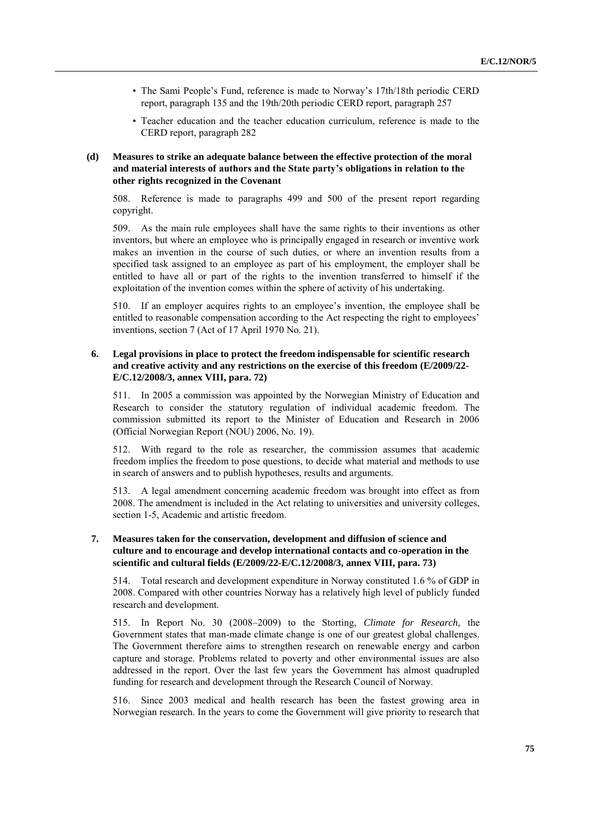- The Sami People's Fund, reference is made to Norway's 17th/18th periodic CERD report, paragraph 135 and the 19th/20th periodic CERD report, paragraph 257
- Teacher education and the teacher education curriculum, reference is made to the CERD report, paragraph 282

## **(d) Measures to strike an adequate balance between the effective protection of the moral and material interests of authors and the State party's obligations in relation to the other rights recognized in the Covenant**

508. Reference is made to paragraphs 499 and 500 of the present report regarding copyright.

509. As the main rule employees shall have the same rights to their inventions as other inventors, but where an employee who is principally engaged in research or inventive work makes an invention in the course of such duties, or where an invention results from a specified task assigned to an employee as part of his employment, the employer shall be entitled to have all or part of the rights to the invention transferred to himself if the exploitation of the invention comes within the sphere of activity of his undertaking.

510. If an employer acquires rights to an employee's invention, the employee shall be entitled to reasonable compensation according to the Act respecting the right to employees' inventions, section 7 (Act of 17 April 1970 No. 21).

# **6. Legal provisions in place to protect the freedom indispensable for scientific research and creative activity and any restrictions on the exercise of this freedom (E/2009/22- E/C.12/2008/3, annex VIII, para. 72)**

511. In 2005 a commission was appointed by the Norwegian Ministry of Education and Research to consider the statutory regulation of individual academic freedom. The commission submitted its report to the Minister of Education and Research in 2006 (Official Norwegian Report (NOU) 2006, No. 19).

512. With regard to the role as researcher, the commission assumes that academic freedom implies the freedom to pose questions, to decide what material and methods to use in search of answers and to publish hypotheses, results and arguments.

513. A legal amendment concerning academic freedom was brought into effect as from 2008. The amendment is included in the Act relating to universities and university colleges, section 1-5, Academic and artistic freedom.

# **7. Measures taken for the conservation, development and diffusion of science and culture and to encourage and develop international contacts and co-operation in the scientific and cultural fields (E/2009/22-E/C.12/2008/3, annex VIII, para. 73)**

514. Total research and development expenditure in Norway constituted 1.6 % of GDP in 2008. Compared with other countries Norway has a relatively high level of publicly funded research and development.

515. In Report No. 30 (2008–2009) to the Storting, *Climate for Research,* the Government states that man-made climate change is one of our greatest global challenges. The Government therefore aims to strengthen research on renewable energy and carbon capture and storage. Problems related to poverty and other environmental issues are also addressed in the report. Over the last few years the Government has almost quadrupled funding for research and development through the Research Council of Norway.

516. Since 2003 medical and health research has been the fastest growing area in Norwegian research. In the years to come the Government will give priority to research that